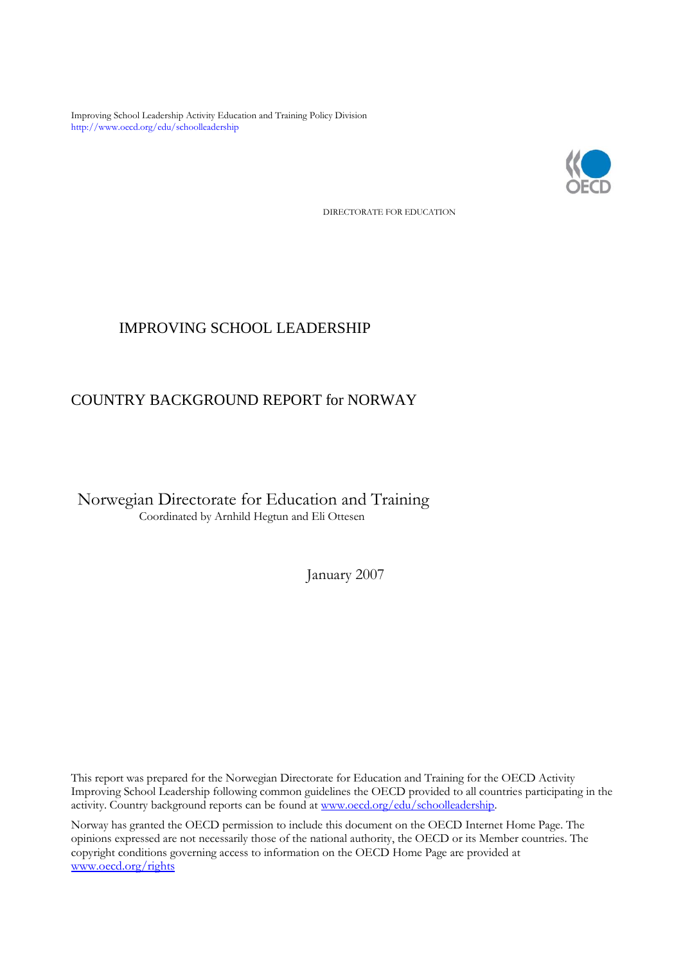Improving School Leadership Activity Education and Training Policy Division http://www.oecd.org/edu/schoolleadership



DIRECTORATE FOR EDUCATION

# IMPROVING SCHOOL LEADERSHIP

# COUNTRY BACKGROUND REPORT for NORWAY

Norwegian Directorate for Education and Training Coordinated by Arnhild Hegtun and Eli Ottesen

January 2007

This report was prepared for the Norwegian Directorate for Education and Training for the OECD Activity Improving School Leadership following common guidelines the OECD provided to all countries participating in the activity. Country background reports can be found at www.oecd.org/edu/schoolleadership.

Norway has granted the OECD permission to include this document on the OECD Internet Home Page. The opinions expressed are not necessarily those of the national authority, the OECD or its Member countries. The copyright conditions governing access to information on the OECD Home Page are provided at [www.oecd.org/rights](http://www.oecd.org/rights)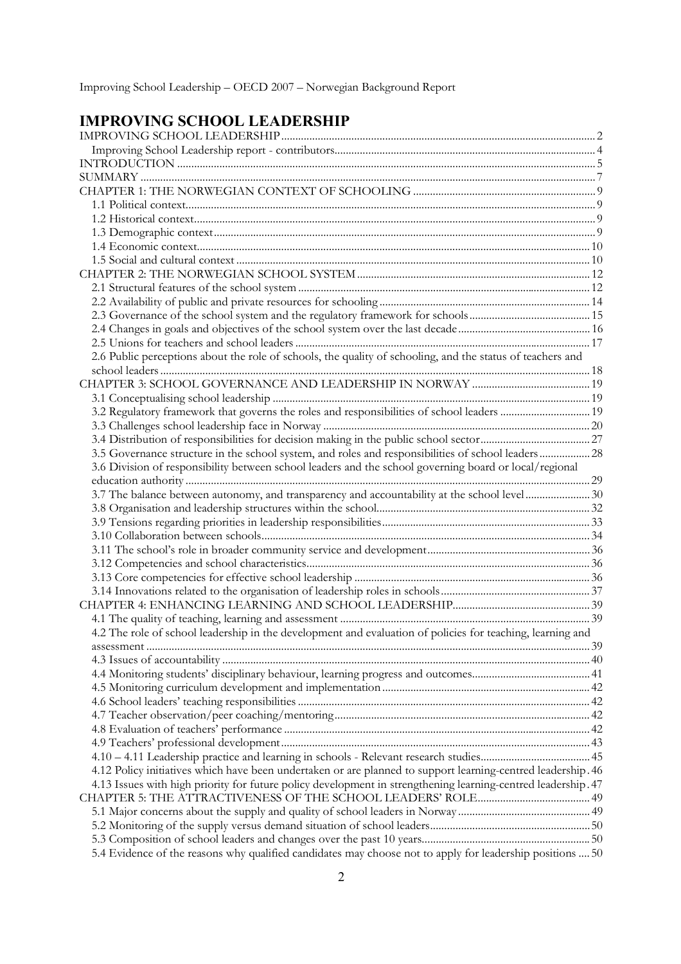| Improving School Leadership - OECD 2007 - Norwegian Background Report |
|-----------------------------------------------------------------------|
|-----------------------------------------------------------------------|

# **IMPROVING SCHOOL LEADERSHIP**

| 2.6 Public perceptions about the role of schools, the quality of schooling, and the status of teachers and    |  |
|---------------------------------------------------------------------------------------------------------------|--|
|                                                                                                               |  |
|                                                                                                               |  |
|                                                                                                               |  |
|                                                                                                               |  |
|                                                                                                               |  |
|                                                                                                               |  |
| 3.5 Governance structure in the school system, and roles and responsibilities of school leaders 28            |  |
| 3.6 Division of responsibility between school leaders and the school governing board or local/regional        |  |
|                                                                                                               |  |
| 3.7 The balance between autonomy, and transparency and accountability at the school level  30                 |  |
|                                                                                                               |  |
|                                                                                                               |  |
|                                                                                                               |  |
|                                                                                                               |  |
|                                                                                                               |  |
|                                                                                                               |  |
|                                                                                                               |  |
|                                                                                                               |  |
|                                                                                                               |  |
| 4.2 The role of school leadership in the development and evaluation of policies for teaching, learning and    |  |
|                                                                                                               |  |
|                                                                                                               |  |
|                                                                                                               |  |
|                                                                                                               |  |
|                                                                                                               |  |
|                                                                                                               |  |
|                                                                                                               |  |
|                                                                                                               |  |
|                                                                                                               |  |
| 4.12 Policy initiatives which have been undertaken or are planned to support learning-centred leadership. 46  |  |
| 4.13 Issues with high priority for future policy development in strengthening learning-centred leadership. 47 |  |
|                                                                                                               |  |
|                                                                                                               |  |
|                                                                                                               |  |
|                                                                                                               |  |
| 5.4 Evidence of the reasons why qualified candidates may choose not to apply for leadership positions  50     |  |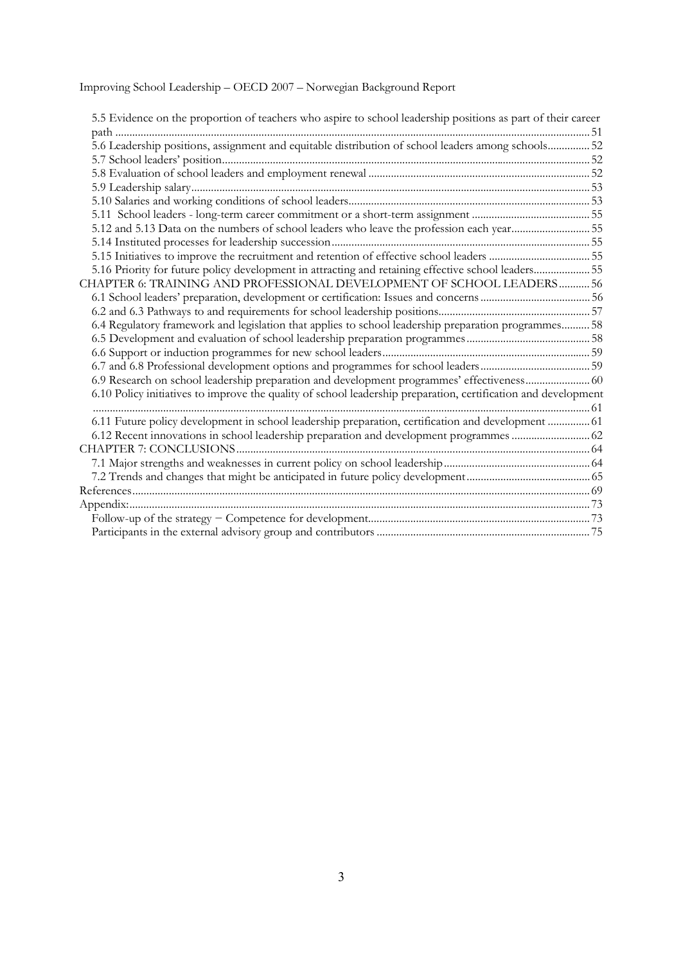| 5.5 Evidence on the proportion of teachers who aspire to school leadership positions as part of their career   |  |
|----------------------------------------------------------------------------------------------------------------|--|
|                                                                                                                |  |
| 5.6 Leadership positions, assignment and equitable distribution of school leaders among schools 52             |  |
|                                                                                                                |  |
|                                                                                                                |  |
|                                                                                                                |  |
|                                                                                                                |  |
|                                                                                                                |  |
| 5.12 and 5.13 Data on the numbers of school leaders who leave the profession each year55                       |  |
|                                                                                                                |  |
|                                                                                                                |  |
| 5.16 Priority for future policy development in attracting and retaining effective school leaders 55            |  |
| CHAPTER 6: TRAINING AND PROFESSIONAL DEVELOPMENT OF SCHOOL LEADERS 56                                          |  |
|                                                                                                                |  |
|                                                                                                                |  |
| 6.4 Regulatory framework and legislation that applies to school leadership preparation programmes 58           |  |
|                                                                                                                |  |
|                                                                                                                |  |
|                                                                                                                |  |
| 6.9 Research on school leadership preparation and development programmes' effectiveness 60                     |  |
| 6.10 Policy initiatives to improve the quality of school leadership preparation, certification and development |  |
|                                                                                                                |  |
| 6.11 Future policy development in school leadership preparation, certification and development  61             |  |
| 6.12 Recent innovations in school leadership preparation and development programmes  62                        |  |
|                                                                                                                |  |
|                                                                                                                |  |
|                                                                                                                |  |
|                                                                                                                |  |
|                                                                                                                |  |
|                                                                                                                |  |
|                                                                                                                |  |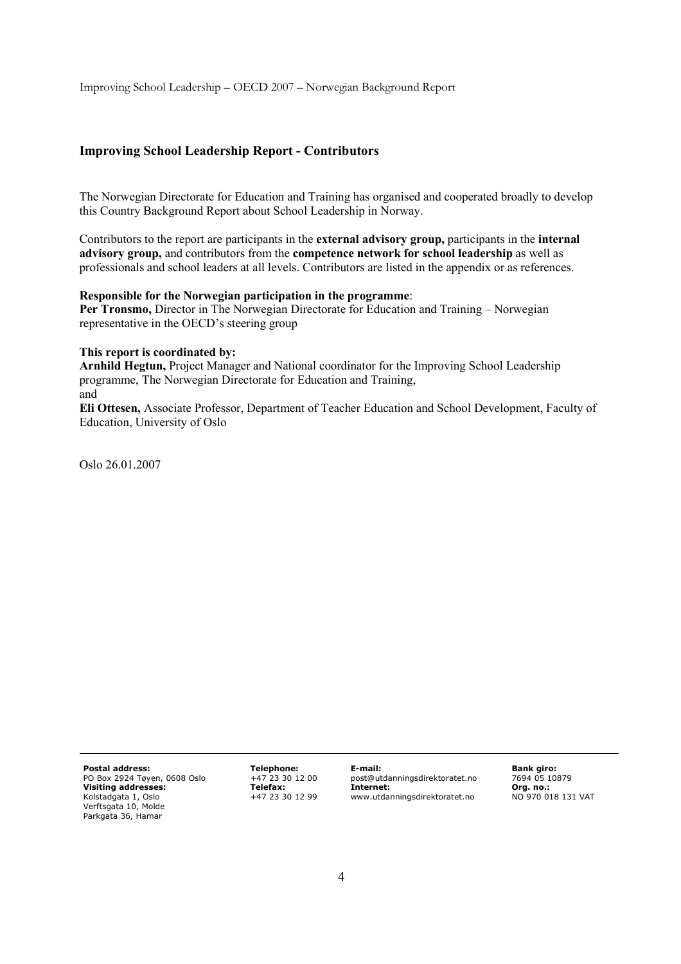## **Improving School Leadership Report - Contributors**

The Norwegian Directorate for Education and Training has organised and cooperated broadly to develop this Country Background Report about School Leadership in Norway.

Contributors to the report are participants in the **external advisory group,** participants in the **internal advisory group,** and contributors from the **competence network for school leadership** as well as professionals and school leaders at all levels. Contributors are listed in the appendix or as references.

#### **Responsible for the Norwegian participation in the programme**:

Per Tronsmo, Director in The Norwegian Directorate for Education and Training – Norwegian representative in the OECD's steering group

#### **This report is coordinated by:**

**Arnhild Hegtun,** Project Manager and National coordinator for the Improving School Leadership programme, The Norwegian Directorate for Education and Training, and

**Eli Ottesen,** Associate Professor, Department of Teacher Education and School Development, Faculty of Education, University of Oslo

Oslo 26.01.2007

**Postal address:**  PO Box 2924 Tøyen, 0608 Oslo **Visiting addresses:**  Kolstadgata 1, Oslo Verftsgata 10, Molde Parkgata 36, Hamar

**Telephone:**  +47 23 30 12 00 **Telefax:**  +47 23 30 12 99 **E-mail:**  post@utdanningsdirektoratet.no **Internet:**  www.utdanningsdirektoratet.no

**Bank giro:**  7694 05 10879 **Org. no.:**  NO 970 018 131 VAT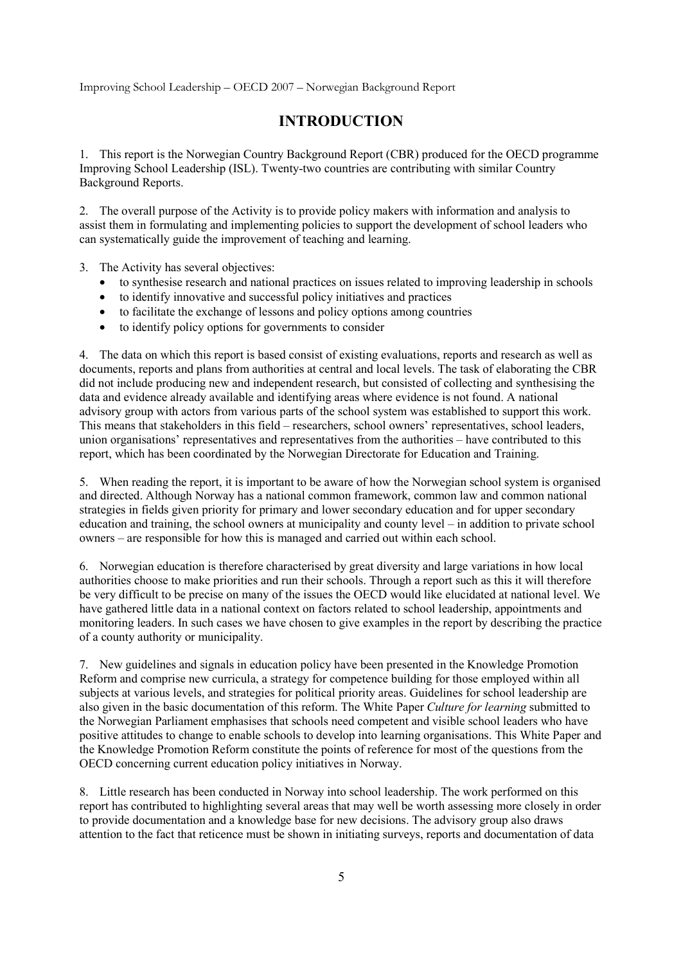# **INTRODUCTION**

1. This report is the Norwegian Country Background Report (CBR) produced for the OECD programme Improving School Leadership (ISL). Twenty-two countries are contributing with similar Country Background Reports.

2. The overall purpose of the Activity is to provide policy makers with information and analysis to assist them in formulating and implementing policies to support the development of school leaders who can systematically guide the improvement of teaching and learning.

3. The Activity has several objectives:

- to synthesise research and national practices on issues related to improving leadership in schools
- to identify innovative and successful policy initiatives and practices
- to facilitate the exchange of lessons and policy options among countries
- to identify policy options for governments to consider

4. The data on which this report is based consist of existing evaluations, reports and research as well as documents, reports and plans from authorities at central and local levels. The task of elaborating the CBR did not include producing new and independent research, but consisted of collecting and synthesising the data and evidence already available and identifying areas where evidence is not found. A national advisory group with actors from various parts of the school system was established to support this work. This means that stakeholders in this field – researchers, school owners' representatives, school leaders, union organisations' representatives and representatives from the authorities – have contributed to this report, which has been coordinated by the Norwegian Directorate for Education and Training.

5. When reading the report, it is important to be aware of how the Norwegian school system is organised and directed. Although Norway has a national common framework, common law and common national strategies in fields given priority for primary and lower secondary education and for upper secondary education and training, the school owners at municipality and county level – in addition to private school owners – are responsible for how this is managed and carried out within each school.

6. Norwegian education is therefore characterised by great diversity and large variations in how local authorities choose to make priorities and run their schools. Through a report such as this it will therefore be very difficult to be precise on many of the issues the OECD would like elucidated at national level. We have gathered little data in a national context on factors related to school leadership, appointments and monitoring leaders. In such cases we have chosen to give examples in the report by describing the practice of a county authority or municipality.

7. New guidelines and signals in education policy have been presented in the Knowledge Promotion Reform and comprise new curricula, a strategy for competence building for those employed within all subjects at various levels, and strategies for political priority areas. Guidelines for school leadership are also given in the basic documentation of this reform. The White Paper *Culture for learning* submitted to the Norwegian Parliament emphasises that schools need competent and visible school leaders who have positive attitudes to change to enable schools to develop into learning organisations. This White Paper and the Knowledge Promotion Reform constitute the points of reference for most of the questions from the OECD concerning current education policy initiatives in Norway.

8. Little research has been conducted in Norway into school leadership. The work performed on this report has contributed to highlighting several areas that may well be worth assessing more closely in order to provide documentation and a knowledge base for new decisions. The advisory group also draws attention to the fact that reticence must be shown in initiating surveys, reports and documentation of data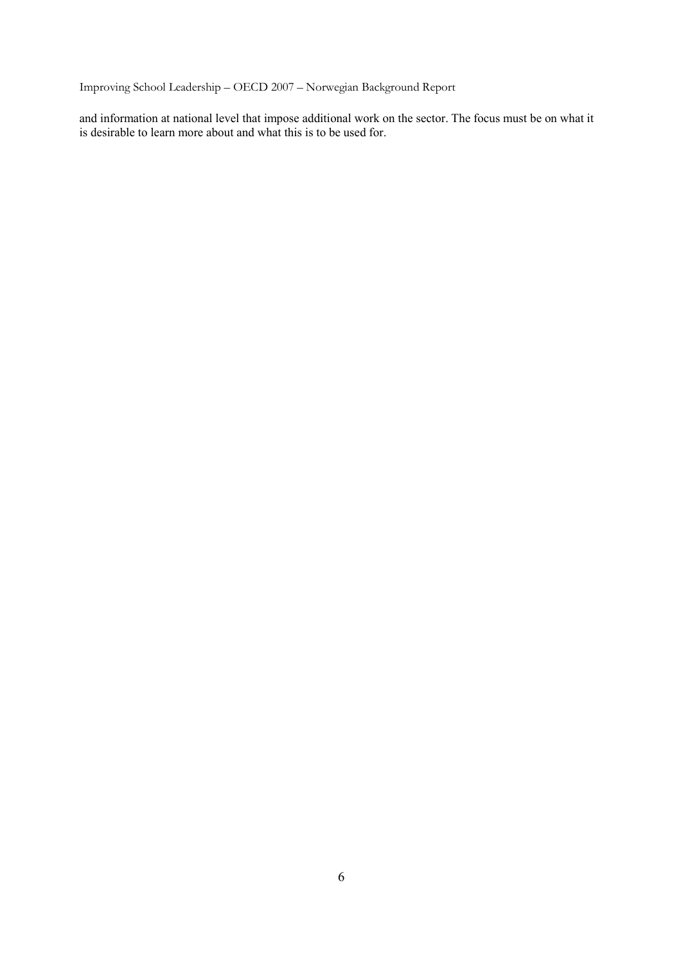and information at national level that impose additional work on the sector. The focus must be on what it is desirable to learn more about and what this is to be used for.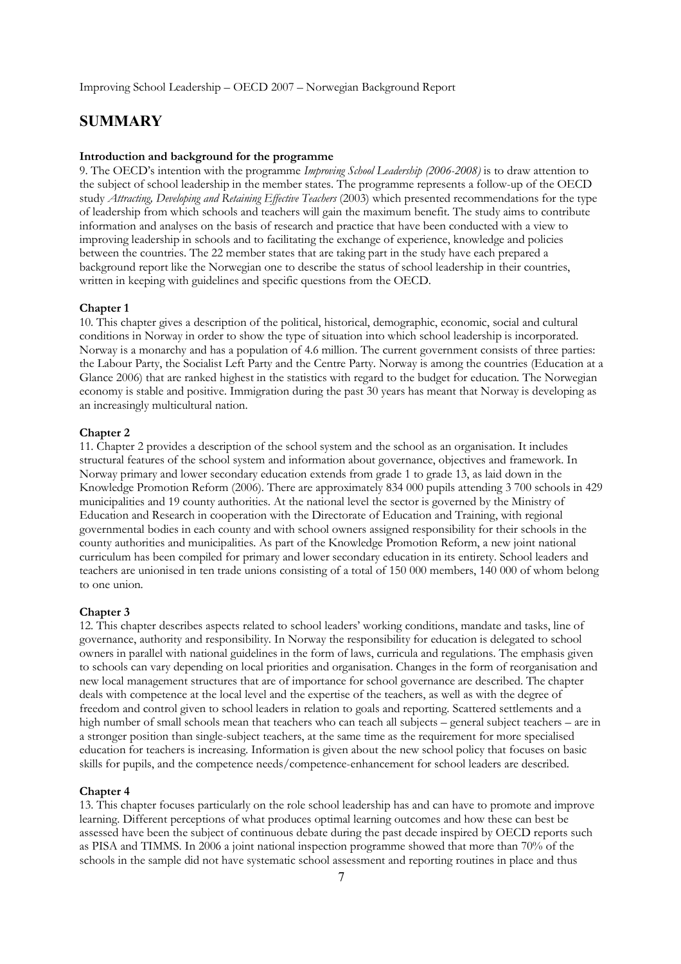# **SUMMARY**

#### **Introduction and background for the programme**

9. The OECD's intention with the programme *Improving School Leadership (2006-2008)* is to draw attention to the subject of school leadership in the member states. The programme represents a follow-up of the OECD study *Attracting, Developing and Retaining Effective Teachers* (2003) which presented recommendations for the type of leadership from which schools and teachers will gain the maximum benefit. The study aims to contribute information and analyses on the basis of research and practice that have been conducted with a view to improving leadership in schools and to facilitating the exchange of experience, knowledge and policies between the countries. The 22 member states that are taking part in the study have each prepared a background report like the Norwegian one to describe the status of school leadership in their countries, written in keeping with guidelines and specific questions from the OECD.

#### **Chapter 1**

10. This chapter gives a description of the political, historical, demographic, economic, social and cultural conditions in Norway in order to show the type of situation into which school leadership is incorporated. Norway is a monarchy and has a population of 4.6 million. The current government consists of three parties: the Labour Party, the Socialist Left Party and the Centre Party. Norway is among the countries (Education at a Glance 2006) that are ranked highest in the statistics with regard to the budget for education. The Norwegian economy is stable and positive. Immigration during the past 30 years has meant that Norway is developing as an increasingly multicultural nation.

#### **Chapter 2**

11. Chapter 2 provides a description of the school system and the school as an organisation. It includes structural features of the school system and information about governance, objectives and framework. In Norway primary and lower secondary education extends from grade 1 to grade 13, as laid down in the Knowledge Promotion Reform (2006). There are approximately 834 000 pupils attending 3 700 schools in 429 municipalities and 19 county authorities. At the national level the sector is governed by the Ministry of Education and Research in cooperation with the Directorate of Education and Training, with regional governmental bodies in each county and with school owners assigned responsibility for their schools in the county authorities and municipalities. As part of the Knowledge Promotion Reform, a new joint national curriculum has been compiled for primary and lower secondary education in its entirety. School leaders and teachers are unionised in ten trade unions consisting of a total of 150 000 members, 140 000 of whom belong to one union.

#### **Chapter 3**

12. This chapter describes aspects related to school leaders' working conditions, mandate and tasks, line of governance, authority and responsibility. In Norway the responsibility for education is delegated to school owners in parallel with national guidelines in the form of laws, curricula and regulations. The emphasis given to schools can vary depending on local priorities and organisation. Changes in the form of reorganisation and new local management structures that are of importance for school governance are described. The chapter deals with competence at the local level and the expertise of the teachers, as well as with the degree of freedom and control given to school leaders in relation to goals and reporting. Scattered settlements and a high number of small schools mean that teachers who can teach all subjects – general subject teachers – are in a stronger position than single-subject teachers, at the same time as the requirement for more specialised education for teachers is increasing. Information is given about the new school policy that focuses on basic skills for pupils, and the competence needs/competence-enhancement for school leaders are described.

#### **Chapter 4**

13. This chapter focuses particularly on the role school leadership has and can have to promote and improve learning. Different perceptions of what produces optimal learning outcomes and how these can best be assessed have been the subject of continuous debate during the past decade inspired by OECD reports such as PISA and TIMMS. In 2006 a joint national inspection programme showed that more than 70% of the schools in the sample did not have systematic school assessment and reporting routines in place and thus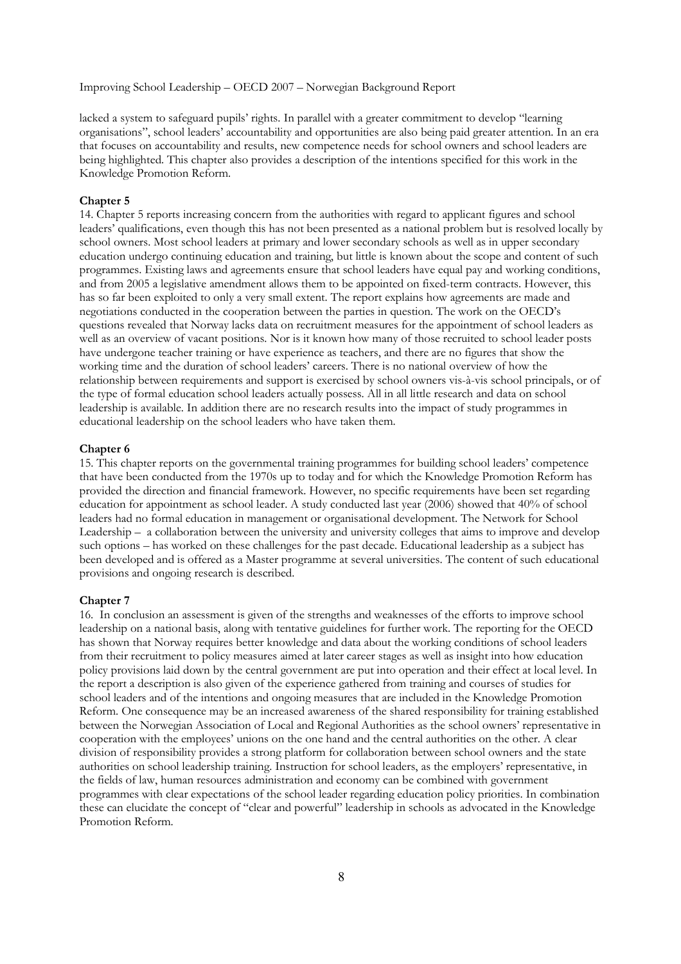lacked a system to safeguard pupils' rights. In parallel with a greater commitment to develop "learning organisations", school leaders' accountability and opportunities are also being paid greater attention. In an era that focuses on accountability and results, new competence needs for school owners and school leaders are being highlighted. This chapter also provides a description of the intentions specified for this work in the Knowledge Promotion Reform.

#### **Chapter 5**

14. Chapter 5 reports increasing concern from the authorities with regard to applicant figures and school leaders' qualifications, even though this has not been presented as a national problem but is resolved locally by school owners. Most school leaders at primary and lower secondary schools as well as in upper secondary education undergo continuing education and training, but little is known about the scope and content of such programmes. Existing laws and agreements ensure that school leaders have equal pay and working conditions, and from 2005 a legislative amendment allows them to be appointed on fixed-term contracts. However, this has so far been exploited to only a very small extent. The report explains how agreements are made and negotiations conducted in the cooperation between the parties in question. The work on the OECD's questions revealed that Norway lacks data on recruitment measures for the appointment of school leaders as well as an overview of vacant positions. Nor is it known how many of those recruited to school leader posts have undergone teacher training or have experience as teachers, and there are no figures that show the working time and the duration of school leaders' careers. There is no national overview of how the relationship between requirements and support is exercised by school owners vis-à-vis school principals, or of the type of formal education school leaders actually possess. All in all little research and data on school leadership is available. In addition there are no research results into the impact of study programmes in educational leadership on the school leaders who have taken them.

#### **Chapter 6**

15. This chapter reports on the governmental training programmes for building school leaders' competence that have been conducted from the 1970s up to today and for which the Knowledge Promotion Reform has provided the direction and financial framework. However, no specific requirements have been set regarding education for appointment as school leader. A study conducted last year (2006) showed that 40% of school leaders had no formal education in management or organisational development. The Network for School Leadership – a collaboration between the university and university colleges that aims to improve and develop such options – has worked on these challenges for the past decade. Educational leadership as a subject has been developed and is offered as a Master programme at several universities. The content of such educational provisions and ongoing research is described.

#### **Chapter 7**

16. In conclusion an assessment is given of the strengths and weaknesses of the efforts to improve school leadership on a national basis, along with tentative guidelines for further work. The reporting for the OECD has shown that Norway requires better knowledge and data about the working conditions of school leaders from their recruitment to policy measures aimed at later career stages as well as insight into how education policy provisions laid down by the central government are put into operation and their effect at local level. In the report a description is also given of the experience gathered from training and courses of studies for school leaders and of the intentions and ongoing measures that are included in the Knowledge Promotion Reform. One consequence may be an increased awareness of the shared responsibility for training established between the Norwegian Association of Local and Regional Authorities as the school owners' representative in cooperation with the employees' unions on the one hand and the central authorities on the other. A clear division of responsibility provides a strong platform for collaboration between school owners and the state authorities on school leadership training. Instruction for school leaders, as the employers' representative, in the fields of law, human resources administration and economy can be combined with government programmes with clear expectations of the school leader regarding education policy priorities. In combination these can elucidate the concept of "clear and powerful" leadership in schools as advocated in the Knowledge Promotion Reform.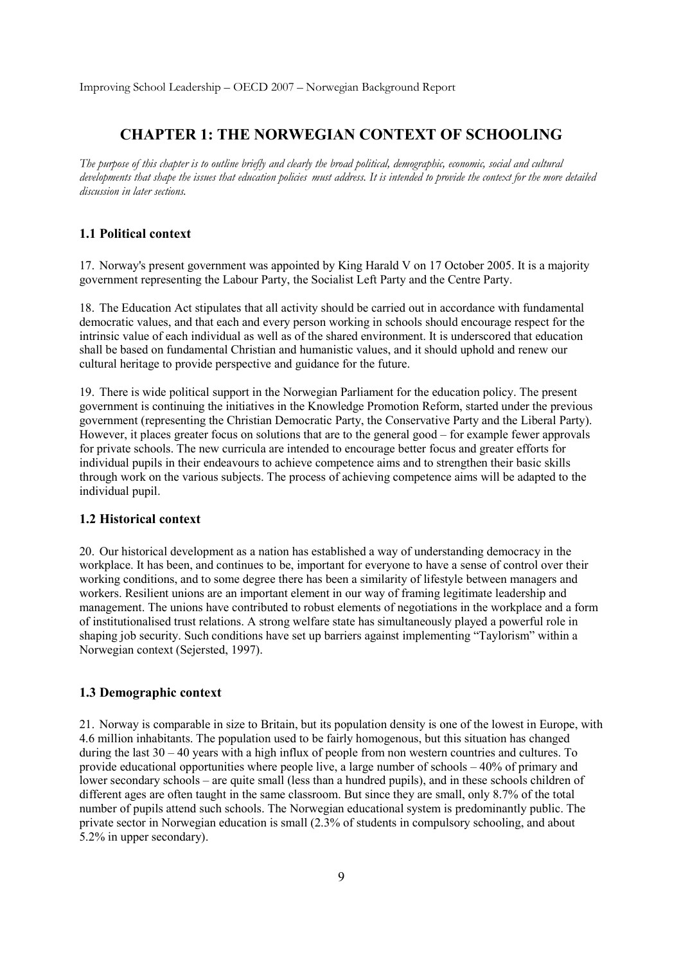# **CHAPTER 1: THE NORWEGIAN CONTEXT OF SCHOOLING**

*The purpose of this chapter is to outline briefly and clearly the broad political, demographic, economic, social and cultural developments that shape the issues that education policies must address. It is intended to provide the context for the more detailed discussion in later sections.* 

# **1.1 Political context**

17. Norway's present government was appointed by King Harald V on 17 October 2005. It is a majority government representing the Labour Party, the Socialist Left Party and the Centre Party.

18. The Education Act stipulates that all activity should be carried out in accordance with fundamental democratic values, and that each and every person working in schools should encourage respect for the intrinsic value of each individual as well as of the shared environment. It is underscored that education shall be based on fundamental Christian and humanistic values, and it should uphold and renew our cultural heritage to provide perspective and guidance for the future.

19. There is wide political support in the Norwegian Parliament for the education policy. The present government is continuing the initiatives in the Knowledge Promotion Reform, started under the previous government (representing the Christian Democratic Party, the Conservative Party and the Liberal Party). However, it places greater focus on solutions that are to the general good – for example fewer approvals for private schools. The new curricula are intended to encourage better focus and greater efforts for individual pupils in their endeavours to achieve competence aims and to strengthen their basic skills through work on the various subjects. The process of achieving competence aims will be adapted to the individual pupil.

## **1.2 Historical context**

20. Our historical development as a nation has established a way of understanding democracy in the workplace. It has been, and continues to be, important for everyone to have a sense of control over their working conditions, and to some degree there has been a similarity of lifestyle between managers and workers. Resilient unions are an important element in our way of framing legitimate leadership and management. The unions have contributed to robust elements of negotiations in the workplace and a form of institutionalised trust relations. A strong welfare state has simultaneously played a powerful role in shaping job security. Such conditions have set up barriers against implementing "Taylorism" within a Norwegian context (Sejersted, 1997).

## **1.3 Demographic context**

21. Norway is comparable in size to Britain, but its population density is one of the lowest in Europe, with 4.6 million inhabitants. The population used to be fairly homogenous, but this situation has changed during the last 30 – 40 years with a high influx of people from non western countries and cultures. To provide educational opportunities where people live, a large number of schools – 40% of primary and lower secondary schools – are quite small (less than a hundred pupils), and in these schools children of different ages are often taught in the same classroom. But since they are small, only 8.7% of the total number of pupils attend such schools. The Norwegian educational system is predominantly public. The private sector in Norwegian education is small (2.3% of students in compulsory schooling, and about 5.2% in upper secondary).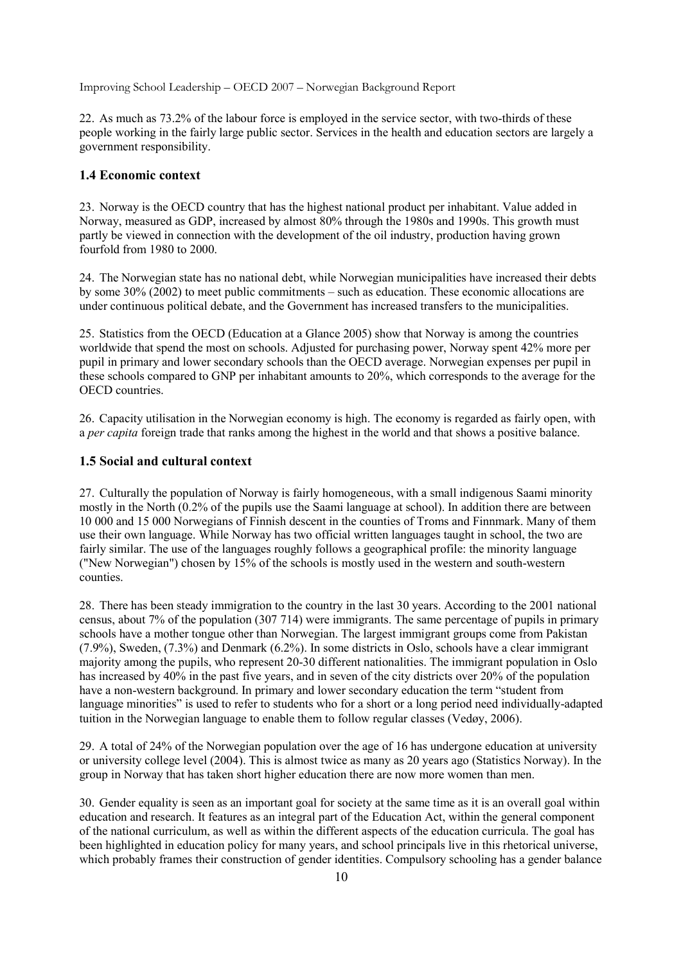22. As much as 73.2% of the labour force is employed in the service sector, with two-thirds of these people working in the fairly large public sector. Services in the health and education sectors are largely a government responsibility.

## **1.4 Economic context**

23. Norway is the OECD country that has the highest national product per inhabitant. Value added in Norway, measured as GDP, increased by almost 80% through the 1980s and 1990s. This growth must partly be viewed in connection with the development of the oil industry, production having grown fourfold from 1980 to 2000.

24. The Norwegian state has no national debt, while Norwegian municipalities have increased their debts by some 30% (2002) to meet public commitments – such as education. These economic allocations are under continuous political debate, and the Government has increased transfers to the municipalities.

25. Statistics from the OECD (Education at a Glance 2005) show that Norway is among the countries worldwide that spend the most on schools. Adjusted for purchasing power, Norway spent 42% more per pupil in primary and lower secondary schools than the OECD average. Norwegian expenses per pupil in these schools compared to GNP per inhabitant amounts to 20%, which corresponds to the average for the OECD countries.

26. Capacity utilisation in the Norwegian economy is high. The economy is regarded as fairly open, with a *per capita* foreign trade that ranks among the highest in the world and that shows a positive balance.

## **1.5 Social and cultural context**

27. Culturally the population of Norway is fairly homogeneous, with a small indigenous Saami minority mostly in the North (0.2% of the pupils use the Saami language at school). In addition there are between 10 000 and 15 000 Norwegians of Finnish descent in the counties of Troms and Finnmark. Many of them use their own language. While Norway has two official written languages taught in school, the two are fairly similar. The use of the languages roughly follows a geographical profile: the minority language ("New Norwegian") chosen by 15% of the schools is mostly used in the western and south-western counties.

28. There has been steady immigration to the country in the last 30 years. According to the 2001 national census, about 7% of the population (307 714) were immigrants. The same percentage of pupils in primary schools have a mother tongue other than Norwegian. The largest immigrant groups come from Pakistan (7.9%), Sweden, (7.3%) and Denmark (6.2%). In some districts in Oslo, schools have a clear immigrant majority among the pupils, who represent 20-30 different nationalities. The immigrant population in Oslo has increased by 40% in the past five years, and in seven of the city districts over 20% of the population have a non-western background. In primary and lower secondary education the term "student from language minorities" is used to refer to students who for a short or a long period need individually-adapted tuition in the Norwegian language to enable them to follow regular classes (Vedøy, 2006).

29. A total of 24% of the Norwegian population over the age of 16 has undergone education at university or university college level (2004). This is almost twice as many as 20 years ago (Statistics Norway). In the group in Norway that has taken short higher education there are now more women than men.

30. Gender equality is seen as an important goal for society at the same time as it is an overall goal within education and research. It features as an integral part of the Education Act, within the general component of the national curriculum, as well as within the different aspects of the education curricula. The goal has been highlighted in education policy for many years, and school principals live in this rhetorical universe, which probably frames their construction of gender identities. Compulsory schooling has a gender balance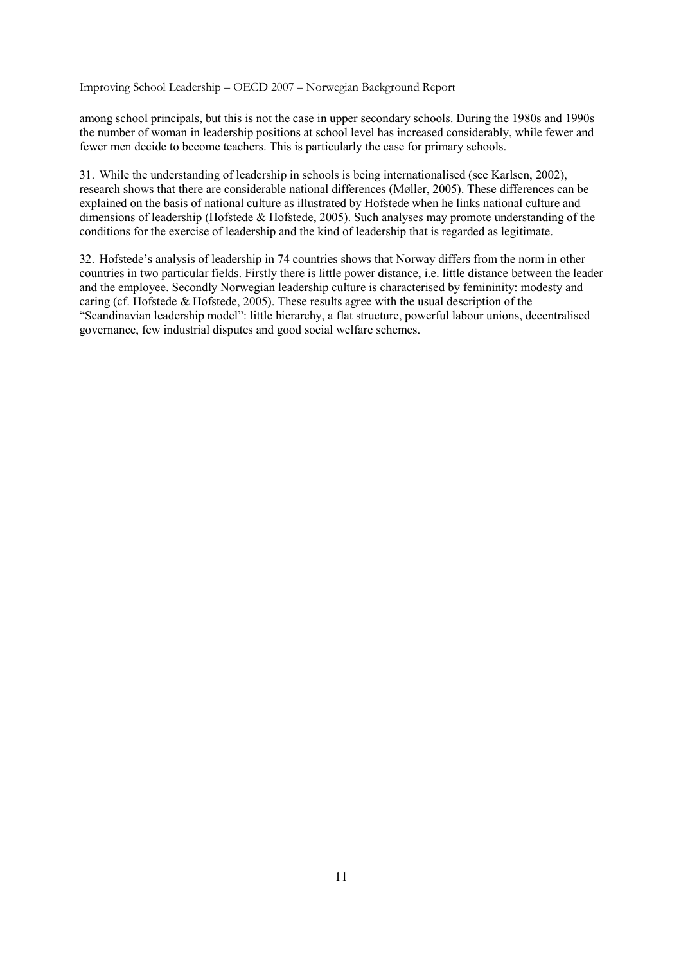among school principals, but this is not the case in upper secondary schools. During the 1980s and 1990s the number of woman in leadership positions at school level has increased considerably, while fewer and fewer men decide to become teachers. This is particularly the case for primary schools.

31. While the understanding of leadership in schools is being internationalised (see Karlsen, 2002), research shows that there are considerable national differences (Møller, 2005). These differences can be explained on the basis of national culture as illustrated by Hofstede when he links national culture and dimensions of leadership (Hofstede & Hofstede, 2005). Such analyses may promote understanding of the conditions for the exercise of leadership and the kind of leadership that is regarded as legitimate.

32. Hofstede's analysis of leadership in 74 countries shows that Norway differs from the norm in other countries in two particular fields. Firstly there is little power distance, i.e. little distance between the leader and the employee. Secondly Norwegian leadership culture is characterised by femininity: modesty and caring (cf. Hofstede & Hofstede, 2005). These results agree with the usual description of the "Scandinavian leadership model": little hierarchy, a flat structure, powerful labour unions, decentralised governance, few industrial disputes and good social welfare schemes.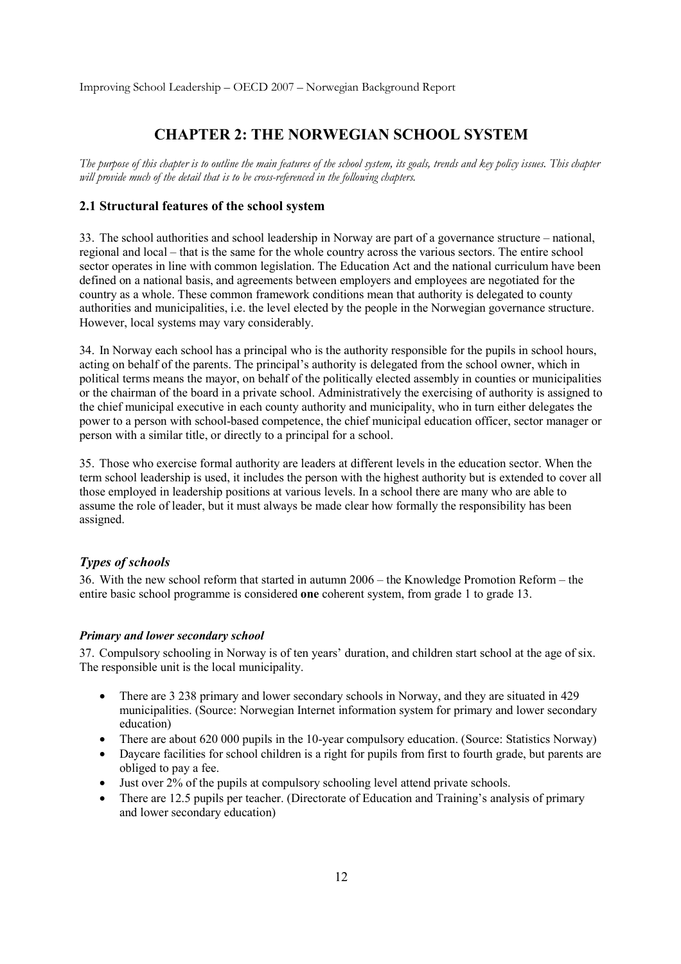# **CHAPTER 2: THE NORWEGIAN SCHOOL SYSTEM**

*The purpose of this chapter is to outline the main features of the school system, its goals, trends and key policy issues. This chapter will provide much of the detail that is to be cross-referenced in the following chapters.* 

## **2.1 Structural features of the school system**

33. The school authorities and school leadership in Norway are part of a governance structure – national, regional and local – that is the same for the whole country across the various sectors. The entire school sector operates in line with common legislation. The Education Act and the national curriculum have been defined on a national basis, and agreements between employers and employees are negotiated for the country as a whole. These common framework conditions mean that authority is delegated to county authorities and municipalities, i.e. the level elected by the people in the Norwegian governance structure. However, local systems may vary considerably.

34. In Norway each school has a principal who is the authority responsible for the pupils in school hours, acting on behalf of the parents. The principal's authority is delegated from the school owner, which in political terms means the mayor, on behalf of the politically elected assembly in counties or municipalities or the chairman of the board in a private school. Administratively the exercising of authority is assigned to the chief municipal executive in each county authority and municipality, who in turn either delegates the power to a person with school-based competence, the chief municipal education officer, sector manager or person with a similar title, or directly to a principal for a school.

35. Those who exercise formal authority are leaders at different levels in the education sector. When the term school leadership is used, it includes the person with the highest authority but is extended to cover all those employed in leadership positions at various levels. In a school there are many who are able to assume the role of leader, but it must always be made clear how formally the responsibility has been assigned.

## *Types of schools*

36. With the new school reform that started in autumn 2006 – the Knowledge Promotion Reform – the entire basic school programme is considered **one** coherent system, from grade 1 to grade 13.

#### *Primary and lower secondary school*

37. Compulsory schooling in Norway is of ten years' duration, and children start school at the age of six. The responsible unit is the local municipality.

- There are 3 238 primary and lower secondary schools in Norway, and they are situated in 429 municipalities. (Source: Norwegian Internet information system for primary and lower secondary education)
- There are about 620 000 pupils in the 10-year compulsory education. (Source: Statistics Norway)
- Daycare facilities for school children is a right for pupils from first to fourth grade, but parents are obliged to pay a fee.
- Just over 2% of the pupils at compulsory schooling level attend private schools.
- There are 12.5 pupils per teacher. (Directorate of Education and Training's analysis of primary and lower secondary education)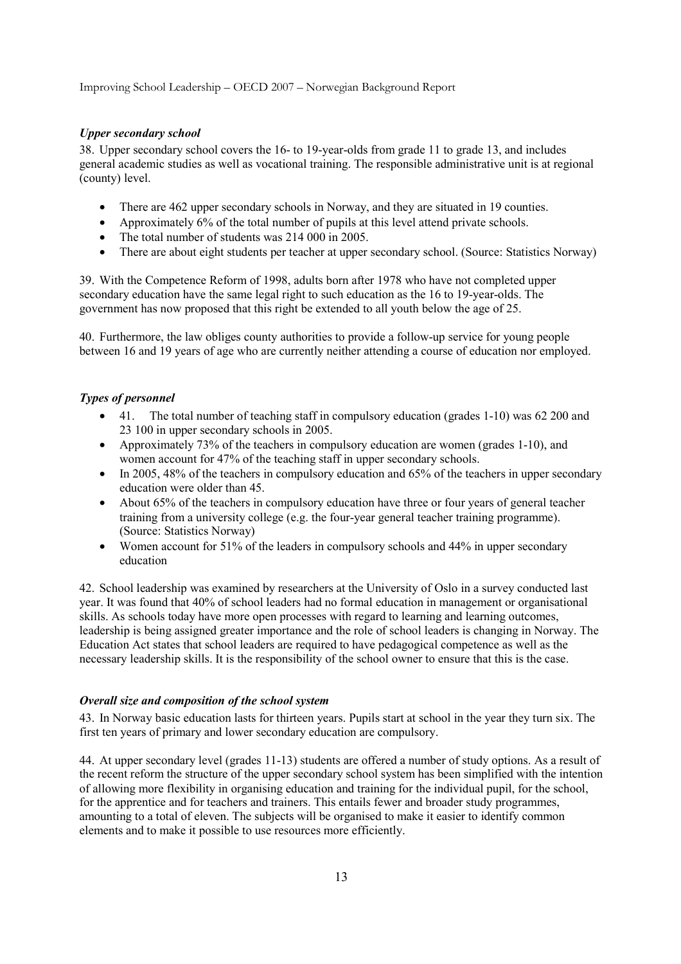## *Upper secondary school*

38. Upper secondary school covers the 16- to 19-year-olds from grade 11 to grade 13, and includes general academic studies as well as vocational training. The responsible administrative unit is at regional (county) level.

- There are 462 upper secondary schools in Norway, and they are situated in 19 counties.
- Approximately 6% of the total number of pupils at this level attend private schools.
- The total number of students was 214 000 in 2005.
- There are about eight students per teacher at upper secondary school. (Source: Statistics Norway)

39. With the Competence Reform of 1998, adults born after 1978 who have not completed upper secondary education have the same legal right to such education as the 16 to 19-year-olds. The government has now proposed that this right be extended to all youth below the age of 25.

40. Furthermore, the law obliges county authorities to provide a follow-up service for young people between 16 and 19 years of age who are currently neither attending a course of education nor employed.

## *Types of personnel*

- 41. The total number of teaching staff in compulsory education (grades 1-10) was 62 200 and 23 100 in upper secondary schools in 2005.
- Approximately 73% of the teachers in compulsory education are women (grades 1-10), and women account for 47% of the teaching staff in upper secondary schools.
- In 2005, 48% of the teachers in compulsory education and 65% of the teachers in upper secondary education were older than 45.
- About 65% of the teachers in compulsory education have three or four years of general teacher training from a university college (e.g. the four-year general teacher training programme). (Source: Statistics Norway)
- Women account for 51% of the leaders in compulsory schools and 44% in upper secondary education

42. School leadership was examined by researchers at the University of Oslo in a survey conducted last year. It was found that 40% of school leaders had no formal education in management or organisational skills. As schools today have more open processes with regard to learning and learning outcomes, leadership is being assigned greater importance and the role of school leaders is changing in Norway. The Education Act states that school leaders are required to have pedagogical competence as well as the necessary leadership skills. It is the responsibility of the school owner to ensure that this is the case.

#### *Overall size and composition of the school system*

43. In Norway basic education lasts for thirteen years. Pupils start at school in the year they turn six. The first ten years of primary and lower secondary education are compulsory.

44. At upper secondary level (grades 11-13) students are offered a number of study options. As a result of the recent reform the structure of the upper secondary school system has been simplified with the intention of allowing more flexibility in organising education and training for the individual pupil, for the school, for the apprentice and for teachers and trainers. This entails fewer and broader study programmes, amounting to a total of eleven. The subjects will be organised to make it easier to identify common elements and to make it possible to use resources more efficiently.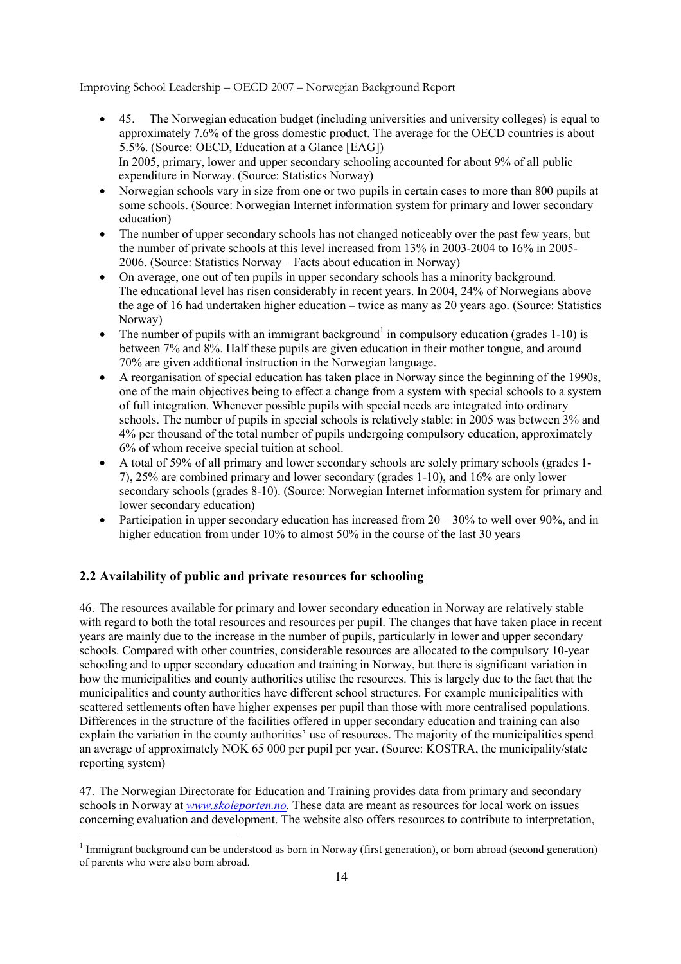- 45. The Norwegian education budget (including universities and university colleges) is equal to approximately 7.6% of the gross domestic product. The average for the OECD countries is about 5.5%. (Source: OECD, Education at a Glance [EAG]) In 2005, primary, lower and upper secondary schooling accounted for about 9% of all public expenditure in Norway. (Source: Statistics Norway)
- Norwegian schools vary in size from one or two pupils in certain cases to more than 800 pupils at some schools. (Source: Norwegian Internet information system for primary and lower secondary education)
- The number of upper secondary schools has not changed noticeably over the past few years, but the number of private schools at this level increased from 13% in 2003-2004 to 16% in 2005- 2006. (Source: Statistics Norway – Facts about education in Norway)
- On average, one out of ten pupils in upper secondary schools has a minority background. The educational level has risen considerably in recent years. In 2004, 24% of Norwegians above the age of 16 had undertaken higher education – twice as many as 20 years ago. (Source: Statistics Norway)
- The number of pupils with an immigrant background<sup>1</sup> in compulsory education (grades  $1-10$ ) is between 7% and 8%. Half these pupils are given education in their mother tongue, and around 70% are given additional instruction in the Norwegian language.
- A reorganisation of special education has taken place in Norway since the beginning of the 1990s, one of the main objectives being to effect a change from a system with special schools to a system of full integration. Whenever possible pupils with special needs are integrated into ordinary schools. The number of pupils in special schools is relatively stable: in 2005 was between 3% and 4% per thousand of the total number of pupils undergoing compulsory education, approximately 6% of whom receive special tuition at school.
- A total of 59% of all primary and lower secondary schools are solely primary schools (grades 1- 7), 25% are combined primary and lower secondary (grades 1-10), and 16% are only lower secondary schools (grades 8-10). (Source: Norwegian Internet information system for primary and lower secondary education)
- Participation in upper secondary education has increased from  $20 30\%$  to well over 90%, and in higher education from under 10% to almost 50% in the course of the last 30 years

## **2.2 Availability of public and private resources for schooling**

<u>.</u>

46. The resources available for primary and lower secondary education in Norway are relatively stable with regard to both the total resources and resources per pupil. The changes that have taken place in recent years are mainly due to the increase in the number of pupils, particularly in lower and upper secondary schools. Compared with other countries, considerable resources are allocated to the compulsory 10-year schooling and to upper secondary education and training in Norway, but there is significant variation in how the municipalities and county authorities utilise the resources. This is largely due to the fact that the municipalities and county authorities have different school structures. For example municipalities with scattered settlements often have higher expenses per pupil than those with more centralised populations. Differences in the structure of the facilities offered in upper secondary education and training can also explain the variation in the county authorities' use of resources. The majority of the municipalities spend an average of approximately NOK 65 000 per pupil per year. (Source: KOSTRA, the municipality/state reporting system)

47. The Norwegian Directorate for Education and Training provides data from primary and secondary schools in Norway at *www.skoleporten.no.* These data are meant as resources for local work on issues concerning evaluation and development. The website also offers resources to contribute to interpretation,

 $1$  Immigrant background can be understood as born in Norway (first generation), or born abroad (second generation) of parents who were also born abroad.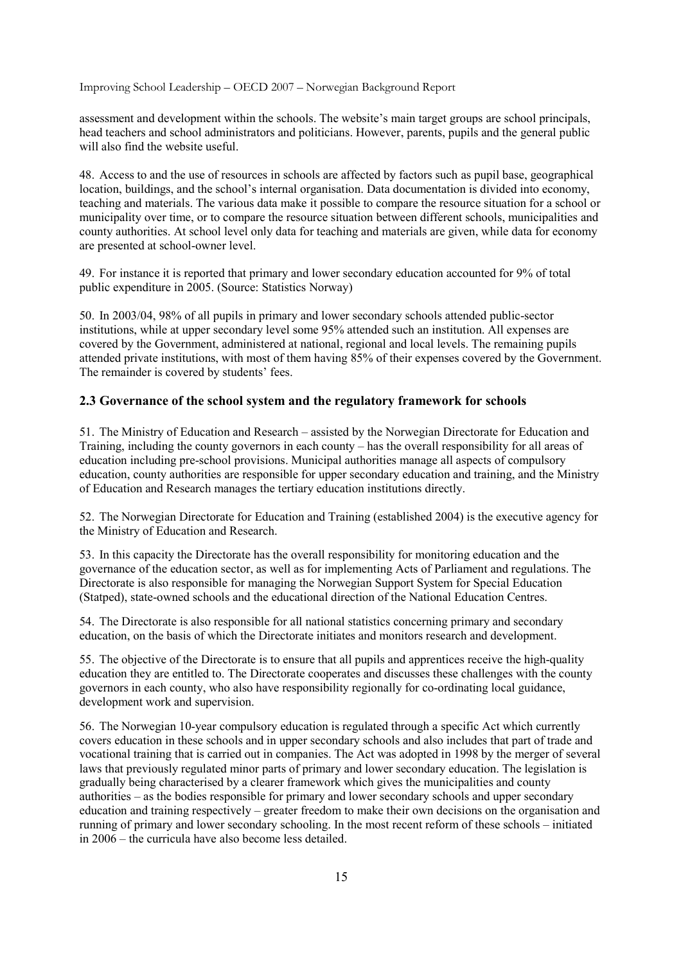assessment and development within the schools. The website's main target groups are school principals, head teachers and school administrators and politicians. However, parents, pupils and the general public will also find the website useful.

48. Access to and the use of resources in schools are affected by factors such as pupil base, geographical location, buildings, and the school's internal organisation. Data documentation is divided into economy, teaching and materials. The various data make it possible to compare the resource situation for a school or municipality over time, or to compare the resource situation between different schools, municipalities and county authorities. At school level only data for teaching and materials are given, while data for economy are presented at school-owner level.

49. For instance it is reported that primary and lower secondary education accounted for 9% of total public expenditure in 2005. (Source: Statistics Norway)

50. In 2003/04, 98% of all pupils in primary and lower secondary schools attended public-sector institutions, while at upper secondary level some 95% attended such an institution. All expenses are covered by the Government, administered at national, regional and local levels. The remaining pupils attended private institutions, with most of them having 85% of their expenses covered by the Government. The remainder is covered by students' fees.

## **2.3 Governance of the school system and the regulatory framework for schools**

51. The Ministry of Education and Research – assisted by the Norwegian Directorate for Education and Training, including the county governors in each county – has the overall responsibility for all areas of education including pre-school provisions. Municipal authorities manage all aspects of compulsory education, county authorities are responsible for upper secondary education and training, and the Ministry of Education and Research manages the tertiary education institutions directly.

52. The Norwegian Directorate for Education and Training (established 2004) is the executive agency for the Ministry of Education and Research.

53. In this capacity the Directorate has the overall responsibility for monitoring education and the governance of the education sector, as well as for implementing Acts of Parliament and regulations. The Directorate is also responsible for managing the Norwegian Support System for Special Education (Statped), state-owned schools and the educational direction of the National Education Centres.

54. The Directorate is also responsible for all national statistics concerning primary and secondary education, on the basis of which the Directorate initiates and monitors research and development.

55. The objective of the Directorate is to ensure that all pupils and apprentices receive the high-quality education they are entitled to. The Directorate cooperates and discusses these challenges with the county governors in each county, who also have responsibility regionally for co-ordinating local guidance, development work and supervision.

56. The Norwegian 10-year compulsory education is regulated through a specific Act which currently covers education in these schools and in upper secondary schools and also includes that part of trade and vocational training that is carried out in companies. The Act was adopted in 1998 by the merger of several laws that previously regulated minor parts of primary and lower secondary education. The legislation is gradually being characterised by a clearer framework which gives the municipalities and county authorities – as the bodies responsible for primary and lower secondary schools and upper secondary education and training respectively – greater freedom to make their own decisions on the organisation and running of primary and lower secondary schooling. In the most recent reform of these schools – initiated in 2006 – the curricula have also become less detailed.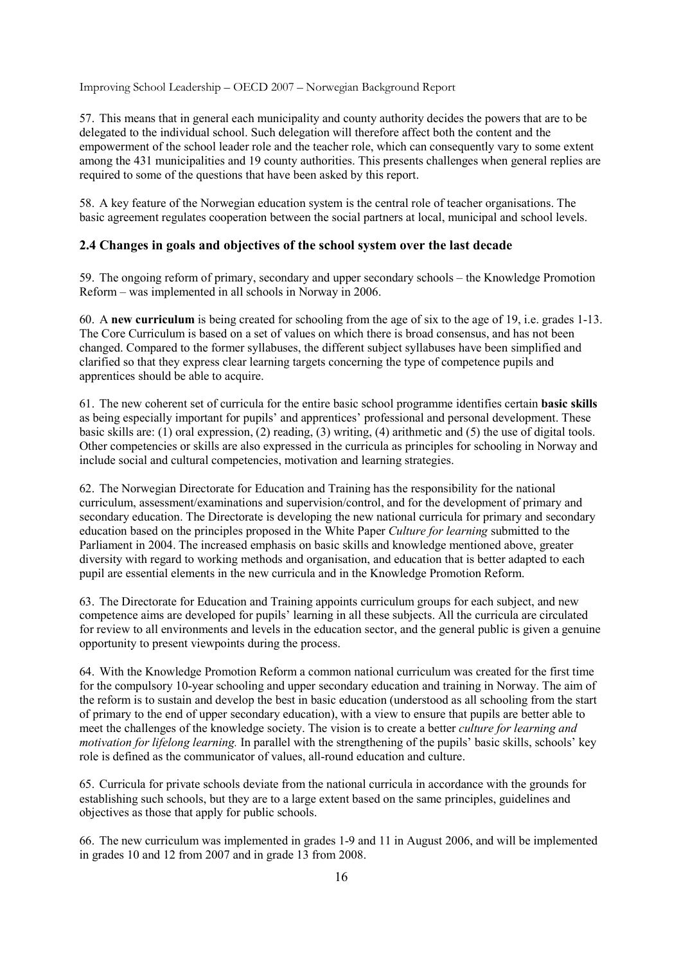57. This means that in general each municipality and county authority decides the powers that are to be delegated to the individual school. Such delegation will therefore affect both the content and the empowerment of the school leader role and the teacher role, which can consequently vary to some extent among the 431 municipalities and 19 county authorities. This presents challenges when general replies are required to some of the questions that have been asked by this report.

58. A key feature of the Norwegian education system is the central role of teacher organisations. The basic agreement regulates cooperation between the social partners at local, municipal and school levels.

## **2.4 Changes in goals and objectives of the school system over the last decade**

59. The ongoing reform of primary, secondary and upper secondary schools – the Knowledge Promotion Reform – was implemented in all schools in Norway in 2006.

60. A **new curriculum** is being created for schooling from the age of six to the age of 19, i.e. grades 1-13. The Core Curriculum is based on a set of values on which there is broad consensus, and has not been changed. Compared to the former syllabuses, the different subject syllabuses have been simplified and clarified so that they express clear learning targets concerning the type of competence pupils and apprentices should be able to acquire.

61. The new coherent set of curricula for the entire basic school programme identifies certain **basic skills** as being especially important for pupils' and apprentices' professional and personal development. These basic skills are: (1) oral expression, (2) reading, (3) writing, (4) arithmetic and (5) the use of digital tools. Other competencies or skills are also expressed in the curricula as principles for schooling in Norway and include social and cultural competencies, motivation and learning strategies.

62. The Norwegian Directorate for Education and Training has the responsibility for the national curriculum, assessment/examinations and supervision/control, and for the development of primary and secondary education. The Directorate is developing the new national curricula for primary and secondary education based on the principles proposed in the White Paper *Culture for learning* submitted to the Parliament in 2004. The increased emphasis on basic skills and knowledge mentioned above, greater diversity with regard to working methods and organisation, and education that is better adapted to each pupil are essential elements in the new curricula and in the Knowledge Promotion Reform.

63. The Directorate for Education and Training appoints curriculum groups for each subject, and new competence aims are developed for pupils' learning in all these subjects. All the curricula are circulated for review to all environments and levels in the education sector, and the general public is given a genuine opportunity to present viewpoints during the process.

64. With the Knowledge Promotion Reform a common national curriculum was created for the first time for the compulsory 10-year schooling and upper secondary education and training in Norway. The aim of the reform is to sustain and develop the best in basic education (understood as all schooling from the start of primary to the end of upper secondary education), with a view to ensure that pupils are better able to meet the challenges of the knowledge society. The vision is to create a better *culture for learning and motivation for lifelong learning.* In parallel with the strengthening of the pupils' basic skills, schools' key role is defined as the communicator of values, all-round education and culture.

65. Curricula for private schools deviate from the national curricula in accordance with the grounds for establishing such schools, but they are to a large extent based on the same principles, guidelines and objectives as those that apply for public schools.

66. The new curriculum was implemented in grades 1-9 and 11 in August 2006, and will be implemented in grades 10 and 12 from 2007 and in grade 13 from 2008.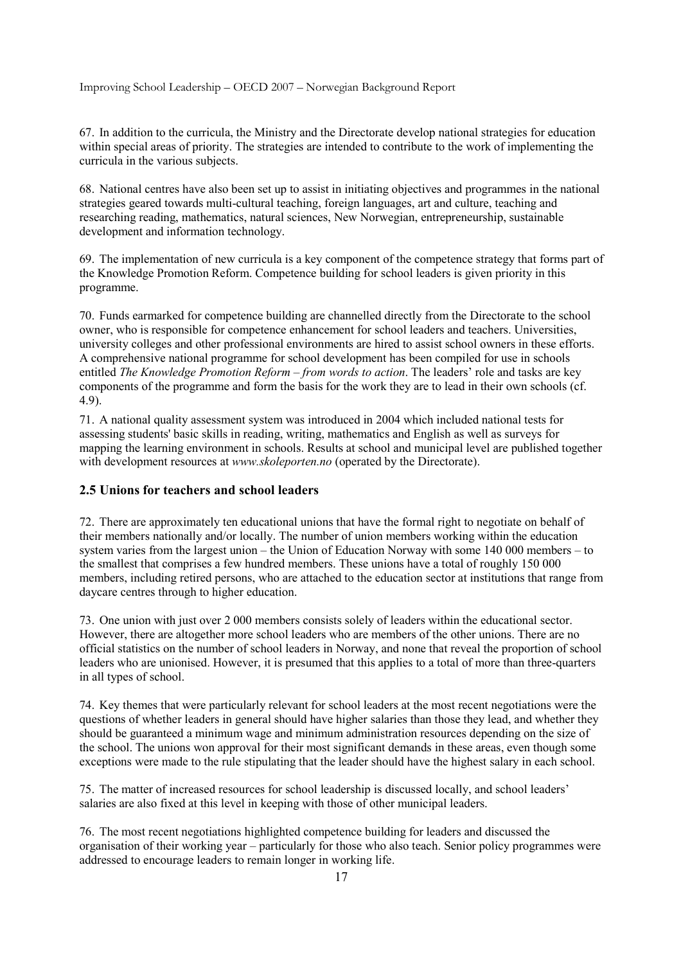67. In addition to the curricula, the Ministry and the Directorate develop national strategies for education within special areas of priority. The strategies are intended to contribute to the work of implementing the curricula in the various subjects.

68. National centres have also been set up to assist in initiating objectives and programmes in the national strategies geared towards multi-cultural teaching, foreign languages, art and culture, teaching and researching reading, mathematics, natural sciences, New Norwegian, entrepreneurship, sustainable development and information technology.

69. The implementation of new curricula is a key component of the competence strategy that forms part of the Knowledge Promotion Reform. Competence building for school leaders is given priority in this programme.

70. Funds earmarked for competence building are channelled directly from the Directorate to the school owner, who is responsible for competence enhancement for school leaders and teachers. Universities, university colleges and other professional environments are hired to assist school owners in these efforts. A comprehensive national programme for school development has been compiled for use in schools entitled *The Knowledge Promotion Reform – from words to action*. The leaders' role and tasks are key components of the programme and form the basis for the work they are to lead in their own schools (cf. 4.9).

71. A national quality assessment system was introduced in 2004 which included national tests for assessing students' basic skills in reading, writing, mathematics and English as well as surveys for mapping the learning environment in schools. Results at school and municipal level are published together with development resources at *www.skoleporten.no* (operated by the Directorate).

## **2.5 Unions for teachers and school leaders**

72. There are approximately ten educational unions that have the formal right to negotiate on behalf of their members nationally and/or locally. The number of union members working within the education system varies from the largest union – the Union of Education Norway with some 140 000 members – to the smallest that comprises a few hundred members. These unions have a total of roughly 150 000 members, including retired persons, who are attached to the education sector at institutions that range from daycare centres through to higher education.

73. One union with just over 2 000 members consists solely of leaders within the educational sector. However, there are altogether more school leaders who are members of the other unions. There are no official statistics on the number of school leaders in Norway, and none that reveal the proportion of school leaders who are unionised. However, it is presumed that this applies to a total of more than three-quarters in all types of school.

74. Key themes that were particularly relevant for school leaders at the most recent negotiations were the questions of whether leaders in general should have higher salaries than those they lead, and whether they should be guaranteed a minimum wage and minimum administration resources depending on the size of the school. The unions won approval for their most significant demands in these areas, even though some exceptions were made to the rule stipulating that the leader should have the highest salary in each school.

75. The matter of increased resources for school leadership is discussed locally, and school leaders' salaries are also fixed at this level in keeping with those of other municipal leaders.

76. The most recent negotiations highlighted competence building for leaders and discussed the organisation of their working year – particularly for those who also teach. Senior policy programmes were addressed to encourage leaders to remain longer in working life.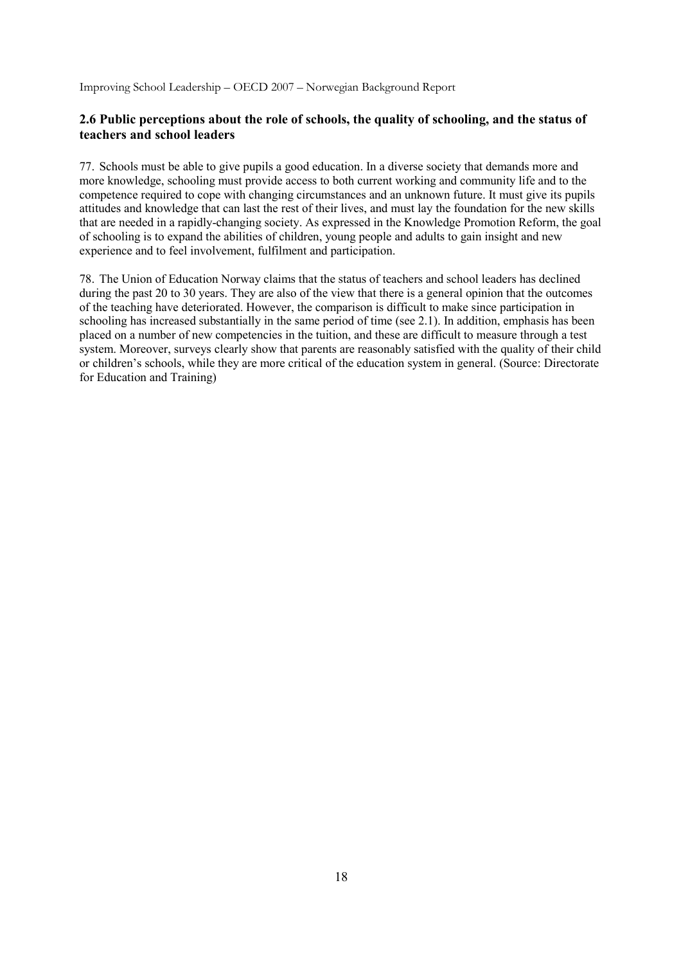## **2.6 Public perceptions about the role of schools, the quality of schooling, and the status of teachers and school leaders**

77. Schools must be able to give pupils a good education. In a diverse society that demands more and more knowledge, schooling must provide access to both current working and community life and to the competence required to cope with changing circumstances and an unknown future. It must give its pupils attitudes and knowledge that can last the rest of their lives, and must lay the foundation for the new skills that are needed in a rapidly-changing society. As expressed in the Knowledge Promotion Reform, the goal of schooling is to expand the abilities of children, young people and adults to gain insight and new experience and to feel involvement, fulfilment and participation.

78. The Union of Education Norway claims that the status of teachers and school leaders has declined during the past 20 to 30 years. They are also of the view that there is a general opinion that the outcomes of the teaching have deteriorated. However, the comparison is difficult to make since participation in schooling has increased substantially in the same period of time (see 2.1). In addition, emphasis has been placed on a number of new competencies in the tuition, and these are difficult to measure through a test system. Moreover, surveys clearly show that parents are reasonably satisfied with the quality of their child or children's schools, while they are more critical of the education system in general. (Source: Directorate for Education and Training)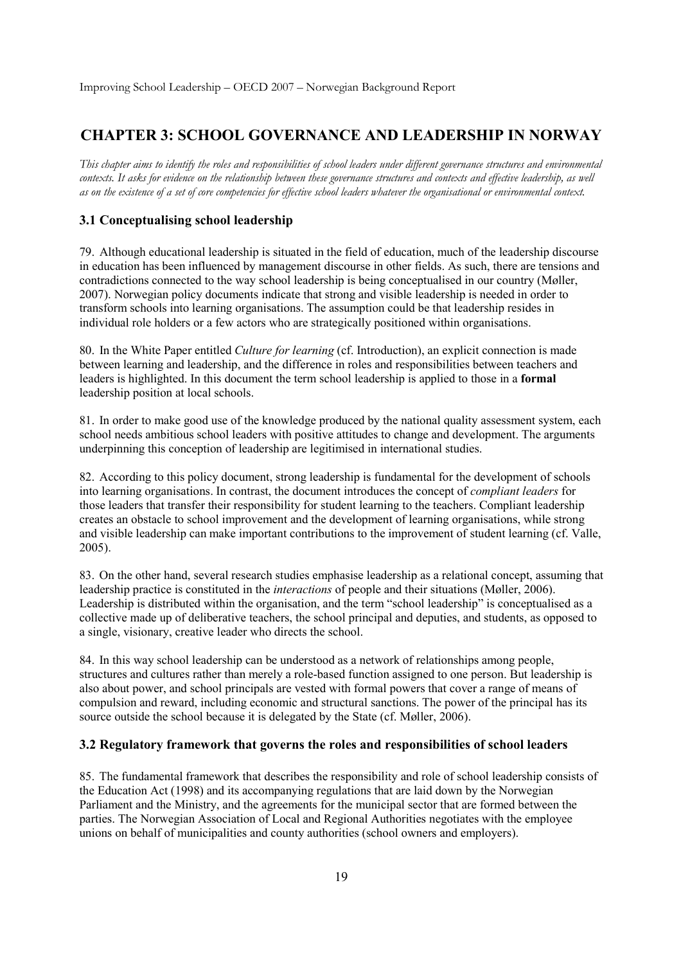# **CHAPTER 3: SCHOOL GOVERNANCE AND LEADERSHIP IN NORWAY**

*This chapter aims to identify the roles and responsibilities of school leaders under different governance structures and environmental contexts. It asks for evidence on the relationship between these governance structures and contexts and effective leadership, as well as on the existence of a set of core competencies for effective school leaders whatever the organisational or environmental context.* 

## **3.1 Conceptualising school leadership**

79. Although educational leadership is situated in the field of education, much of the leadership discourse in education has been influenced by management discourse in other fields. As such, there are tensions and contradictions connected to the way school leadership is being conceptualised in our country (Møller, 2007). Norwegian policy documents indicate that strong and visible leadership is needed in order to transform schools into learning organisations. The assumption could be that leadership resides in individual role holders or a few actors who are strategically positioned within organisations.

80. In the White Paper entitled *Culture for learning* (cf. Introduction), an explicit connection is made between learning and leadership, and the difference in roles and responsibilities between teachers and leaders is highlighted. In this document the term school leadership is applied to those in a **formal** leadership position at local schools.

81. In order to make good use of the knowledge produced by the national quality assessment system, each school needs ambitious school leaders with positive attitudes to change and development. The arguments underpinning this conception of leadership are legitimised in international studies.

82. According to this policy document, strong leadership is fundamental for the development of schools into learning organisations. In contrast, the document introduces the concept of *compliant leaders* for those leaders that transfer their responsibility for student learning to the teachers. Compliant leadership creates an obstacle to school improvement and the development of learning organisations, while strong and visible leadership can make important contributions to the improvement of student learning (cf. Valle, 2005).

83. On the other hand, several research studies emphasise leadership as a relational concept, assuming that leadership practice is constituted in the *interactions* of people and their situations (Møller, 2006). Leadership is distributed within the organisation, and the term "school leadership" is conceptualised as a collective made up of deliberative teachers, the school principal and deputies, and students, as opposed to a single, visionary, creative leader who directs the school.

84. In this way school leadership can be understood as a network of relationships among people, structures and cultures rather than merely a role-based function assigned to one person. But leadership is also about power, and school principals are vested with formal powers that cover a range of means of compulsion and reward, including economic and structural sanctions. The power of the principal has its source outside the school because it is delegated by the State (cf. Møller, 2006).

### **3.2 Regulatory framework that governs the roles and responsibilities of school leaders**

85. The fundamental framework that describes the responsibility and role of school leadership consists of the Education Act (1998) and its accompanying regulations that are laid down by the Norwegian Parliament and the Ministry, and the agreements for the municipal sector that are formed between the parties. The Norwegian Association of Local and Regional Authorities negotiates with the employee unions on behalf of municipalities and county authorities (school owners and employers).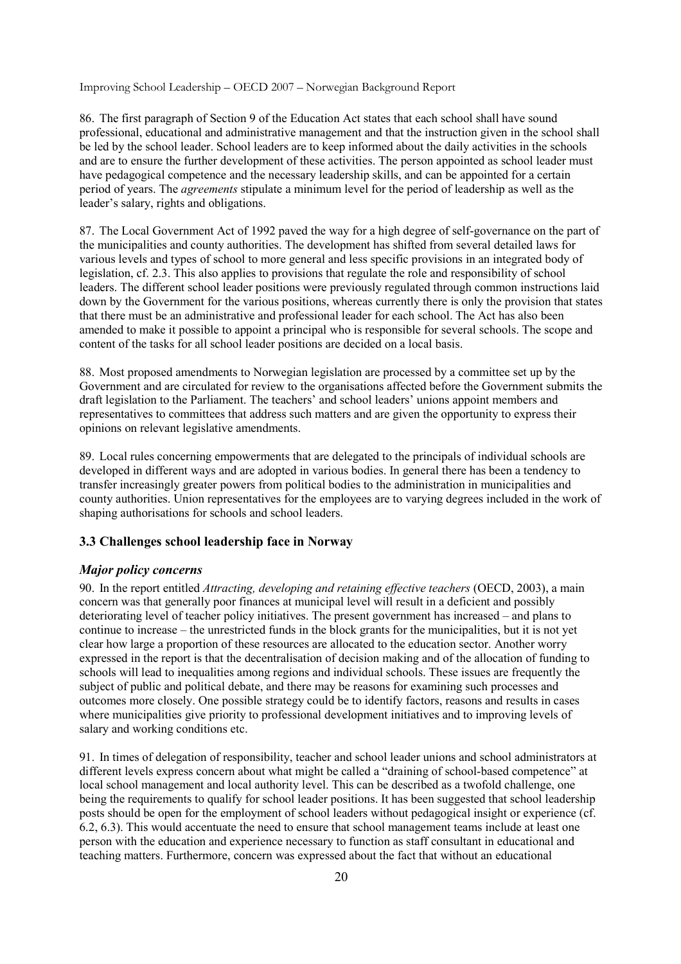86. The first paragraph of Section 9 of the Education Act states that each school shall have sound professional, educational and administrative management and that the instruction given in the school shall be led by the school leader. School leaders are to keep informed about the daily activities in the schools and are to ensure the further development of these activities. The person appointed as school leader must have pedagogical competence and the necessary leadership skills, and can be appointed for a certain period of years. The *agreements* stipulate a minimum level for the period of leadership as well as the leader's salary, rights and obligations.

87. The Local Government Act of 1992 paved the way for a high degree of self-governance on the part of the municipalities and county authorities. The development has shifted from several detailed laws for various levels and types of school to more general and less specific provisions in an integrated body of legislation, cf. 2.3. This also applies to provisions that regulate the role and responsibility of school leaders. The different school leader positions were previously regulated through common instructions laid down by the Government for the various positions, whereas currently there is only the provision that states that there must be an administrative and professional leader for each school. The Act has also been amended to make it possible to appoint a principal who is responsible for several schools. The scope and content of the tasks for all school leader positions are decided on a local basis.

88. Most proposed amendments to Norwegian legislation are processed by a committee set up by the Government and are circulated for review to the organisations affected before the Government submits the draft legislation to the Parliament. The teachers' and school leaders' unions appoint members and representatives to committees that address such matters and are given the opportunity to express their opinions on relevant legislative amendments.

89. Local rules concerning empowerments that are delegated to the principals of individual schools are developed in different ways and are adopted in various bodies. In general there has been a tendency to transfer increasingly greater powers from political bodies to the administration in municipalities and county authorities. Union representatives for the employees are to varying degrees included in the work of shaping authorisations for schools and school leaders.

## **3.3 Challenges school leadership face in Norway**

## *Major policy concerns*

90. In the report entitled *Attracting, developing and retaining effective teachers* (OECD, 2003), a main concern was that generally poor finances at municipal level will result in a deficient and possibly deteriorating level of teacher policy initiatives. The present government has increased – and plans to continue to increase – the unrestricted funds in the block grants for the municipalities, but it is not yet clear how large a proportion of these resources are allocated to the education sector. Another worry expressed in the report is that the decentralisation of decision making and of the allocation of funding to schools will lead to inequalities among regions and individual schools. These issues are frequently the subject of public and political debate, and there may be reasons for examining such processes and outcomes more closely. One possible strategy could be to identify factors, reasons and results in cases where municipalities give priority to professional development initiatives and to improving levels of salary and working conditions etc.

91. In times of delegation of responsibility, teacher and school leader unions and school administrators at different levels express concern about what might be called a "draining of school-based competence" at local school management and local authority level. This can be described as a twofold challenge, one being the requirements to qualify for school leader positions. It has been suggested that school leadership posts should be open for the employment of school leaders without pedagogical insight or experience (cf. 6.2, 6.3). This would accentuate the need to ensure that school management teams include at least one person with the education and experience necessary to function as staff consultant in educational and teaching matters. Furthermore, concern was expressed about the fact that without an educational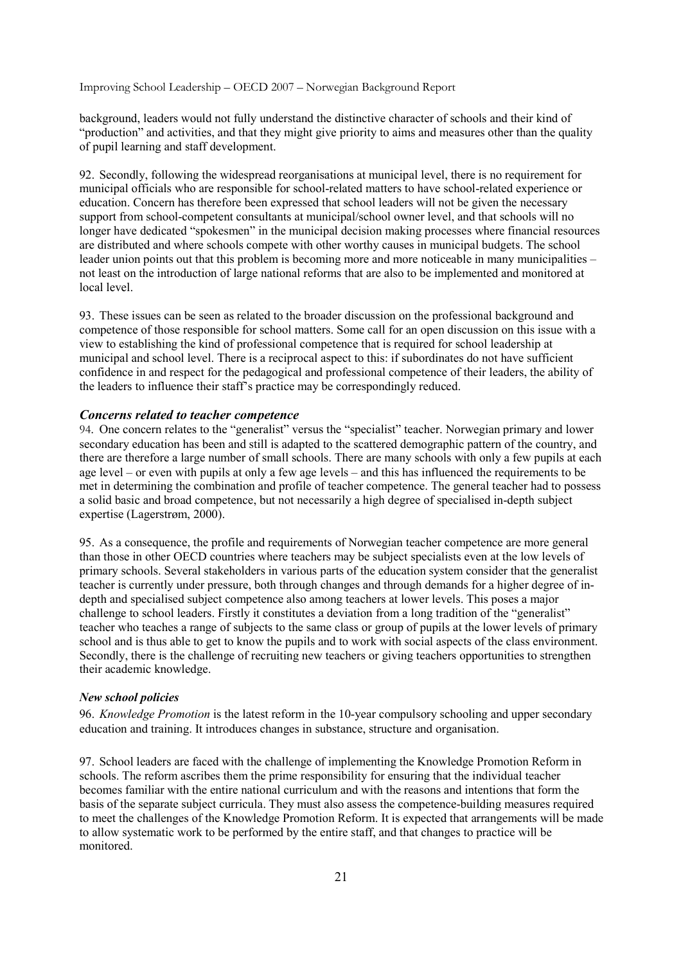background, leaders would not fully understand the distinctive character of schools and their kind of "production" and activities, and that they might give priority to aims and measures other than the quality of pupil learning and staff development.

92. Secondly, following the widespread reorganisations at municipal level, there is no requirement for municipal officials who are responsible for school-related matters to have school-related experience or education. Concern has therefore been expressed that school leaders will not be given the necessary support from school-competent consultants at municipal/school owner level, and that schools will no longer have dedicated "spokesmen" in the municipal decision making processes where financial resources are distributed and where schools compete with other worthy causes in municipal budgets. The school leader union points out that this problem is becoming more and more noticeable in many municipalities – not least on the introduction of large national reforms that are also to be implemented and monitored at local level.

93. These issues can be seen as related to the broader discussion on the professional background and competence of those responsible for school matters. Some call for an open discussion on this issue with a view to establishing the kind of professional competence that is required for school leadership at municipal and school level. There is a reciprocal aspect to this: if subordinates do not have sufficient confidence in and respect for the pedagogical and professional competence of their leaders, the ability of the leaders to influence their staff's practice may be correspondingly reduced.

#### *Concerns related to teacher competence*

94. One concern relates to the "generalist" versus the "specialist" teacher. Norwegian primary and lower secondary education has been and still is adapted to the scattered demographic pattern of the country, and there are therefore a large number of small schools. There are many schools with only a few pupils at each age level – or even with pupils at only a few age levels – and this has influenced the requirements to be met in determining the combination and profile of teacher competence. The general teacher had to possess a solid basic and broad competence, but not necessarily a high degree of specialised in-depth subject expertise (Lagerstrøm, 2000).

95. As a consequence, the profile and requirements of Norwegian teacher competence are more general than those in other OECD countries where teachers may be subject specialists even at the low levels of primary schools. Several stakeholders in various parts of the education system consider that the generalist teacher is currently under pressure, both through changes and through demands for a higher degree of indepth and specialised subject competence also among teachers at lower levels. This poses a major challenge to school leaders. Firstly it constitutes a deviation from a long tradition of the "generalist" teacher who teaches a range of subjects to the same class or group of pupils at the lower levels of primary school and is thus able to get to know the pupils and to work with social aspects of the class environment. Secondly, there is the challenge of recruiting new teachers or giving teachers opportunities to strengthen their academic knowledge.

#### *New school policies*

96. *Knowledge Promotion* is the latest reform in the 10-year compulsory schooling and upper secondary education and training. It introduces changes in substance, structure and organisation.

97. School leaders are faced with the challenge of implementing the Knowledge Promotion Reform in schools. The reform ascribes them the prime responsibility for ensuring that the individual teacher becomes familiar with the entire national curriculum and with the reasons and intentions that form the basis of the separate subject curricula. They must also assess the competence-building measures required to meet the challenges of the Knowledge Promotion Reform. It is expected that arrangements will be made to allow systematic work to be performed by the entire staff, and that changes to practice will be monitored.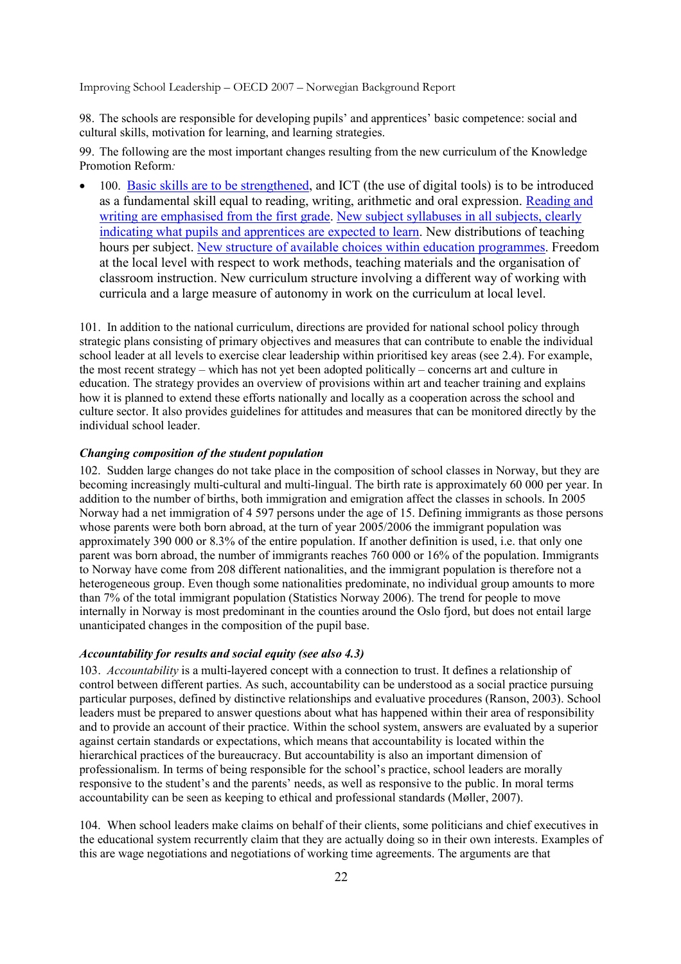98. The schools are responsible for developing pupils' and apprentices' basic competence: social and cultural skills, motivation for learning, and learning strategies.

99. The following are the most important changes resulting from the new curriculum of the Knowledge Promotion Reform*:* 

• 100. Basic skills are to be strengthened, and ICT (the use of digital tools) is to be introduced as a fundamental skill equal to reading, writing, arithmetic and oral expression. Reading and writing are emphasised from the first grade. New subject syllabuses in all subjects, clearly indicating what pupils and apprentices are expected to learn. New distributions of teaching hours per subject. New structure of available choices within education programmes. Freedom at the local level with respect to work methods, teaching materials and the organisation of classroom instruction. New curriculum structure involving a different way of working with curricula and a large measure of autonomy in work on the curriculum at local level.

101. In addition to the national curriculum, directions are provided for national school policy through strategic plans consisting of primary objectives and measures that can contribute to enable the individual school leader at all levels to exercise clear leadership within prioritised key areas (see 2.4). For example, the most recent strategy – which has not yet been adopted politically – concerns art and culture in education. The strategy provides an overview of provisions within art and teacher training and explains how it is planned to extend these efforts nationally and locally as a cooperation across the school and culture sector. It also provides guidelines for attitudes and measures that can be monitored directly by the individual school leader.

### *Changing composition of the student population*

102. Sudden large changes do not take place in the composition of school classes in Norway, but they are becoming increasingly multi-cultural and multi-lingual. The birth rate is approximately 60 000 per year. In addition to the number of births, both immigration and emigration affect the classes in schools. In 2005 Norway had a net immigration of 4 597 persons under the age of 15. Defining immigrants as those persons whose parents were both born abroad, at the turn of year 2005/2006 the immigrant population was approximately 390 000 or 8.3% of the entire population. If another definition is used, i.e. that only one parent was born abroad, the number of immigrants reaches 760 000 or 16% of the population. Immigrants to Norway have come from 208 different nationalities, and the immigrant population is therefore not a heterogeneous group. Even though some nationalities predominate, no individual group amounts to more than 7% of the total immigrant population (Statistics Norway 2006). The trend for people to move internally in Norway is most predominant in the counties around the Oslo fjord, but does not entail large unanticipated changes in the composition of the pupil base.

## *Accountability for results and social equity (see also 4.3)*

103. *Accountability* is a multi-layered concept with a connection to trust. It defines a relationship of control between different parties. As such, accountability can be understood as a social practice pursuing particular purposes, defined by distinctive relationships and evaluative procedures (Ranson, 2003). School leaders must be prepared to answer questions about what has happened within their area of responsibility and to provide an account of their practice. Within the school system, answers are evaluated by a superior against certain standards or expectations, which means that accountability is located within the hierarchical practices of the bureaucracy. But accountability is also an important dimension of professionalism. In terms of being responsible for the school's practice, school leaders are morally responsive to the student's and the parents' needs, as well as responsive to the public. In moral terms accountability can be seen as keeping to ethical and professional standards (Møller, 2007).

104. When school leaders make claims on behalf of their clients, some politicians and chief executives in the educational system recurrently claim that they are actually doing so in their own interests. Examples of this are wage negotiations and negotiations of working time agreements. The arguments are that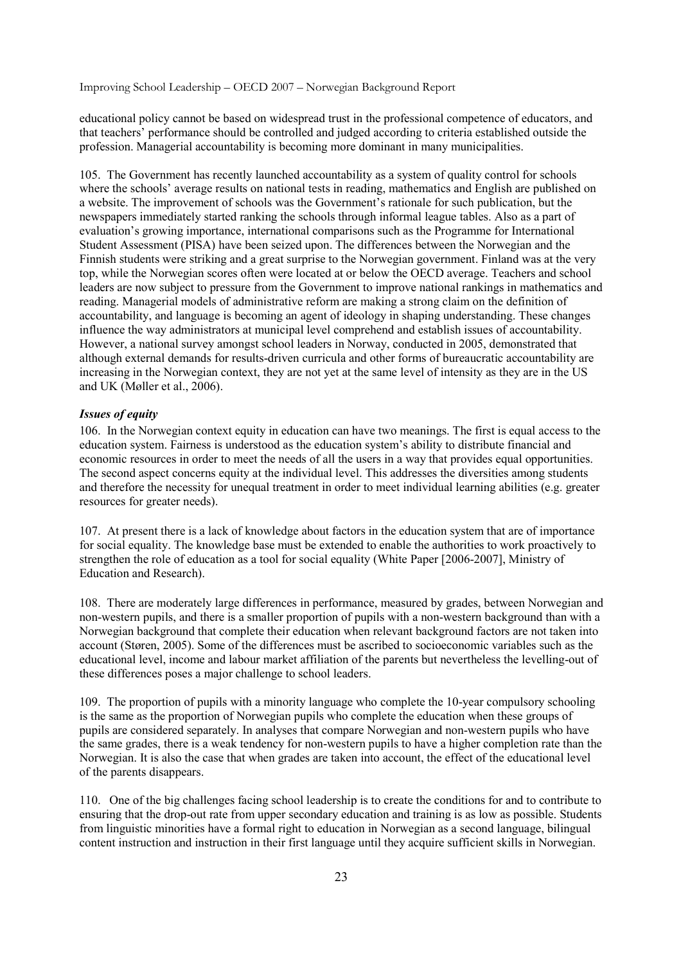educational policy cannot be based on widespread trust in the professional competence of educators, and that teachers' performance should be controlled and judged according to criteria established outside the profession. Managerial accountability is becoming more dominant in many municipalities.

105. The Government has recently launched accountability as a system of quality control for schools where the schools' average results on national tests in reading, mathematics and English are published on a website. The improvement of schools was the Government's rationale for such publication, but the newspapers immediately started ranking the schools through informal league tables. Also as a part of evaluation's growing importance, international comparisons such as the Programme for International Student Assessment (PISA) have been seized upon. The differences between the Norwegian and the Finnish students were striking and a great surprise to the Norwegian government. Finland was at the very top, while the Norwegian scores often were located at or below the OECD average. Teachers and school leaders are now subject to pressure from the Government to improve national rankings in mathematics and reading. Managerial models of administrative reform are making a strong claim on the definition of accountability, and language is becoming an agent of ideology in shaping understanding. These changes influence the way administrators at municipal level comprehend and establish issues of accountability. However, a national survey amongst school leaders in Norway, conducted in 2005, demonstrated that although external demands for results-driven curricula and other forms of bureaucratic accountability are increasing in the Norwegian context, they are not yet at the same level of intensity as they are in the US and UK (Møller et al., 2006).

#### *Issues of equity*

106. In the Norwegian context equity in education can have two meanings. The first is equal access to the education system. Fairness is understood as the education system's ability to distribute financial and economic resources in order to meet the needs of all the users in a way that provides equal opportunities. The second aspect concerns equity at the individual level. This addresses the diversities among students and therefore the necessity for unequal treatment in order to meet individual learning abilities (e.g. greater resources for greater needs).

107. At present there is a lack of knowledge about factors in the education system that are of importance for social equality. The knowledge base must be extended to enable the authorities to work proactively to strengthen the role of education as a tool for social equality (White Paper [2006-2007], Ministry of Education and Research).

108. There are moderately large differences in performance, measured by grades, between Norwegian and non-western pupils, and there is a smaller proportion of pupils with a non-western background than with a Norwegian background that complete their education when relevant background factors are not taken into account (Støren, 2005). Some of the differences must be ascribed to socioeconomic variables such as the educational level, income and labour market affiliation of the parents but nevertheless the levelling-out of these differences poses a major challenge to school leaders.

109. The proportion of pupils with a minority language who complete the 10-year compulsory schooling is the same as the proportion of Norwegian pupils who complete the education when these groups of pupils are considered separately. In analyses that compare Norwegian and non-western pupils who have the same grades, there is a weak tendency for non-western pupils to have a higher completion rate than the Norwegian. It is also the case that when grades are taken into account, the effect of the educational level of the parents disappears.

110. One of the big challenges facing school leadership is to create the conditions for and to contribute to ensuring that the drop-out rate from upper secondary education and training is as low as possible. Students from linguistic minorities have a formal right to education in Norwegian as a second language, bilingual content instruction and instruction in their first language until they acquire sufficient skills in Norwegian.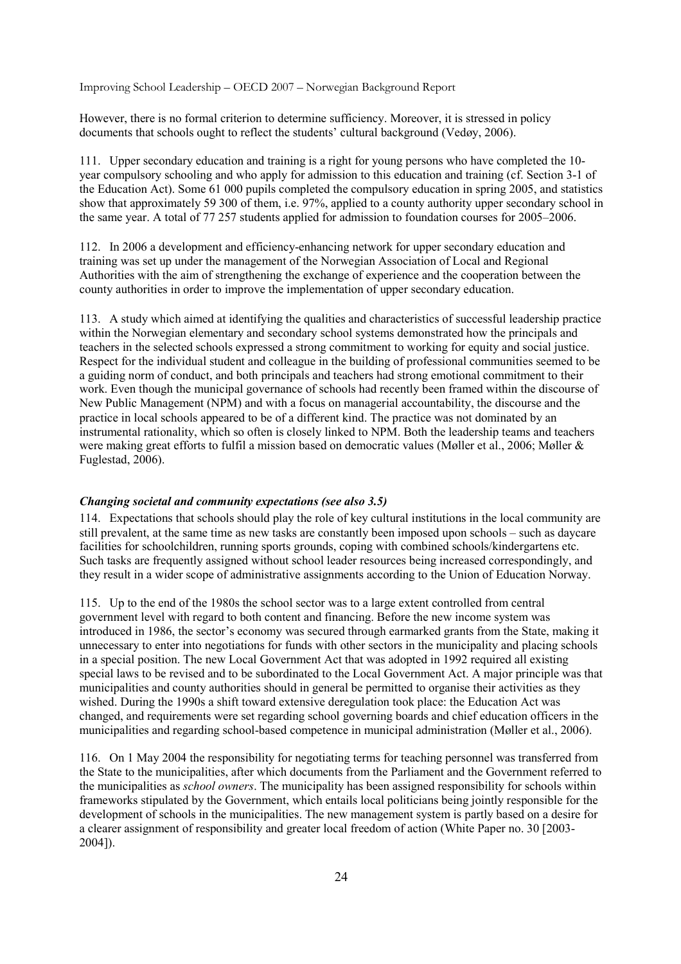However, there is no formal criterion to determine sufficiency. Moreover, it is stressed in policy documents that schools ought to reflect the students' cultural background (Vedøy, 2006).

111. Upper secondary education and training is a right for young persons who have completed the 10 year compulsory schooling and who apply for admission to this education and training (cf. Section 3-1 of the Education Act). Some 61 000 pupils completed the compulsory education in spring 2005, and statistics show that approximately 59 300 of them, i.e. 97%, applied to a county authority upper secondary school in the same year. A total of 77 257 students applied for admission to foundation courses for 2005–2006.

112. In 2006 a development and efficiency-enhancing network for upper secondary education and training was set up under the management of the Norwegian Association of Local and Regional Authorities with the aim of strengthening the exchange of experience and the cooperation between the county authorities in order to improve the implementation of upper secondary education.

113. A study which aimed at identifying the qualities and characteristics of successful leadership practice within the Norwegian elementary and secondary school systems demonstrated how the principals and teachers in the selected schools expressed a strong commitment to working for equity and social justice. Respect for the individual student and colleague in the building of professional communities seemed to be a guiding norm of conduct, and both principals and teachers had strong emotional commitment to their work. Even though the municipal governance of schools had recently been framed within the discourse of New Public Management (NPM) and with a focus on managerial accountability, the discourse and the practice in local schools appeared to be of a different kind. The practice was not dominated by an instrumental rationality, which so often is closely linked to NPM. Both the leadership teams and teachers were making great efforts to fulfil a mission based on democratic values (Møller et al., 2006; Møller & Fuglestad, 2006).

#### *Changing societal and community expectations (see also 3.5)*

114. Expectations that schools should play the role of key cultural institutions in the local community are still prevalent, at the same time as new tasks are constantly been imposed upon schools – such as daycare facilities for schoolchildren, running sports grounds, coping with combined schools/kindergartens etc. Such tasks are frequently assigned without school leader resources being increased correspondingly, and they result in a wider scope of administrative assignments according to the Union of Education Norway.

115. Up to the end of the 1980s the school sector was to a large extent controlled from central government level with regard to both content and financing. Before the new income system was introduced in 1986, the sector's economy was secured through earmarked grants from the State, making it unnecessary to enter into negotiations for funds with other sectors in the municipality and placing schools in a special position. The new Local Government Act that was adopted in 1992 required all existing special laws to be revised and to be subordinated to the Local Government Act. A major principle was that municipalities and county authorities should in general be permitted to organise their activities as they wished. During the 1990s a shift toward extensive deregulation took place: the Education Act was changed, and requirements were set regarding school governing boards and chief education officers in the municipalities and regarding school-based competence in municipal administration (Møller et al., 2006).

116. On 1 May 2004 the responsibility for negotiating terms for teaching personnel was transferred from the State to the municipalities, after which documents from the Parliament and the Government referred to the municipalities as *school owners*. The municipality has been assigned responsibility for schools within frameworks stipulated by the Government, which entails local politicians being jointly responsible for the development of schools in the municipalities. The new management system is partly based on a desire for a clearer assignment of responsibility and greater local freedom of action (White Paper no. 30 [2003- 2004]).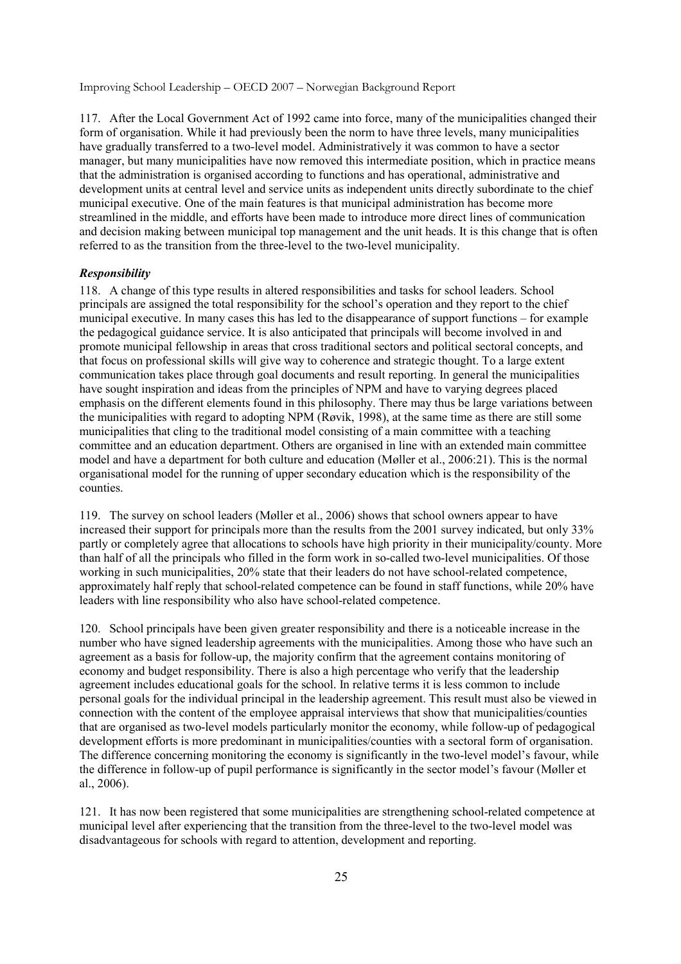117. After the Local Government Act of 1992 came into force, many of the municipalities changed their form of organisation. While it had previously been the norm to have three levels, many municipalities have gradually transferred to a two-level model. Administratively it was common to have a sector manager, but many municipalities have now removed this intermediate position, which in practice means that the administration is organised according to functions and has operational, administrative and development units at central level and service units as independent units directly subordinate to the chief municipal executive. One of the main features is that municipal administration has become more streamlined in the middle, and efforts have been made to introduce more direct lines of communication and decision making between municipal top management and the unit heads. It is this change that is often referred to as the transition from the three-level to the two-level municipality.

#### *Responsibility*

118. A change of this type results in altered responsibilities and tasks for school leaders. School principals are assigned the total responsibility for the school's operation and they report to the chief municipal executive. In many cases this has led to the disappearance of support functions – for example the pedagogical guidance service. It is also anticipated that principals will become involved in and promote municipal fellowship in areas that cross traditional sectors and political sectoral concepts, and that focus on professional skills will give way to coherence and strategic thought. To a large extent communication takes place through goal documents and result reporting. In general the municipalities have sought inspiration and ideas from the principles of NPM and have to varying degrees placed emphasis on the different elements found in this philosophy. There may thus be large variations between the municipalities with regard to adopting NPM (Røvik, 1998), at the same time as there are still some municipalities that cling to the traditional model consisting of a main committee with a teaching committee and an education department. Others are organised in line with an extended main committee model and have a department for both culture and education (Møller et al., 2006:21). This is the normal organisational model for the running of upper secondary education which is the responsibility of the counties.

119. The survey on school leaders (Møller et al., 2006) shows that school owners appear to have increased their support for principals more than the results from the 2001 survey indicated, but only 33% partly or completely agree that allocations to schools have high priority in their municipality/county. More than half of all the principals who filled in the form work in so-called two-level municipalities. Of those working in such municipalities, 20% state that their leaders do not have school-related competence, approximately half reply that school-related competence can be found in staff functions, while 20% have leaders with line responsibility who also have school-related competence.

120. School principals have been given greater responsibility and there is a noticeable increase in the number who have signed leadership agreements with the municipalities. Among those who have such an agreement as a basis for follow-up, the majority confirm that the agreement contains monitoring of economy and budget responsibility. There is also a high percentage who verify that the leadership agreement includes educational goals for the school. In relative terms it is less common to include personal goals for the individual principal in the leadership agreement. This result must also be viewed in connection with the content of the employee appraisal interviews that show that municipalities/counties that are organised as two-level models particularly monitor the economy, while follow-up of pedagogical development efforts is more predominant in municipalities/counties with a sectoral form of organisation. The difference concerning monitoring the economy is significantly in the two-level model's favour, while the difference in follow-up of pupil performance is significantly in the sector model's favour (Møller et al., 2006).

121. It has now been registered that some municipalities are strengthening school-related competence at municipal level after experiencing that the transition from the three-level to the two-level model was disadvantageous for schools with regard to attention, development and reporting.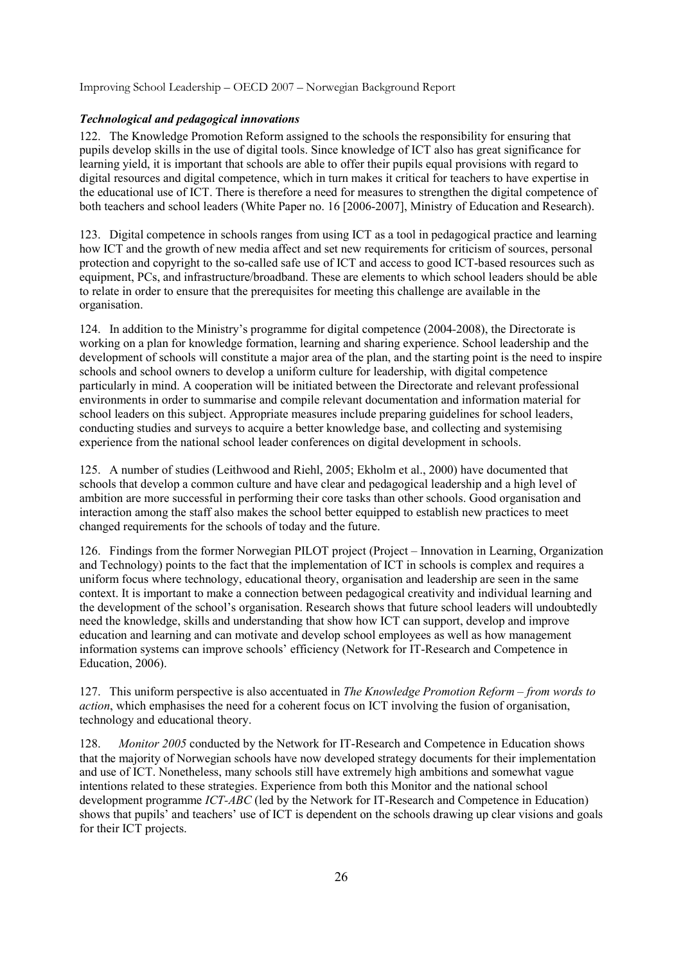## *Technological and pedagogical innovations*

122. The Knowledge Promotion Reform assigned to the schools the responsibility for ensuring that pupils develop skills in the use of digital tools. Since knowledge of ICT also has great significance for learning yield, it is important that schools are able to offer their pupils equal provisions with regard to digital resources and digital competence, which in turn makes it critical for teachers to have expertise in the educational use of ICT. There is therefore a need for measures to strengthen the digital competence of both teachers and school leaders (White Paper no. 16 [2006-2007], Ministry of Education and Research).

123. Digital competence in schools ranges from using ICT as a tool in pedagogical practice and learning how ICT and the growth of new media affect and set new requirements for criticism of sources, personal protection and copyright to the so-called safe use of ICT and access to good ICT-based resources such as equipment, PCs, and infrastructure/broadband. These are elements to which school leaders should be able to relate in order to ensure that the prerequisites for meeting this challenge are available in the organisation.

124. In addition to the Ministry's programme for digital competence (2004*-*2008), the Directorate is working on a plan for knowledge formation, learning and sharing experience. School leadership and the development of schools will constitute a major area of the plan, and the starting point is the need to inspire schools and school owners to develop a uniform culture for leadership, with digital competence particularly in mind. A cooperation will be initiated between the Directorate and relevant professional environments in order to summarise and compile relevant documentation and information material for school leaders on this subject. Appropriate measures include preparing guidelines for school leaders, conducting studies and surveys to acquire a better knowledge base, and collecting and systemising experience from the national school leader conferences on digital development in schools.

125. A number of studies (Leithwood and Riehl, 2005; Ekholm et al., 2000) have documented that schools that develop a common culture and have clear and pedagogical leadership and a high level of ambition are more successful in performing their core tasks than other schools. Good organisation and interaction among the staff also makes the school better equipped to establish new practices to meet changed requirements for the schools of today and the future.

126. Findings from the former Norwegian PILOT project (Project – Innovation in Learning, Organization and Technology) points to the fact that the implementation of ICT in schools is complex and requires a uniform focus where technology, educational theory, organisation and leadership are seen in the same context. It is important to make a connection between pedagogical creativity and individual learning and the development of the school's organisation. Research shows that future school leaders will undoubtedly need the knowledge, skills and understanding that show how ICT can support, develop and improve education and learning and can motivate and develop school employees as well as how management information systems can improve schools' efficiency (Network for IT-Research and Competence in Education, 2006).

127. This uniform perspective is also accentuated in *The Knowledge Promotion Reform – from words to action*, which emphasises the need for a coherent focus on ICT involving the fusion of organisation, technology and educational theory.

128. *Monitor 2005* conducted by the Network for IT-Research and Competence in Education shows that the majority of Norwegian schools have now developed strategy documents for their implementation and use of ICT. Nonetheless, many schools still have extremely high ambitions and somewhat vague intentions related to these strategies. Experience from both this Monitor and the national school development programme *ICT-ABC* (led by the Network for IT-Research and Competence in Education) shows that pupils' and teachers' use of ICT is dependent on the schools drawing up clear visions and goals for their ICT projects.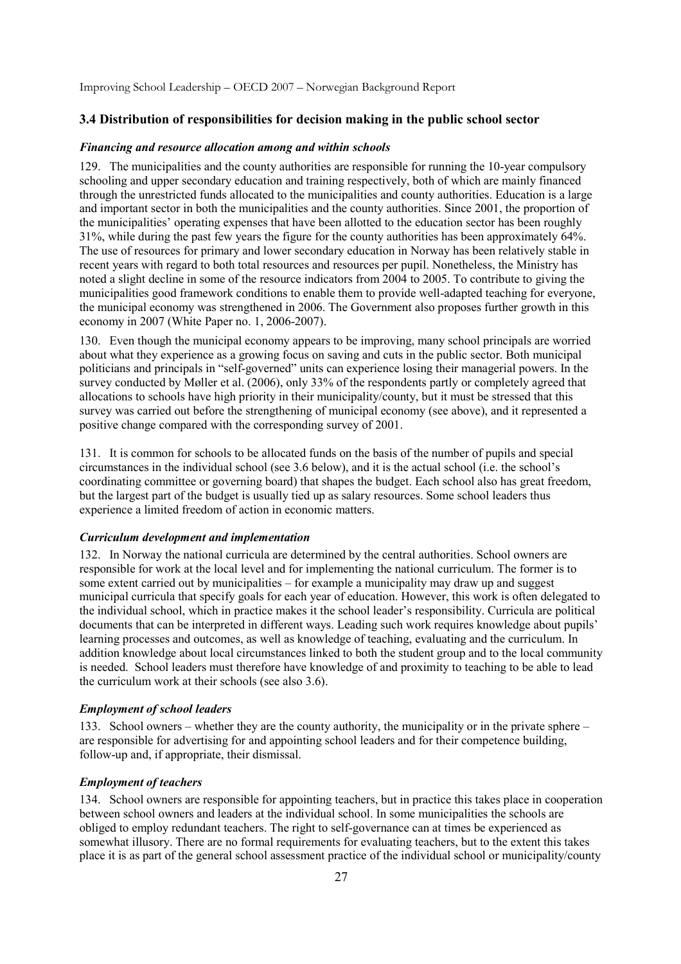## **3.4 Distribution of responsibilities for decision making in the public school sector**

#### *Financing and resource allocation among and within schools*

129. The municipalities and the county authorities are responsible for running the 10-year compulsory schooling and upper secondary education and training respectively, both of which are mainly financed through the unrestricted funds allocated to the municipalities and county authorities. Education is a large and important sector in both the municipalities and the county authorities. Since 2001, the proportion of the municipalities' operating expenses that have been allotted to the education sector has been roughly 31%, while during the past few years the figure for the county authorities has been approximately 64%. The use of resources for primary and lower secondary education in Norway has been relatively stable in recent years with regard to both total resources and resources per pupil. Nonetheless, the Ministry has noted a slight decline in some of the resource indicators from 2004 to 2005. To contribute to giving the municipalities good framework conditions to enable them to provide well-adapted teaching for everyone, the municipal economy was strengthened in 2006. The Government also proposes further growth in this economy in 2007 (White Paper no. 1, 2006-2007).

130. Even though the municipal economy appears to be improving, many school principals are worried about what they experience as a growing focus on saving and cuts in the public sector. Both municipal politicians and principals in "self-governed" units can experience losing their managerial powers. In the survey conducted by Møller et al. (2006), only 33% of the respondents partly or completely agreed that allocations to schools have high priority in their municipality/county, but it must be stressed that this survey was carried out before the strengthening of municipal economy (see above), and it represented a positive change compared with the corresponding survey of 2001.

131. It is common for schools to be allocated funds on the basis of the number of pupils and special circumstances in the individual school (see 3.6 below), and it is the actual school (i.e. the school's coordinating committee or governing board) that shapes the budget. Each school also has great freedom, but the largest part of the budget is usually tied up as salary resources. Some school leaders thus experience a limited freedom of action in economic matters.

### *Curriculum development and implementation*

132. In Norway the national curricula are determined by the central authorities. School owners are responsible for work at the local level and for implementing the national curriculum. The former is to some extent carried out by municipalities – for example a municipality may draw up and suggest municipal curricula that specify goals for each year of education. However, this work is often delegated to the individual school, which in practice makes it the school leader's responsibility. Curricula are political documents that can be interpreted in different ways. Leading such work requires knowledge about pupils' learning processes and outcomes, as well as knowledge of teaching, evaluating and the curriculum. In addition knowledge about local circumstances linked to both the student group and to the local community is needed. School leaders must therefore have knowledge of and proximity to teaching to be able to lead the curriculum work at their schools (see also 3.6).

#### *Employment of school leaders*

133. School owners – whether they are the county authority, the municipality or in the private sphere – are responsible for advertising for and appointing school leaders and for their competence building, follow-up and, if appropriate, their dismissal.

## *Employment of teachers*

134. School owners are responsible for appointing teachers, but in practice this takes place in cooperation between school owners and leaders at the individual school. In some municipalities the schools are obliged to employ redundant teachers. The right to self-governance can at times be experienced as somewhat illusory. There are no formal requirements for evaluating teachers, but to the extent this takes place it is as part of the general school assessment practice of the individual school or municipality/county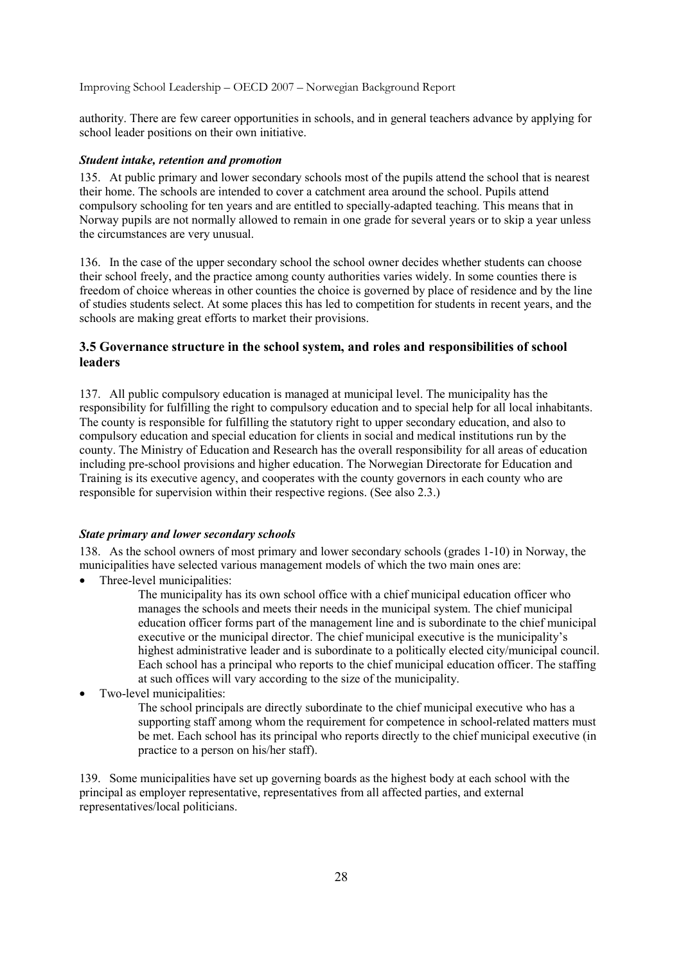authority. There are few career opportunities in schools, and in general teachers advance by applying for school leader positions on their own initiative.

#### *Student intake, retention and promotion*

135. At public primary and lower secondary schools most of the pupils attend the school that is nearest their home. The schools are intended to cover a catchment area around the school. Pupils attend compulsory schooling for ten years and are entitled to specially-adapted teaching. This means that in Norway pupils are not normally allowed to remain in one grade for several years or to skip a year unless the circumstances are very unusual.

136. In the case of the upper secondary school the school owner decides whether students can choose their school freely, and the practice among county authorities varies widely. In some counties there is freedom of choice whereas in other counties the choice is governed by place of residence and by the line of studies students select. At some places this has led to competition for students in recent years, and the schools are making great efforts to market their provisions.

## **3.5 Governance structure in the school system, and roles and responsibilities of school leaders**

137. All public compulsory education is managed at municipal level. The municipality has the responsibility for fulfilling the right to compulsory education and to special help for all local inhabitants. The county is responsible for fulfilling the statutory right to upper secondary education, and also to compulsory education and special education for clients in social and medical institutions run by the county. The Ministry of Education and Research has the overall responsibility for all areas of education including pre-school provisions and higher education. The Norwegian Directorate for Education and Training is its executive agency, and cooperates with the county governors in each county who are responsible for supervision within their respective regions. (See also 2.3.)

## *State primary and lower secondary schools*

138. As the school owners of most primary and lower secondary schools (grades 1-10) in Norway, the municipalities have selected various management models of which the two main ones are:

• Three-level municipalities:

The municipality has its own school office with a chief municipal education officer who manages the schools and meets their needs in the municipal system. The chief municipal education officer forms part of the management line and is subordinate to the chief municipal executive or the municipal director. The chief municipal executive is the municipality's highest administrative leader and is subordinate to a politically elected city/municipal council. Each school has a principal who reports to the chief municipal education officer. The staffing at such offices will vary according to the size of the municipality.

• Two-level municipalities:

The school principals are directly subordinate to the chief municipal executive who has a supporting staff among whom the requirement for competence in school-related matters must be met. Each school has its principal who reports directly to the chief municipal executive (in practice to a person on his/her staff).

139. Some municipalities have set up governing boards as the highest body at each school with the principal as employer representative, representatives from all affected parties, and external representatives/local politicians.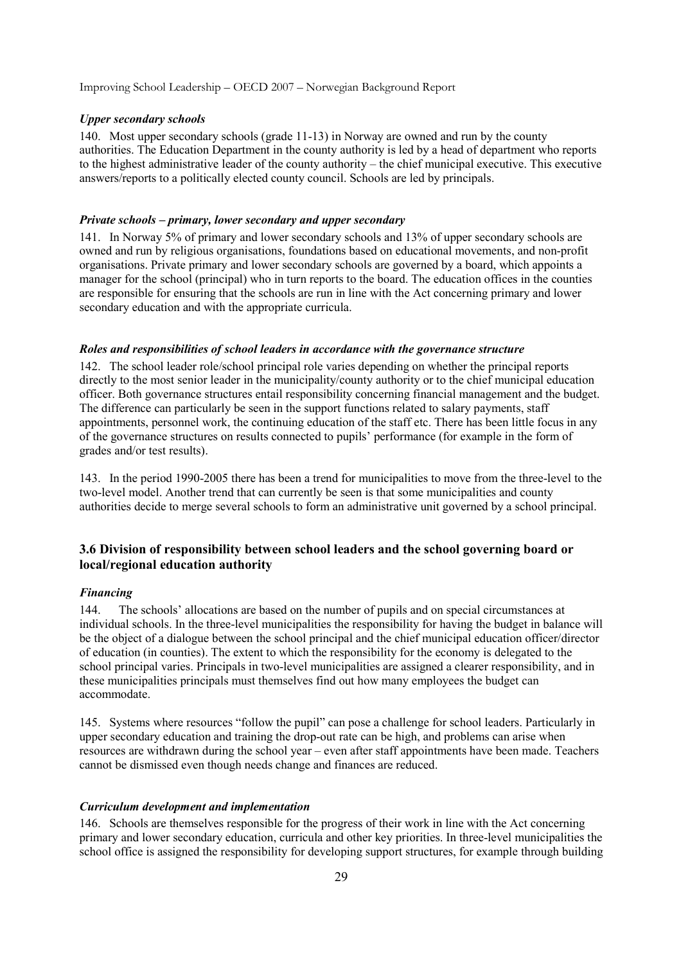### *Upper secondary schools*

140. Most upper secondary schools (grade 11-13) in Norway are owned and run by the county authorities. The Education Department in the county authority is led by a head of department who reports to the highest administrative leader of the county authority – the chief municipal executive. This executive answers/reports to a politically elected county council. Schools are led by principals.

#### *Private schools – primary, lower secondary and upper secondary*

141. In Norway 5% of primary and lower secondary schools and 13% of upper secondary schools are owned and run by religious organisations, foundations based on educational movements, and non-profit organisations. Private primary and lower secondary schools are governed by a board, which appoints a manager for the school (principal) who in turn reports to the board. The education offices in the counties are responsible for ensuring that the schools are run in line with the Act concerning primary and lower secondary education and with the appropriate curricula.

#### *Roles and responsibilities of school leaders in accordance with the governance structure*

142. The school leader role/school principal role varies depending on whether the principal reports directly to the most senior leader in the municipality/county authority or to the chief municipal education officer. Both governance structures entail responsibility concerning financial management and the budget. The difference can particularly be seen in the support functions related to salary payments, staff appointments, personnel work, the continuing education of the staff etc. There has been little focus in any of the governance structures on results connected to pupils' performance (for example in the form of grades and/or test results).

143. In the period 1990-2005 there has been a trend for municipalities to move from the three-level to the two-level model. Another trend that can currently be seen is that some municipalities and county authorities decide to merge several schools to form an administrative unit governed by a school principal.

## **3.6 Division of responsibility between school leaders and the school governing board or local/regional education authority**

#### *Financing*

144. The schools' allocations are based on the number of pupils and on special circumstances at individual schools. In the three-level municipalities the responsibility for having the budget in balance will be the object of a dialogue between the school principal and the chief municipal education officer/director of education (in counties). The extent to which the responsibility for the economy is delegated to the school principal varies. Principals in two-level municipalities are assigned a clearer responsibility, and in these municipalities principals must themselves find out how many employees the budget can accommodate.

145. Systems where resources "follow the pupil" can pose a challenge for school leaders. Particularly in upper secondary education and training the drop-out rate can be high, and problems can arise when resources are withdrawn during the school year – even after staff appointments have been made. Teachers cannot be dismissed even though needs change and finances are reduced.

#### *Curriculum development and implementation*

146. Schools are themselves responsible for the progress of their work in line with the Act concerning primary and lower secondary education, curricula and other key priorities. In three-level municipalities the school office is assigned the responsibility for developing support structures, for example through building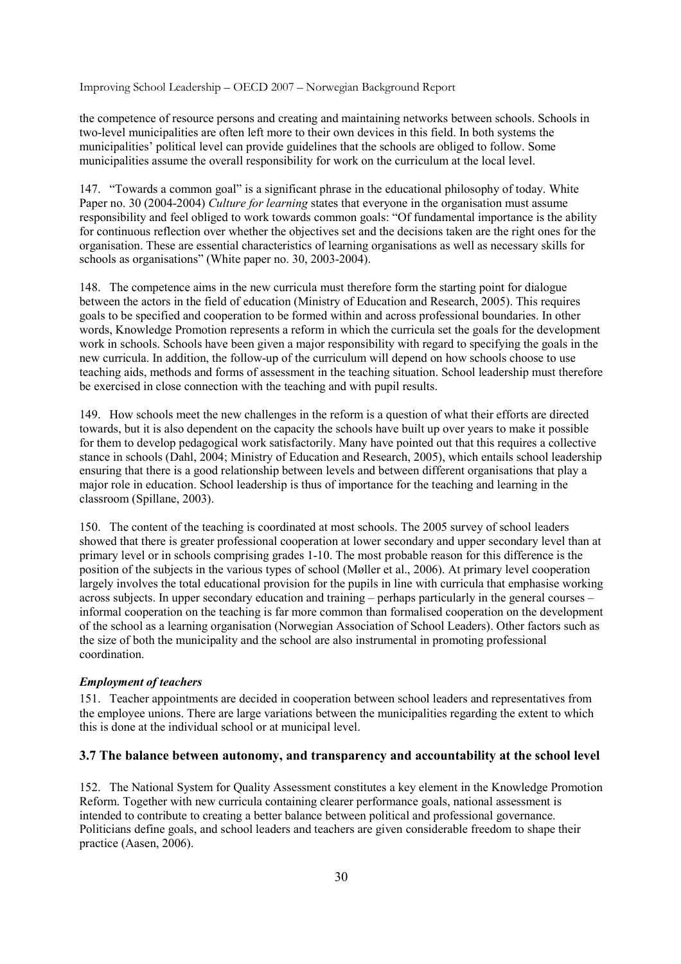the competence of resource persons and creating and maintaining networks between schools. Schools in two-level municipalities are often left more to their own devices in this field. In both systems the municipalities' political level can provide guidelines that the schools are obliged to follow. Some municipalities assume the overall responsibility for work on the curriculum at the local level.

147. "Towards a common goal" is a significant phrase in the educational philosophy of today. White Paper no. 30 (2004-2004) *Culture for learning* states that everyone in the organisation must assume responsibility and feel obliged to work towards common goals: "Of fundamental importance is the ability for continuous reflection over whether the objectives set and the decisions taken are the right ones for the organisation. These are essential characteristics of learning organisations as well as necessary skills for schools as organisations" (White paper no. 30, 2003-2004).

148. The competence aims in the new curricula must therefore form the starting point for dialogue between the actors in the field of education (Ministry of Education and Research, 2005). This requires goals to be specified and cooperation to be formed within and across professional boundaries. In other words, Knowledge Promotion represents a reform in which the curricula set the goals for the development work in schools. Schools have been given a major responsibility with regard to specifying the goals in the new curricula. In addition, the follow-up of the curriculum will depend on how schools choose to use teaching aids, methods and forms of assessment in the teaching situation. School leadership must therefore be exercised in close connection with the teaching and with pupil results.

149. How schools meet the new challenges in the reform is a question of what their efforts are directed towards, but it is also dependent on the capacity the schools have built up over years to make it possible for them to develop pedagogical work satisfactorily. Many have pointed out that this requires a collective stance in schools (Dahl, 2004; Ministry of Education and Research, 2005), which entails school leadership ensuring that there is a good relationship between levels and between different organisations that play a major role in education. School leadership is thus of importance for the teaching and learning in the classroom (Spillane, 2003).

150. The content of the teaching is coordinated at most schools. The 2005 survey of school leaders showed that there is greater professional cooperation at lower secondary and upper secondary level than at primary level or in schools comprising grades 1-10. The most probable reason for this difference is the position of the subjects in the various types of school (Møller et al., 2006). At primary level cooperation largely involves the total educational provision for the pupils in line with curricula that emphasise working across subjects. In upper secondary education and training – perhaps particularly in the general courses – informal cooperation on the teaching is far more common than formalised cooperation on the development of the school as a learning organisation (Norwegian Association of School Leaders). Other factors such as the size of both the municipality and the school are also instrumental in promoting professional coordination.

## *Employment of teachers*

151. Teacher appointments are decided in cooperation between school leaders and representatives from the employee unions. There are large variations between the municipalities regarding the extent to which this is done at the individual school or at municipal level.

## **3.7 The balance between autonomy, and transparency and accountability at the school level**

152. The National System for Quality Assessment constitutes a key element in the Knowledge Promotion Reform. Together with new curricula containing clearer performance goals, national assessment is intended to contribute to creating a better balance between political and professional governance. Politicians define goals, and school leaders and teachers are given considerable freedom to shape their practice (Aasen, 2006).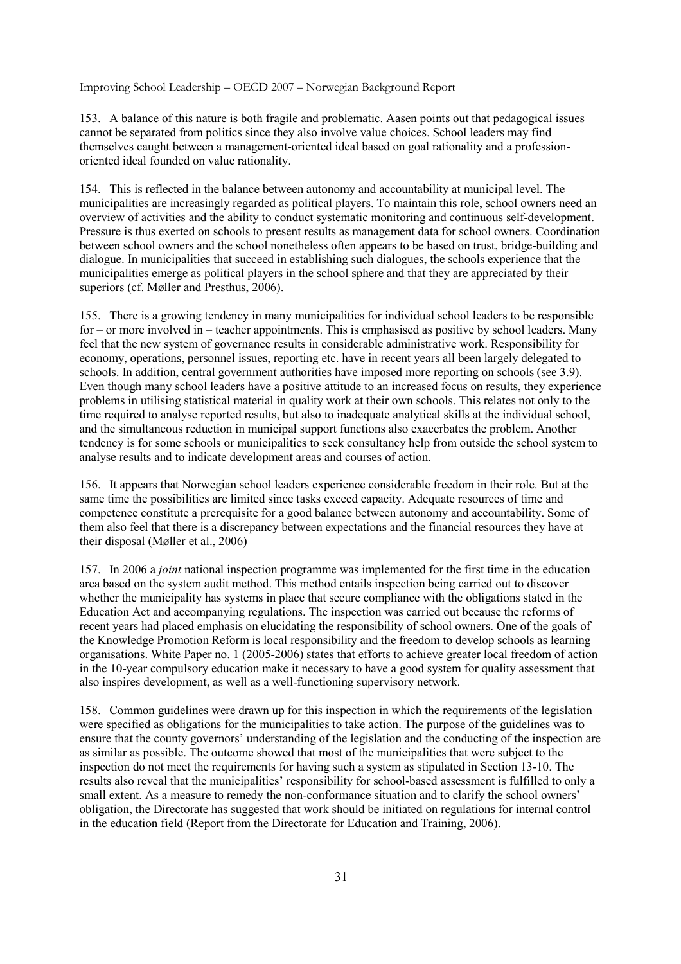153. A balance of this nature is both fragile and problematic. Aasen points out that pedagogical issues cannot be separated from politics since they also involve value choices. School leaders may find themselves caught between a management-oriented ideal based on goal rationality and a professionoriented ideal founded on value rationality.

154. This is reflected in the balance between autonomy and accountability at municipal level. The municipalities are increasingly regarded as political players. To maintain this role, school owners need an overview of activities and the ability to conduct systematic monitoring and continuous self-development. Pressure is thus exerted on schools to present results as management data for school owners. Coordination between school owners and the school nonetheless often appears to be based on trust, bridge-building and dialogue. In municipalities that succeed in establishing such dialogues, the schools experience that the municipalities emerge as political players in the school sphere and that they are appreciated by their superiors (cf. Møller and Presthus, 2006).

155. There is a growing tendency in many municipalities for individual school leaders to be responsible for – or more involved in – teacher appointments. This is emphasised as positive by school leaders. Many feel that the new system of governance results in considerable administrative work. Responsibility for economy, operations, personnel issues, reporting etc. have in recent years all been largely delegated to schools. In addition, central government authorities have imposed more reporting on schools (see 3.9). Even though many school leaders have a positive attitude to an increased focus on results, they experience problems in utilising statistical material in quality work at their own schools. This relates not only to the time required to analyse reported results, but also to inadequate analytical skills at the individual school, and the simultaneous reduction in municipal support functions also exacerbates the problem. Another tendency is for some schools or municipalities to seek consultancy help from outside the school system to analyse results and to indicate development areas and courses of action.

156. It appears that Norwegian school leaders experience considerable freedom in their role. But at the same time the possibilities are limited since tasks exceed capacity. Adequate resources of time and competence constitute a prerequisite for a good balance between autonomy and accountability. Some of them also feel that there is a discrepancy between expectations and the financial resources they have at their disposal (Møller et al., 2006)

157. In 2006 a *joint* national inspection programme was implemented for the first time in the education area based on the system audit method. This method entails inspection being carried out to discover whether the municipality has systems in place that secure compliance with the obligations stated in the Education Act and accompanying regulations. The inspection was carried out because the reforms of recent years had placed emphasis on elucidating the responsibility of school owners. One of the goals of the Knowledge Promotion Reform is local responsibility and the freedom to develop schools as learning organisations. White Paper no. 1 (2005-2006) states that efforts to achieve greater local freedom of action in the 10-year compulsory education make it necessary to have a good system for quality assessment that also inspires development, as well as a well-functioning supervisory network.

158. Common guidelines were drawn up for this inspection in which the requirements of the legislation were specified as obligations for the municipalities to take action. The purpose of the guidelines was to ensure that the county governors' understanding of the legislation and the conducting of the inspection are as similar as possible. The outcome showed that most of the municipalities that were subject to the inspection do not meet the requirements for having such a system as stipulated in Section 13-10. The results also reveal that the municipalities' responsibility for school-based assessment is fulfilled to only a small extent. As a measure to remedy the non-conformance situation and to clarify the school owners' obligation, the Directorate has suggested that work should be initiated on regulations for internal control in the education field (Report from the Directorate for Education and Training, 2006).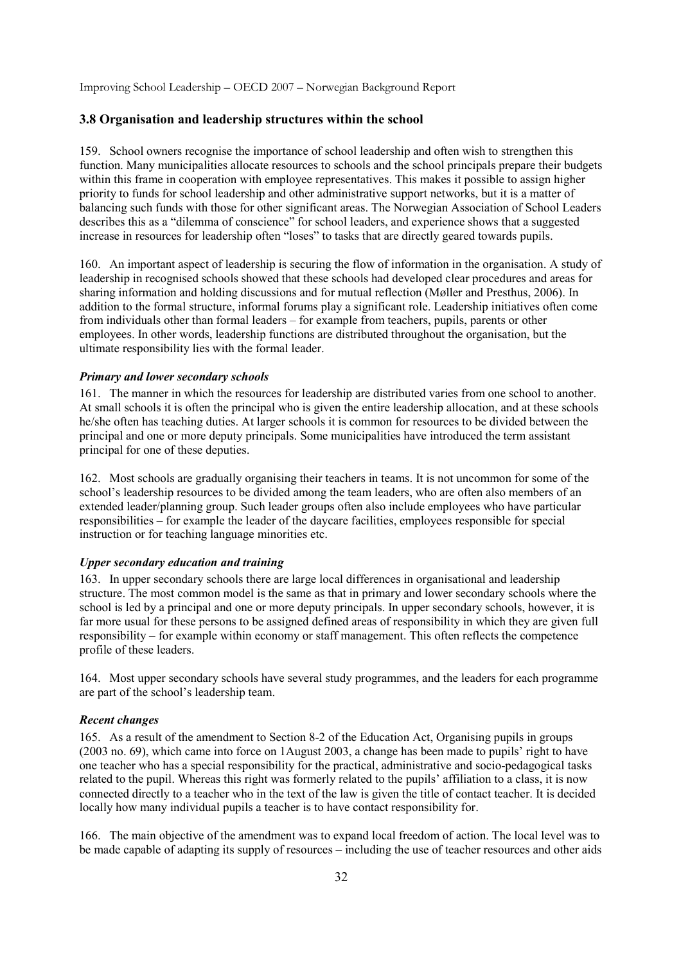## **3.8 Organisation and leadership structures within the school**

159. School owners recognise the importance of school leadership and often wish to strengthen this function. Many municipalities allocate resources to schools and the school principals prepare their budgets within this frame in cooperation with employee representatives. This makes it possible to assign higher priority to funds for school leadership and other administrative support networks, but it is a matter of balancing such funds with those for other significant areas. The Norwegian Association of School Leaders describes this as a "dilemma of conscience" for school leaders, and experience shows that a suggested increase in resources for leadership often "loses" to tasks that are directly geared towards pupils.

160. An important aspect of leadership is securing the flow of information in the organisation. A study of leadership in recognised schools showed that these schools had developed clear procedures and areas for sharing information and holding discussions and for mutual reflection (Møller and Presthus, 2006). In addition to the formal structure, informal forums play a significant role. Leadership initiatives often come from individuals other than formal leaders – for example from teachers, pupils, parents or other employees. In other words, leadership functions are distributed throughout the organisation, but the ultimate responsibility lies with the formal leader.

#### *Primary and lower secondary schools*

161. The manner in which the resources for leadership are distributed varies from one school to another. At small schools it is often the principal who is given the entire leadership allocation, and at these schools he/she often has teaching duties. At larger schools it is common for resources to be divided between the principal and one or more deputy principals. Some municipalities have introduced the term assistant principal for one of these deputies.

162. Most schools are gradually organising their teachers in teams. It is not uncommon for some of the school's leadership resources to be divided among the team leaders, who are often also members of an extended leader/planning group. Such leader groups often also include employees who have particular responsibilities – for example the leader of the daycare facilities, employees responsible for special instruction or for teaching language minorities etc.

### *Upper secondary education and training*

163. In upper secondary schools there are large local differences in organisational and leadership structure. The most common model is the same as that in primary and lower secondary schools where the school is led by a principal and one or more deputy principals. In upper secondary schools, however, it is far more usual for these persons to be assigned defined areas of responsibility in which they are given full responsibility – for example within economy or staff management. This often reflects the competence profile of these leaders.

164. Most upper secondary schools have several study programmes, and the leaders for each programme are part of the school's leadership team.

### *Recent changes*

165. As a result of the amendment to Section 8-2 of the Education Act, Organising pupils in groups (2003 no. 69), which came into force on 1August 2003, a change has been made to pupils' right to have one teacher who has a special responsibility for the practical, administrative and socio-pedagogical tasks related to the pupil. Whereas this right was formerly related to the pupils' affiliation to a class, it is now connected directly to a teacher who in the text of the law is given the title of contact teacher. It is decided locally how many individual pupils a teacher is to have contact responsibility for.

166. The main objective of the amendment was to expand local freedom of action. The local level was to be made capable of adapting its supply of resources – including the use of teacher resources and other aids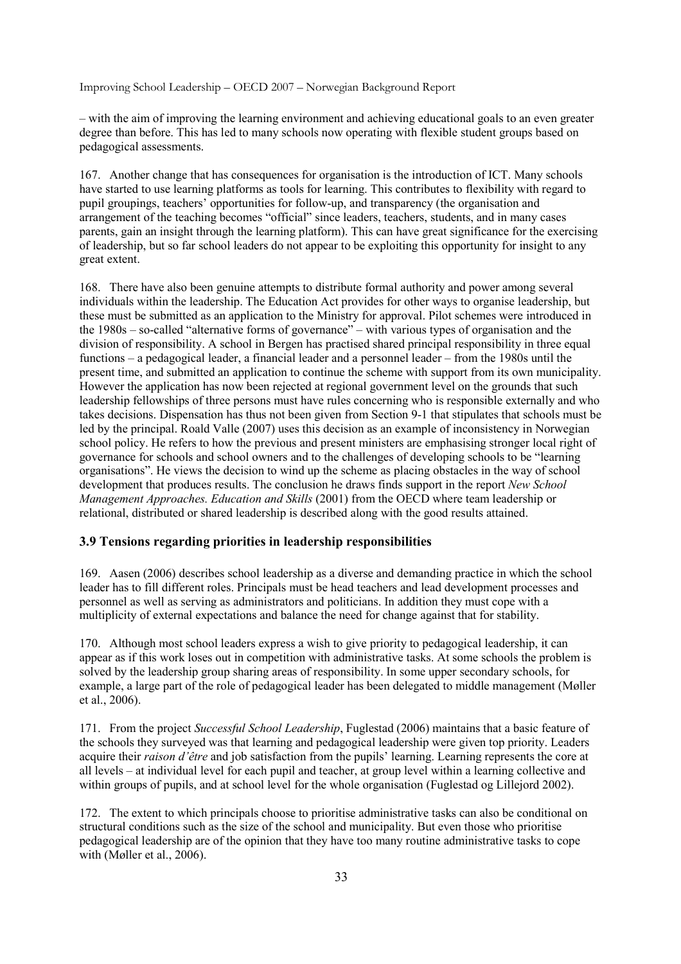– with the aim of improving the learning environment and achieving educational goals to an even greater degree than before. This has led to many schools now operating with flexible student groups based on pedagogical assessments.

167. Another change that has consequences for organisation is the introduction of ICT. Many schools have started to use learning platforms as tools for learning. This contributes to flexibility with regard to pupil groupings, teachers' opportunities for follow-up, and transparency (the organisation and arrangement of the teaching becomes "official" since leaders, teachers, students, and in many cases parents, gain an insight through the learning platform). This can have great significance for the exercising of leadership, but so far school leaders do not appear to be exploiting this opportunity for insight to any great extent.

168. There have also been genuine attempts to distribute formal authority and power among several individuals within the leadership. The Education Act provides for other ways to organise leadership, but these must be submitted as an application to the Ministry for approval. Pilot schemes were introduced in the 1980s – so-called "alternative forms of governance" – with various types of organisation and the division of responsibility. A school in Bergen has practised shared principal responsibility in three equal functions – a pedagogical leader, a financial leader and a personnel leader – from the 1980s until the present time, and submitted an application to continue the scheme with support from its own municipality. However the application has now been rejected at regional government level on the grounds that such leadership fellowships of three persons must have rules concerning who is responsible externally and who takes decisions. Dispensation has thus not been given from Section 9-1 that stipulates that schools must be led by the principal. Roald Valle (2007) uses this decision as an example of inconsistency in Norwegian school policy. He refers to how the previous and present ministers are emphasising stronger local right of governance for schools and school owners and to the challenges of developing schools to be "learning organisations". He views the decision to wind up the scheme as placing obstacles in the way of school development that produces results. The conclusion he draws finds support in the report *New School Management Approaches. Education and Skills* (2001) from the OECD where team leadership or relational, distributed or shared leadership is described along with the good results attained.

## **3.9 Tensions regarding priorities in leadership responsibilities**

169. Aasen (2006) describes school leadership as a diverse and demanding practice in which the school leader has to fill different roles. Principals must be head teachers and lead development processes and personnel as well as serving as administrators and politicians. In addition they must cope with a multiplicity of external expectations and balance the need for change against that for stability.

170. Although most school leaders express a wish to give priority to pedagogical leadership, it can appear as if this work loses out in competition with administrative tasks. At some schools the problem is solved by the leadership group sharing areas of responsibility. In some upper secondary schools, for example, a large part of the role of pedagogical leader has been delegated to middle management (Møller et al., 2006).

171. From the project *Successful School Leadership*, Fuglestad (2006) maintains that a basic feature of the schools they surveyed was that learning and pedagogical leadership were given top priority. Leaders acquire their *raison d'être* and job satisfaction from the pupils' learning. Learning represents the core at all levels – at individual level for each pupil and teacher, at group level within a learning collective and within groups of pupils, and at school level for the whole organisation (Fuglestad og Lillejord 2002).

172. The extent to which principals choose to prioritise administrative tasks can also be conditional on structural conditions such as the size of the school and municipality. But even those who prioritise pedagogical leadership are of the opinion that they have too many routine administrative tasks to cope with (Møller et al., 2006).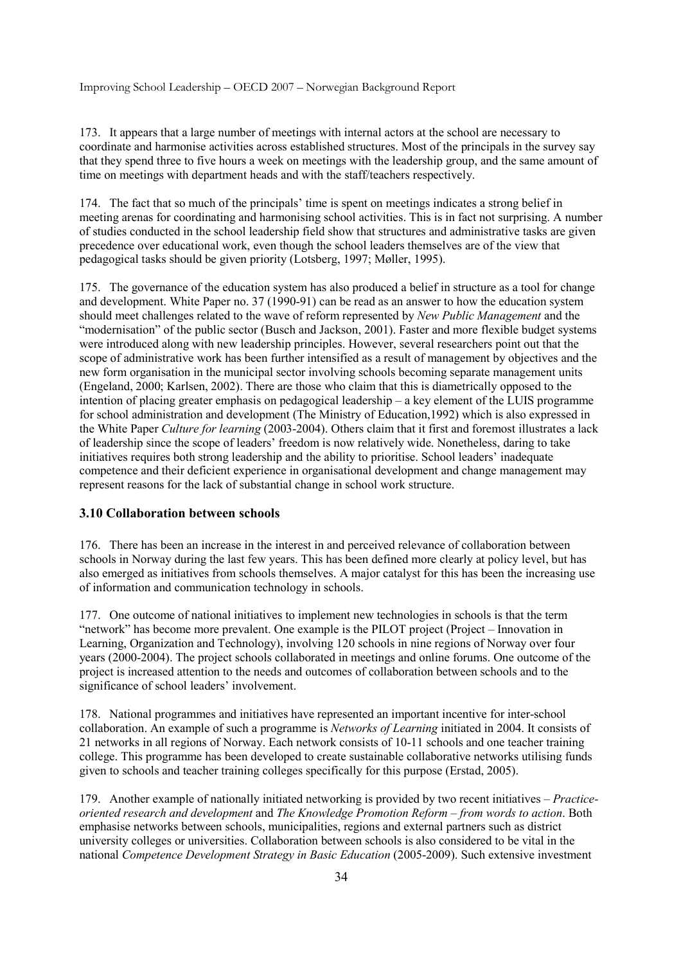173. It appears that a large number of meetings with internal actors at the school are necessary to coordinate and harmonise activities across established structures. Most of the principals in the survey say that they spend three to five hours a week on meetings with the leadership group, and the same amount of time on meetings with department heads and with the staff/teachers respectively.

174. The fact that so much of the principals' time is spent on meetings indicates a strong belief in meeting arenas for coordinating and harmonising school activities. This is in fact not surprising. A number of studies conducted in the school leadership field show that structures and administrative tasks are given precedence over educational work, even though the school leaders themselves are of the view that pedagogical tasks should be given priority (Lotsberg, 1997; Møller, 1995).

175. The governance of the education system has also produced a belief in structure as a tool for change and development. White Paper no. 37 (1990-91) can be read as an answer to how the education system should meet challenges related to the wave of reform represented by *New Public Management* and the "modernisation" of the public sector (Busch and Jackson, 2001). Faster and more flexible budget systems were introduced along with new leadership principles. However, several researchers point out that the scope of administrative work has been further intensified as a result of management by objectives and the new form organisation in the municipal sector involving schools becoming separate management units (Engeland, 2000; Karlsen, 2002). There are those who claim that this is diametrically opposed to the intention of placing greater emphasis on pedagogical leadership – a key element of the LUIS programme for school administration and development (The Ministry of Education,1992) which is also expressed in the White Paper *Culture for learning* (2003-2004). Others claim that it first and foremost illustrates a lack of leadership since the scope of leaders' freedom is now relatively wide. Nonetheless, daring to take initiatives requires both strong leadership and the ability to prioritise. School leaders' inadequate competence and their deficient experience in organisational development and change management may represent reasons for the lack of substantial change in school work structure.

## **3.10 Collaboration between schools**

176. There has been an increase in the interest in and perceived relevance of collaboration between schools in Norway during the last few years. This has been defined more clearly at policy level, but has also emerged as initiatives from schools themselves. A major catalyst for this has been the increasing use of information and communication technology in schools.

177. One outcome of national initiatives to implement new technologies in schools is that the term "network" has become more prevalent. One example is the PILOT project (Project – Innovation in Learning, Organization and Technology), involving 120 schools in nine regions of Norway over four years (2000-2004). The project schools collaborated in meetings and online forums. One outcome of the project is increased attention to the needs and outcomes of collaboration between schools and to the significance of school leaders' involvement.

178. National programmes and initiatives have represented an important incentive for inter-school collaboration. An example of such a programme is *Networks of Learning* initiated in 2004. It consists of 21 networks in all regions of Norway. Each network consists of 10-11 schools and one teacher training college. This programme has been developed to create sustainable collaborative networks utilising funds given to schools and teacher training colleges specifically for this purpose (Erstad, 2005).

179. Another example of nationally initiated networking is provided by two recent initiatives – *Practiceoriented research and development* and *The Knowledge Promotion Reform – from words to action*. Both emphasise networks between schools, municipalities, regions and external partners such as district university colleges or universities. Collaboration between schools is also considered to be vital in the national *Competence Development Strategy in Basic Education* (2005-2009). Such extensive investment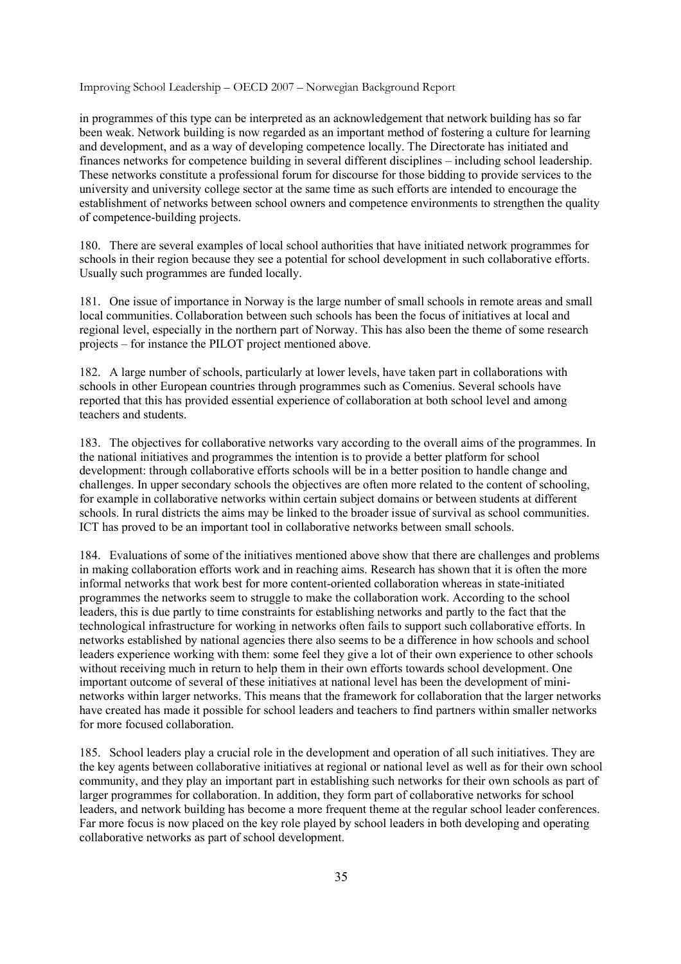in programmes of this type can be interpreted as an acknowledgement that network building has so far been weak. Network building is now regarded as an important method of fostering a culture for learning and development, and as a way of developing competence locally. The Directorate has initiated and finances networks for competence building in several different disciplines – including school leadership. These networks constitute a professional forum for discourse for those bidding to provide services to the university and university college sector at the same time as such efforts are intended to encourage the establishment of networks between school owners and competence environments to strengthen the quality of competence-building projects.

180. There are several examples of local school authorities that have initiated network programmes for schools in their region because they see a potential for school development in such collaborative efforts. Usually such programmes are funded locally.

181. One issue of importance in Norway is the large number of small schools in remote areas and small local communities. Collaboration between such schools has been the focus of initiatives at local and regional level, especially in the northern part of Norway. This has also been the theme of some research projects – for instance the PILOT project mentioned above.

182. A large number of schools, particularly at lower levels, have taken part in collaborations with schools in other European countries through programmes such as Comenius. Several schools have reported that this has provided essential experience of collaboration at both school level and among teachers and students.

183. The objectives for collaborative networks vary according to the overall aims of the programmes. In the national initiatives and programmes the intention is to provide a better platform for school development: through collaborative efforts schools will be in a better position to handle change and challenges. In upper secondary schools the objectives are often more related to the content of schooling, for example in collaborative networks within certain subject domains or between students at different schools. In rural districts the aims may be linked to the broader issue of survival as school communities. ICT has proved to be an important tool in collaborative networks between small schools.

184. Evaluations of some of the initiatives mentioned above show that there are challenges and problems in making collaboration efforts work and in reaching aims. Research has shown that it is often the more informal networks that work best for more content-oriented collaboration whereas in state-initiated programmes the networks seem to struggle to make the collaboration work. According to the school leaders, this is due partly to time constraints for establishing networks and partly to the fact that the technological infrastructure for working in networks often fails to support such collaborative efforts. In networks established by national agencies there also seems to be a difference in how schools and school leaders experience working with them: some feel they give a lot of their own experience to other schools without receiving much in return to help them in their own efforts towards school development. One important outcome of several of these initiatives at national level has been the development of mininetworks within larger networks. This means that the framework for collaboration that the larger networks have created has made it possible for school leaders and teachers to find partners within smaller networks for more focused collaboration.

185. School leaders play a crucial role in the development and operation of all such initiatives. They are the key agents between collaborative initiatives at regional or national level as well as for their own school community, and they play an important part in establishing such networks for their own schools as part of larger programmes for collaboration. In addition, they form part of collaborative networks for school leaders, and network building has become a more frequent theme at the regular school leader conferences. Far more focus is now placed on the key role played by school leaders in both developing and operating collaborative networks as part of school development.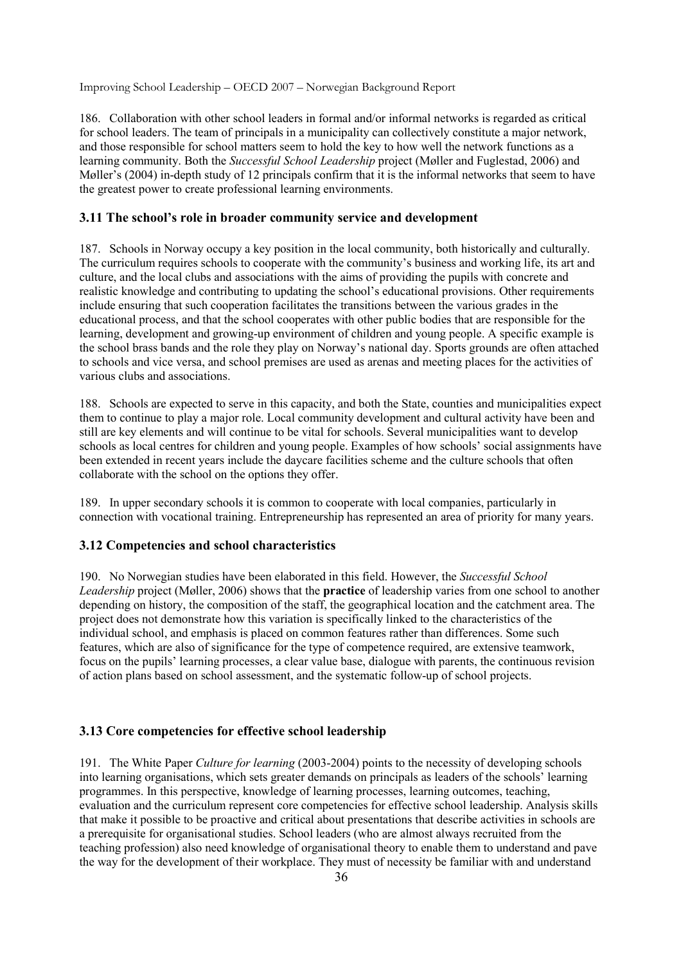186. Collaboration with other school leaders in formal and/or informal networks is regarded as critical for school leaders. The team of principals in a municipality can collectively constitute a major network, and those responsible for school matters seem to hold the key to how well the network functions as a learning community. Both the *Successful School Leadership* project (Møller and Fuglestad, 2006) and Møller's (2004) in-depth study of 12 principals confirm that it is the informal networks that seem to have the greatest power to create professional learning environments.

## **3.11 The school's role in broader community service and development**

187. Schools in Norway occupy a key position in the local community, both historically and culturally. The curriculum requires schools to cooperate with the community's business and working life, its art and culture, and the local clubs and associations with the aims of providing the pupils with concrete and realistic knowledge and contributing to updating the school's educational provisions. Other requirements include ensuring that such cooperation facilitates the transitions between the various grades in the educational process, and that the school cooperates with other public bodies that are responsible for the learning, development and growing-up environment of children and young people. A specific example is the school brass bands and the role they play on Norway's national day. Sports grounds are often attached to schools and vice versa, and school premises are used as arenas and meeting places for the activities of various clubs and associations.

188. Schools are expected to serve in this capacity, and both the State, counties and municipalities expect them to continue to play a major role. Local community development and cultural activity have been and still are key elements and will continue to be vital for schools. Several municipalities want to develop schools as local centres for children and young people. Examples of how schools' social assignments have been extended in recent years include the daycare facilities scheme and the culture schools that often collaborate with the school on the options they offer.

189. In upper secondary schools it is common to cooperate with local companies, particularly in connection with vocational training. Entrepreneurship has represented an area of priority for many years.

## **3.12 Competencies and school characteristics**

190. No Norwegian studies have been elaborated in this field. However, the *Successful School Leadership* project (Møller, 2006) shows that the **practice** of leadership varies from one school to another depending on history, the composition of the staff, the geographical location and the catchment area. The project does not demonstrate how this variation is specifically linked to the characteristics of the individual school, and emphasis is placed on common features rather than differences. Some such features, which are also of significance for the type of competence required, are extensive teamwork, focus on the pupils' learning processes, a clear value base, dialogue with parents, the continuous revision of action plans based on school assessment, and the systematic follow-up of school projects.

## **3.13 Core competencies for effective school leadership**

191. The White Paper *Culture for learning* (2003-2004) points to the necessity of developing schools into learning organisations, which sets greater demands on principals as leaders of the schools' learning programmes. In this perspective, knowledge of learning processes, learning outcomes, teaching, evaluation and the curriculum represent core competencies for effective school leadership. Analysis skills that make it possible to be proactive and critical about presentations that describe activities in schools are a prerequisite for organisational studies. School leaders (who are almost always recruited from the teaching profession) also need knowledge of organisational theory to enable them to understand and pave the way for the development of their workplace. They must of necessity be familiar with and understand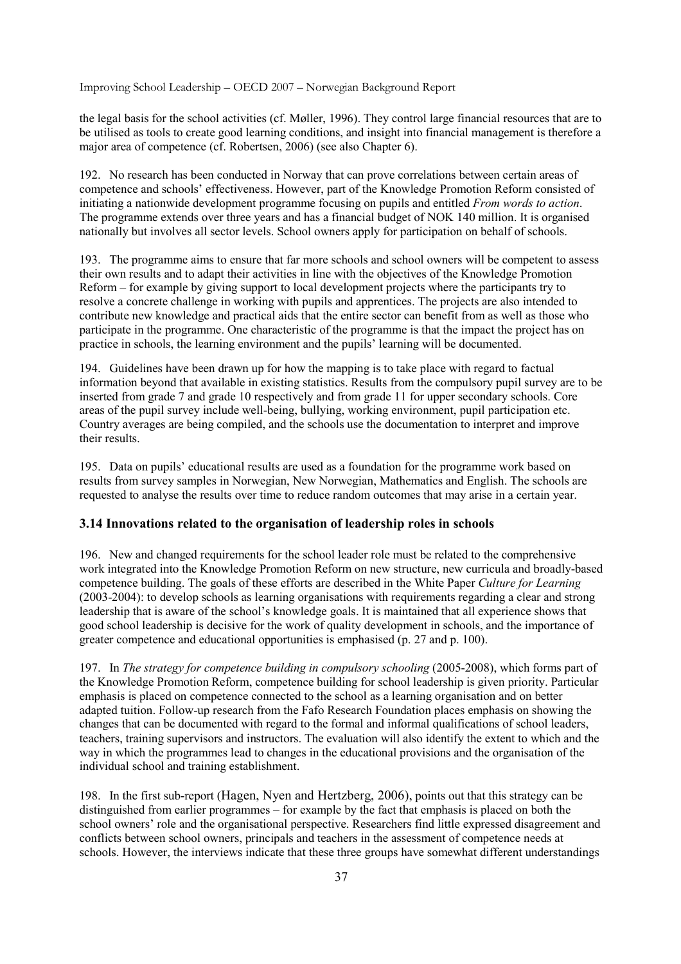the legal basis for the school activities (cf. Møller, 1996). They control large financial resources that are to be utilised as tools to create good learning conditions, and insight into financial management is therefore a major area of competence (cf. Robertsen, 2006) (see also Chapter 6).

192. No research has been conducted in Norway that can prove correlations between certain areas of competence and schools' effectiveness. However, part of the Knowledge Promotion Reform consisted of initiating a nationwide development programme focusing on pupils and entitled *From words to action*. The programme extends over three years and has a financial budget of NOK 140 million. It is organised nationally but involves all sector levels. School owners apply for participation on behalf of schools.

193. The programme aims to ensure that far more schools and school owners will be competent to assess their own results and to adapt their activities in line with the objectives of the Knowledge Promotion Reform – for example by giving support to local development projects where the participants try to resolve a concrete challenge in working with pupils and apprentices. The projects are also intended to contribute new knowledge and practical aids that the entire sector can benefit from as well as those who participate in the programme. One characteristic of the programme is that the impact the project has on practice in schools, the learning environment and the pupils' learning will be documented.

194. Guidelines have been drawn up for how the mapping is to take place with regard to factual information beyond that available in existing statistics. Results from the compulsory pupil survey are to be inserted from grade 7 and grade 10 respectively and from grade 11 for upper secondary schools. Core areas of the pupil survey include well-being, bullying, working environment, pupil participation etc. Country averages are being compiled, and the schools use the documentation to interpret and improve their results.

195. Data on pupils' educational results are used as a foundation for the programme work based on results from survey samples in Norwegian, New Norwegian, Mathematics and English. The schools are requested to analyse the results over time to reduce random outcomes that may arise in a certain year.

### **3.14 Innovations related to the organisation of leadership roles in schools**

196. New and changed requirements for the school leader role must be related to the comprehensive work integrated into the Knowledge Promotion Reform on new structure, new curricula and broadly-based competence building. The goals of these efforts are described in the White Paper *Culture for Learning*  (2003-2004): to develop schools as learning organisations with requirements regarding a clear and strong leadership that is aware of the school's knowledge goals. It is maintained that all experience shows that good school leadership is decisive for the work of quality development in schools, and the importance of greater competence and educational opportunities is emphasised (p. 27 and p. 100).

197. In *The strategy for competence building in compulsory schooling* (2005-2008), which forms part of the Knowledge Promotion Reform, competence building for school leadership is given priority. Particular emphasis is placed on competence connected to the school as a learning organisation and on better adapted tuition. Follow-up research from the Fafo Research Foundation places emphasis on showing the changes that can be documented with regard to the formal and informal qualifications of school leaders, teachers, training supervisors and instructors. The evaluation will also identify the extent to which and the way in which the programmes lead to changes in the educational provisions and the organisation of the individual school and training establishment.

198. In the first sub-report (Hagen, Nyen and Hertzberg, 2006), points out that this strategy can be distinguished from earlier programmes – for example by the fact that emphasis is placed on both the school owners' role and the organisational perspective. Researchers find little expressed disagreement and conflicts between school owners, principals and teachers in the assessment of competence needs at schools. However, the interviews indicate that these three groups have somewhat different understandings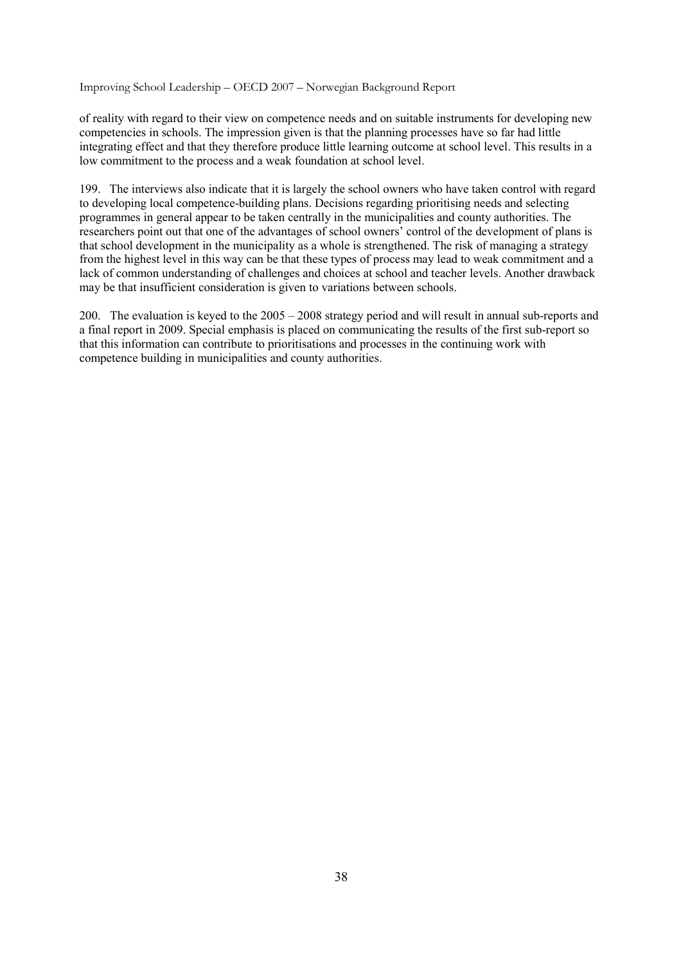of reality with regard to their view on competence needs and on suitable instruments for developing new competencies in schools. The impression given is that the planning processes have so far had little integrating effect and that they therefore produce little learning outcome at school level. This results in a low commitment to the process and a weak foundation at school level.

199. The interviews also indicate that it is largely the school owners who have taken control with regard to developing local competence-building plans. Decisions regarding prioritising needs and selecting programmes in general appear to be taken centrally in the municipalities and county authorities. The researchers point out that one of the advantages of school owners' control of the development of plans is that school development in the municipality as a whole is strengthened. The risk of managing a strategy from the highest level in this way can be that these types of process may lead to weak commitment and a lack of common understanding of challenges and choices at school and teacher levels. Another drawback may be that insufficient consideration is given to variations between schools.

200. The evaluation is keyed to the 2005 – 2008 strategy period and will result in annual sub-reports and a final report in 2009. Special emphasis is placed on communicating the results of the first sub-report so that this information can contribute to prioritisations and processes in the continuing work with competence building in municipalities and county authorities.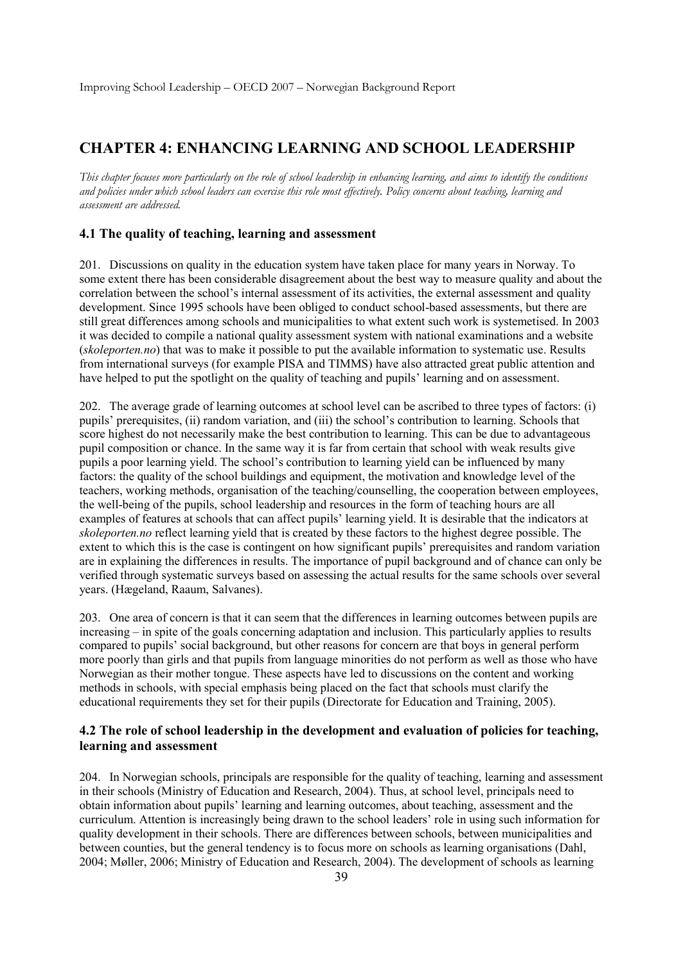# **CHAPTER 4: ENHANCING LEARNING AND SCHOOL LEADERSHIP**

*This chapter focuses more particularly on the role of school leadership in enhancing learning, and aims to identify the conditions and policies under which school leaders can exercise this role most effectively. Policy concerns about teaching, learning and assessment are addressed.* 

### **4.1 The quality of teaching, learning and assessment**

201. Discussions on quality in the education system have taken place for many years in Norway. To some extent there has been considerable disagreement about the best way to measure quality and about the correlation between the school's internal assessment of its activities, the external assessment and quality development. Since 1995 schools have been obliged to conduct school-based assessments, but there are still great differences among schools and municipalities to what extent such work is systemetised. In 2003 it was decided to compile a national quality assessment system with national examinations and a website (*skoleporten.no*) that was to make it possible to put the available information to systematic use. Results from international surveys (for example PISA and TIMMS) have also attracted great public attention and have helped to put the spotlight on the quality of teaching and pupils' learning and on assessment.

202. The average grade of learning outcomes at school level can be ascribed to three types of factors: (i) pupils' prerequisites, (ii) random variation, and (iii) the school's contribution to learning. Schools that score highest do not necessarily make the best contribution to learning. This can be due to advantageous pupil composition or chance. In the same way it is far from certain that school with weak results give pupils a poor learning yield. The school's contribution to learning yield can be influenced by many factors: the quality of the school buildings and equipment, the motivation and knowledge level of the teachers, working methods, organisation of the teaching/counselling, the cooperation between employees, the well-being of the pupils, school leadership and resources in the form of teaching hours are all examples of features at schools that can affect pupils' learning yield. It is desirable that the indicators at *skoleporten.no* reflect learning yield that is created by these factors to the highest degree possible. The extent to which this is the case is contingent on how significant pupils' prerequisites and random variation are in explaining the differences in results. The importance of pupil background and of chance can only be verified through systematic surveys based on assessing the actual results for the same schools over several years. (Hægeland, Raaum, Salvanes).

203. One area of concern is that it can seem that the differences in learning outcomes between pupils are increasing – in spite of the goals concerning adaptation and inclusion. This particularly applies to results compared to pupils' social background, but other reasons for concern are that boys in general perform more poorly than girls and that pupils from language minorities do not perform as well as those who have Norwegian as their mother tongue. These aspects have led to discussions on the content and working methods in schools, with special emphasis being placed on the fact that schools must clarify the educational requirements they set for their pupils (Directorate for Education and Training, 2005).

### **4.2 The role of school leadership in the development and evaluation of policies for teaching, learning and assessment**

204. In Norwegian schools, principals are responsible for the quality of teaching, learning and assessment in their schools (Ministry of Education and Research, 2004). Thus, at school level, principals need to obtain information about pupils' learning and learning outcomes, about teaching, assessment and the curriculum. Attention is increasingly being drawn to the school leaders' role in using such information for quality development in their schools. There are differences between schools, between municipalities and between counties, but the general tendency is to focus more on schools as learning organisations (Dahl, 2004; Møller, 2006; Ministry of Education and Research, 2004). The development of schools as learning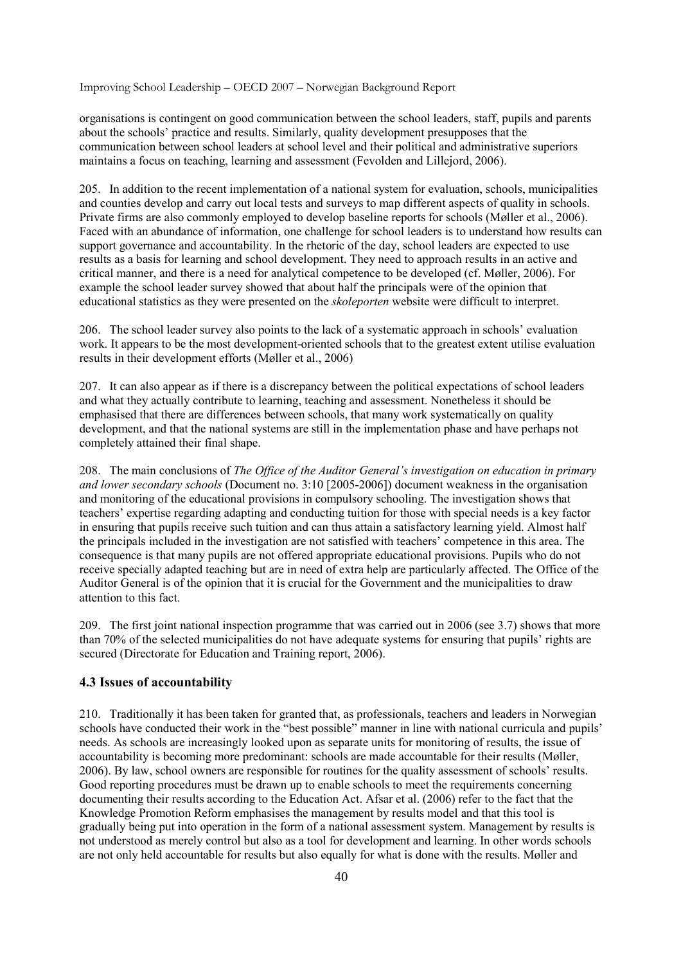organisations is contingent on good communication between the school leaders, staff, pupils and parents about the schools' practice and results. Similarly, quality development presupposes that the communication between school leaders at school level and their political and administrative superiors maintains a focus on teaching, learning and assessment (Fevolden and Lillejord, 2006).

205. In addition to the recent implementation of a national system for evaluation, schools, municipalities and counties develop and carry out local tests and surveys to map different aspects of quality in schools. Private firms are also commonly employed to develop baseline reports for schools (Møller et al., 2006). Faced with an abundance of information, one challenge for school leaders is to understand how results can support governance and accountability. In the rhetoric of the day, school leaders are expected to use results as a basis for learning and school development. They need to approach results in an active and critical manner, and there is a need for analytical competence to be developed (cf. Møller, 2006). For example the school leader survey showed that about half the principals were of the opinion that educational statistics as they were presented on the *skoleporten* website were difficult to interpret.

206. The school leader survey also points to the lack of a systematic approach in schools' evaluation work. It appears to be the most development-oriented schools that to the greatest extent utilise evaluation results in their development efforts (Møller et al., 2006)

207. It can also appear as if there is a discrepancy between the political expectations of school leaders and what they actually contribute to learning, teaching and assessment. Nonetheless it should be emphasised that there are differences between schools, that many work systematically on quality development, and that the national systems are still in the implementation phase and have perhaps not completely attained their final shape.

208. The main conclusions of *The Office of the Auditor General's investigation on education in primary and lower secondary schools* (Document no. 3:10 [2005-2006]) document weakness in the organisation and monitoring of the educational provisions in compulsory schooling. The investigation shows that teachers' expertise regarding adapting and conducting tuition for those with special needs is a key factor in ensuring that pupils receive such tuition and can thus attain a satisfactory learning yield. Almost half the principals included in the investigation are not satisfied with teachers' competence in this area. The consequence is that many pupils are not offered appropriate educational provisions. Pupils who do not receive specially adapted teaching but are in need of extra help are particularly affected. The Office of the Auditor General is of the opinion that it is crucial for the Government and the municipalities to draw attention to this fact.

209. The first joint national inspection programme that was carried out in 2006 (see 3.7) shows that more than 70% of the selected municipalities do not have adequate systems for ensuring that pupils' rights are secured (Directorate for Education and Training report, 2006).

### **4.3 Issues of accountability**

210. Traditionally it has been taken for granted that, as professionals, teachers and leaders in Norwegian schools have conducted their work in the "best possible" manner in line with national curricula and pupils' needs. As schools are increasingly looked upon as separate units for monitoring of results, the issue of accountability is becoming more predominant: schools are made accountable for their results (Møller, 2006). By law, school owners are responsible for routines for the quality assessment of schools' results. Good reporting procedures must be drawn up to enable schools to meet the requirements concerning documenting their results according to the Education Act. Afsar et al. (2006) refer to the fact that the Knowledge Promotion Reform emphasises the management by results model and that this tool is gradually being put into operation in the form of a national assessment system. Management by results is not understood as merely control but also as a tool for development and learning. In other words schools are not only held accountable for results but also equally for what is done with the results. Møller and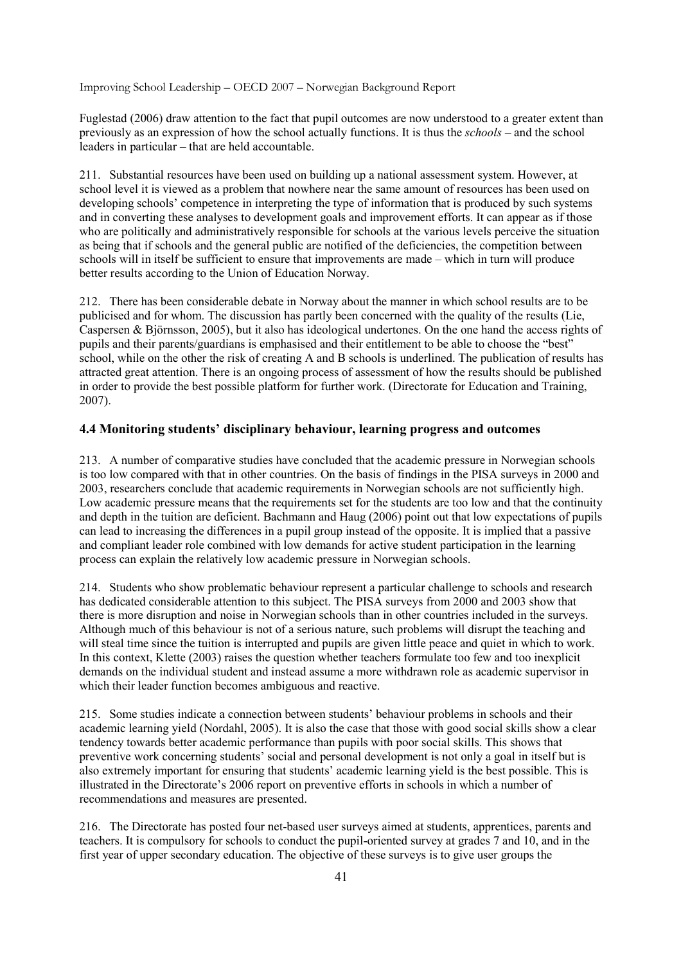Fuglestad (2006) draw attention to the fact that pupil outcomes are now understood to a greater extent than previously as an expression of how the school actually functions. It is thus the *schools –* and the school leaders in particular – that are held accountable.

211. Substantial resources have been used on building up a national assessment system. However, at school level it is viewed as a problem that nowhere near the same amount of resources has been used on developing schools' competence in interpreting the type of information that is produced by such systems and in converting these analyses to development goals and improvement efforts. It can appear as if those who are politically and administratively responsible for schools at the various levels perceive the situation as being that if schools and the general public are notified of the deficiencies, the competition between schools will in itself be sufficient to ensure that improvements are made – which in turn will produce better results according to the Union of Education Norway.

212. There has been considerable debate in Norway about the manner in which school results are to be publicised and for whom. The discussion has partly been concerned with the quality of the results (Lie, Caspersen & Björnsson, 2005), but it also has ideological undertones. On the one hand the access rights of pupils and their parents/guardians is emphasised and their entitlement to be able to choose the "best" school, while on the other the risk of creating A and B schools is underlined. The publication of results has attracted great attention. There is an ongoing process of assessment of how the results should be published in order to provide the best possible platform for further work. (Directorate for Education and Training, 2007).

### **4.4 Monitoring students' disciplinary behaviour, learning progress and outcomes**

213. A number of comparative studies have concluded that the academic pressure in Norwegian schools is too low compared with that in other countries. On the basis of findings in the PISA surveys in 2000 and 2003, researchers conclude that academic requirements in Norwegian schools are not sufficiently high. Low academic pressure means that the requirements set for the students are too low and that the continuity and depth in the tuition are deficient. Bachmann and Haug (2006) point out that low expectations of pupils can lead to increasing the differences in a pupil group instead of the opposite. It is implied that a passive and compliant leader role combined with low demands for active student participation in the learning process can explain the relatively low academic pressure in Norwegian schools.

214. Students who show problematic behaviour represent a particular challenge to schools and research has dedicated considerable attention to this subject. The PISA surveys from 2000 and 2003 show that there is more disruption and noise in Norwegian schools than in other countries included in the surveys. Although much of this behaviour is not of a serious nature, such problems will disrupt the teaching and will steal time since the tuition is interrupted and pupils are given little peace and quiet in which to work. In this context, Klette (2003) raises the question whether teachers formulate too few and too inexplicit demands on the individual student and instead assume a more withdrawn role as academic supervisor in which their leader function becomes ambiguous and reactive.

215. Some studies indicate a connection between students' behaviour problems in schools and their academic learning yield (Nordahl, 2005). It is also the case that those with good social skills show a clear tendency towards better academic performance than pupils with poor social skills. This shows that preventive work concerning students' social and personal development is not only a goal in itself but is also extremely important for ensuring that students' academic learning yield is the best possible. This is illustrated in the Directorate's 2006 report on preventive efforts in schools in which a number of recommendations and measures are presented.

216. The Directorate has posted four net-based user surveys aimed at students, apprentices, parents and teachers. It is compulsory for schools to conduct the pupil-oriented survey at grades 7 and 10, and in the first year of upper secondary education. The objective of these surveys is to give user groups the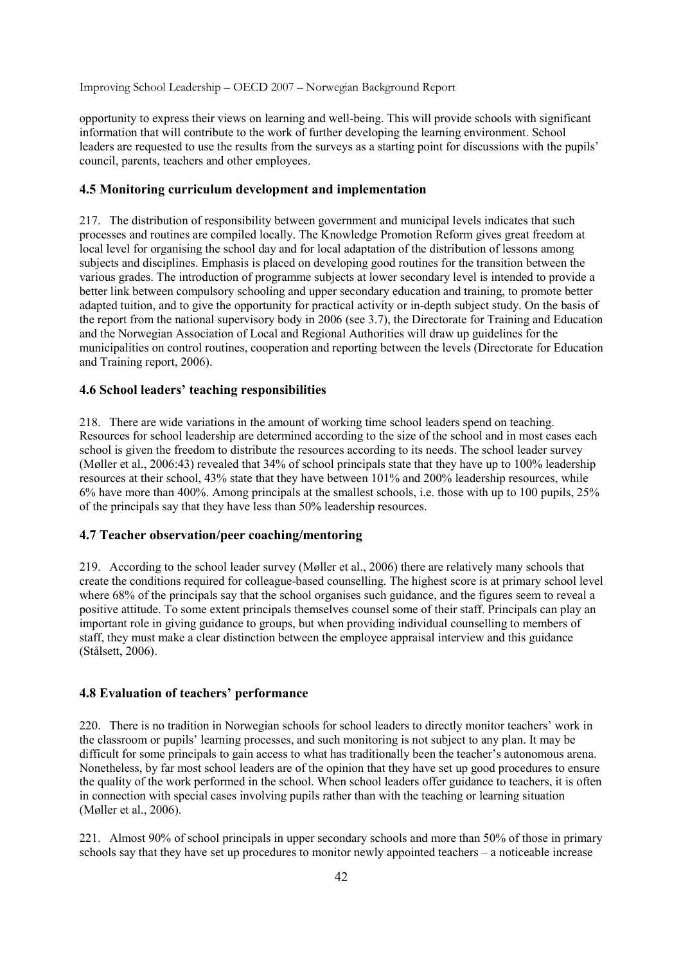opportunity to express their views on learning and well-being. This will provide schools with significant information that will contribute to the work of further developing the learning environment. School leaders are requested to use the results from the surveys as a starting point for discussions with the pupils' council, parents, teachers and other employees.

#### **4.5 Monitoring curriculum development and implementation**

217. The distribution of responsibility between government and municipal levels indicates that such processes and routines are compiled locally. The Knowledge Promotion Reform gives great freedom at local level for organising the school day and for local adaptation of the distribution of lessons among subjects and disciplines. Emphasis is placed on developing good routines for the transition between the various grades. The introduction of programme subjects at lower secondary level is intended to provide a better link between compulsory schooling and upper secondary education and training, to promote better adapted tuition, and to give the opportunity for practical activity or in-depth subject study. On the basis of the report from the national supervisory body in 2006 (see 3.7), the Directorate for Training and Education and the Norwegian Association of Local and Regional Authorities will draw up guidelines for the municipalities on control routines, cooperation and reporting between the levels (Directorate for Education and Training report, 2006).

#### **4.6 School leaders' teaching responsibilities**

218. There are wide variations in the amount of working time school leaders spend on teaching. Resources for school leadership are determined according to the size of the school and in most cases each school is given the freedom to distribute the resources according to its needs. The school leader survey (Møller et al., 2006:43) revealed that 34% of school principals state that they have up to 100% leadership resources at their school, 43% state that they have between 101% and 200% leadership resources, while 6% have more than 400%. Among principals at the smallest schools, i.e. those with up to 100 pupils, 25% of the principals say that they have less than 50% leadership resources.

### **4.7 Teacher observation/peer coaching/mentoring**

219. According to the school leader survey (Møller et al., 2006) there are relatively many schools that create the conditions required for colleague-based counselling. The highest score is at primary school level where 68% of the principals say that the school organises such guidance, and the figures seem to reveal a positive attitude. To some extent principals themselves counsel some of their staff. Principals can play an important role in giving guidance to groups, but when providing individual counselling to members of staff, they must make a clear distinction between the employee appraisal interview and this guidance (Stålsett, 2006).

#### **4.8 Evaluation of teachers' performance**

220. There is no tradition in Norwegian schools for school leaders to directly monitor teachers' work in the classroom or pupils' learning processes, and such monitoring is not subject to any plan. It may be difficult for some principals to gain access to what has traditionally been the teacher's autonomous arena. Nonetheless, by far most school leaders are of the opinion that they have set up good procedures to ensure the quality of the work performed in the school. When school leaders offer guidance to teachers, it is often in connection with special cases involving pupils rather than with the teaching or learning situation (Møller et al., 2006).

221. Almost 90% of school principals in upper secondary schools and more than 50% of those in primary schools say that they have set up procedures to monitor newly appointed teachers – a noticeable increase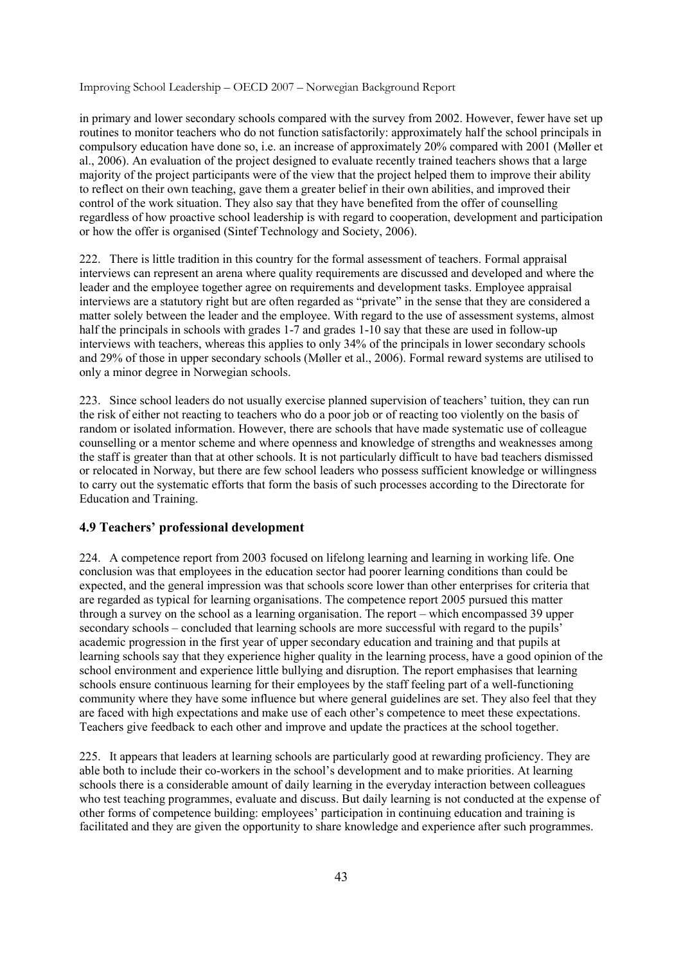in primary and lower secondary schools compared with the survey from 2002. However, fewer have set up routines to monitor teachers who do not function satisfactorily: approximately half the school principals in compulsory education have done so, i.e. an increase of approximately 20% compared with 2001 (Møller et al., 2006). An evaluation of the project designed to evaluate recently trained teachers shows that a large majority of the project participants were of the view that the project helped them to improve their ability to reflect on their own teaching, gave them a greater belief in their own abilities, and improved their control of the work situation. They also say that they have benefited from the offer of counselling regardless of how proactive school leadership is with regard to cooperation, development and participation or how the offer is organised (Sintef Technology and Society, 2006).

222. There is little tradition in this country for the formal assessment of teachers. Formal appraisal interviews can represent an arena where quality requirements are discussed and developed and where the leader and the employee together agree on requirements and development tasks. Employee appraisal interviews are a statutory right but are often regarded as "private" in the sense that they are considered a matter solely between the leader and the employee. With regard to the use of assessment systems, almost half the principals in schools with grades 1-7 and grades 1-10 say that these are used in follow-up interviews with teachers, whereas this applies to only 34% of the principals in lower secondary schools and 29% of those in upper secondary schools (Møller et al., 2006). Formal reward systems are utilised to only a minor degree in Norwegian schools.

223. Since school leaders do not usually exercise planned supervision of teachers' tuition, they can run the risk of either not reacting to teachers who do a poor job or of reacting too violently on the basis of random or isolated information. However, there are schools that have made systematic use of colleague counselling or a mentor scheme and where openness and knowledge of strengths and weaknesses among the staff is greater than that at other schools. It is not particularly difficult to have bad teachers dismissed or relocated in Norway, but there are few school leaders who possess sufficient knowledge or willingness to carry out the systematic efforts that form the basis of such processes according to the Directorate for Education and Training.

#### **4.9 Teachers' professional development**

224. A competence report from 2003 focused on lifelong learning and learning in working life. One conclusion was that employees in the education sector had poorer learning conditions than could be expected, and the general impression was that schools score lower than other enterprises for criteria that are regarded as typical for learning organisations. The competence report 2005 pursued this matter through a survey on the school as a learning organisation. The report – which encompassed 39 upper secondary schools – concluded that learning schools are more successful with regard to the pupils' academic progression in the first year of upper secondary education and training and that pupils at learning schools say that they experience higher quality in the learning process, have a good opinion of the school environment and experience little bullying and disruption. The report emphasises that learning schools ensure continuous learning for their employees by the staff feeling part of a well-functioning community where they have some influence but where general guidelines are set. They also feel that they are faced with high expectations and make use of each other's competence to meet these expectations. Teachers give feedback to each other and improve and update the practices at the school together.

225. It appears that leaders at learning schools are particularly good at rewarding proficiency. They are able both to include their co-workers in the school's development and to make priorities. At learning schools there is a considerable amount of daily learning in the everyday interaction between colleagues who test teaching programmes, evaluate and discuss. But daily learning is not conducted at the expense of other forms of competence building: employees' participation in continuing education and training is facilitated and they are given the opportunity to share knowledge and experience after such programmes.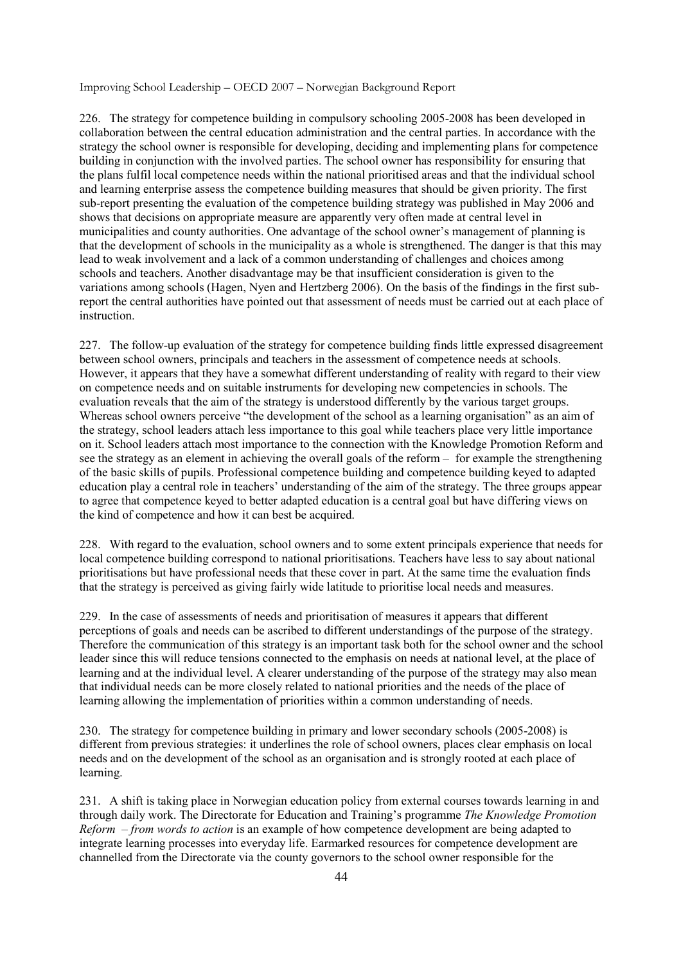226. The strategy for competence building in compulsory schooling 2005-2008 has been developed in collaboration between the central education administration and the central parties. In accordance with the strategy the school owner is responsible for developing, deciding and implementing plans for competence building in conjunction with the involved parties. The school owner has responsibility for ensuring that the plans fulfil local competence needs within the national prioritised areas and that the individual school and learning enterprise assess the competence building measures that should be given priority. The first sub-report presenting the evaluation of the competence building strategy was published in May 2006 and shows that decisions on appropriate measure are apparently very often made at central level in municipalities and county authorities. One advantage of the school owner's management of planning is that the development of schools in the municipality as a whole is strengthened. The danger is that this may lead to weak involvement and a lack of a common understanding of challenges and choices among schools and teachers. Another disadvantage may be that insufficient consideration is given to the variations among schools (Hagen, Nyen and Hertzberg 2006). On the basis of the findings in the first subreport the central authorities have pointed out that assessment of needs must be carried out at each place of instruction.

227. The follow-up evaluation of the strategy for competence building finds little expressed disagreement between school owners, principals and teachers in the assessment of competence needs at schools. However, it appears that they have a somewhat different understanding of reality with regard to their view on competence needs and on suitable instruments for developing new competencies in schools. The evaluation reveals that the aim of the strategy is understood differently by the various target groups. Whereas school owners perceive "the development of the school as a learning organisation" as an aim of the strategy, school leaders attach less importance to this goal while teachers place very little importance on it. School leaders attach most importance to the connection with the Knowledge Promotion Reform and see the strategy as an element in achieving the overall goals of the reform – for example the strengthening of the basic skills of pupils. Professional competence building and competence building keyed to adapted education play a central role in teachers' understanding of the aim of the strategy. The three groups appear to agree that competence keyed to better adapted education is a central goal but have differing views on the kind of competence and how it can best be acquired.

228. With regard to the evaluation, school owners and to some extent principals experience that needs for local competence building correspond to national prioritisations. Teachers have less to say about national prioritisations but have professional needs that these cover in part. At the same time the evaluation finds that the strategy is perceived as giving fairly wide latitude to prioritise local needs and measures.

229. In the case of assessments of needs and prioritisation of measures it appears that different perceptions of goals and needs can be ascribed to different understandings of the purpose of the strategy. Therefore the communication of this strategy is an important task both for the school owner and the school leader since this will reduce tensions connected to the emphasis on needs at national level, at the place of learning and at the individual level. A clearer understanding of the purpose of the strategy may also mean that individual needs can be more closely related to national priorities and the needs of the place of learning allowing the implementation of priorities within a common understanding of needs.

230. The strategy for competence building in primary and lower secondary schools (2005-2008) is different from previous strategies: it underlines the role of school owners, places clear emphasis on local needs and on the development of the school as an organisation and is strongly rooted at each place of learning.

231. A shift is taking place in Norwegian education policy from external courses towards learning in and through daily work. The Directorate for Education and Training's programme *The Knowledge Promotion Reform – from words to action* is an example of how competence development are being adapted to integrate learning processes into everyday life. Earmarked resources for competence development are channelled from the Directorate via the county governors to the school owner responsible for the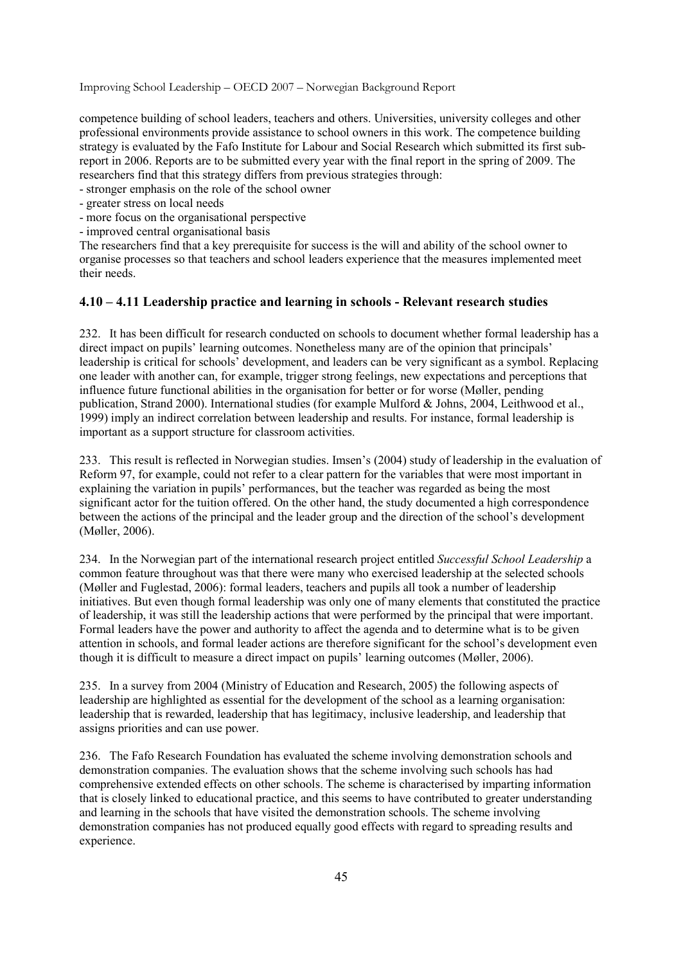competence building of school leaders, teachers and others. Universities, university colleges and other professional environments provide assistance to school owners in this work. The competence building strategy is evaluated by the Fafo Institute for Labour and Social Research which submitted its first subreport in 2006. Reports are to be submitted every year with the final report in the spring of 2009. The researchers find that this strategy differs from previous strategies through:

- stronger emphasis on the role of the school owner

- greater stress on local needs
- more focus on the organisational perspective
- improved central organisational basis

The researchers find that a key prerequisite for success is the will and ability of the school owner to organise processes so that teachers and school leaders experience that the measures implemented meet their needs.

### **4.10 – 4.11 Leadership practice and learning in schools - Relevant research studies**

232. It has been difficult for research conducted on schools to document whether formal leadership has a direct impact on pupils' learning outcomes. Nonetheless many are of the opinion that principals' leadership is critical for schools' development, and leaders can be very significant as a symbol. Replacing one leader with another can, for example, trigger strong feelings, new expectations and perceptions that influence future functional abilities in the organisation for better or for worse (Møller, pending publication, Strand 2000). International studies (for example Mulford & Johns, 2004, Leithwood et al., 1999) imply an indirect correlation between leadership and results. For instance, formal leadership is important as a support structure for classroom activities.

233. This result is reflected in Norwegian studies. Imsen's (2004) study of leadership in the evaluation of Reform 97, for example, could not refer to a clear pattern for the variables that were most important in explaining the variation in pupils' performances, but the teacher was regarded as being the most significant actor for the tuition offered. On the other hand, the study documented a high correspondence between the actions of the principal and the leader group and the direction of the school's development (Møller, 2006).

234. In the Norwegian part of the international research project entitled *Successful School Leadership* a common feature throughout was that there were many who exercised leadership at the selected schools (Møller and Fuglestad, 2006): formal leaders, teachers and pupils all took a number of leadership initiatives. But even though formal leadership was only one of many elements that constituted the practice of leadership, it was still the leadership actions that were performed by the principal that were important. Formal leaders have the power and authority to affect the agenda and to determine what is to be given attention in schools, and formal leader actions are therefore significant for the school's development even though it is difficult to measure a direct impact on pupils' learning outcomes (Møller, 2006).

235. In a survey from 2004 (Ministry of Education and Research, 2005) the following aspects of leadership are highlighted as essential for the development of the school as a learning organisation: leadership that is rewarded, leadership that has legitimacy, inclusive leadership, and leadership that assigns priorities and can use power.

236. The Fafo Research Foundation has evaluated the scheme involving demonstration schools and demonstration companies. The evaluation shows that the scheme involving such schools has had comprehensive extended effects on other schools. The scheme is characterised by imparting information that is closely linked to educational practice, and this seems to have contributed to greater understanding and learning in the schools that have visited the demonstration schools. The scheme involving demonstration companies has not produced equally good effects with regard to spreading results and experience.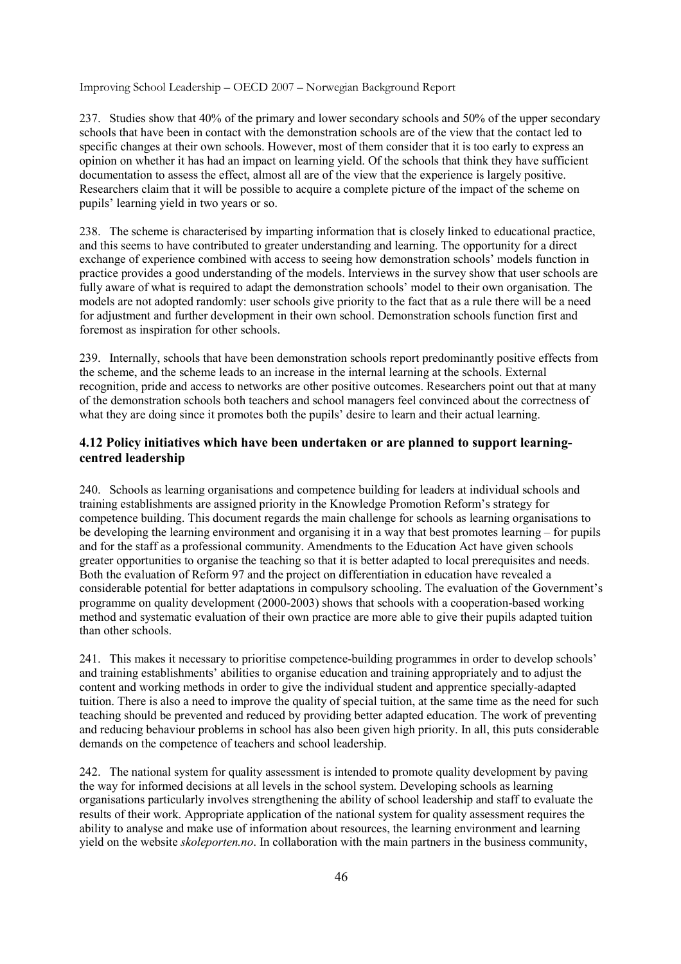237. Studies show that 40% of the primary and lower secondary schools and 50% of the upper secondary schools that have been in contact with the demonstration schools are of the view that the contact led to specific changes at their own schools. However, most of them consider that it is too early to express an opinion on whether it has had an impact on learning yield. Of the schools that think they have sufficient documentation to assess the effect, almost all are of the view that the experience is largely positive. Researchers claim that it will be possible to acquire a complete picture of the impact of the scheme on pupils' learning yield in two years or so.

238. The scheme is characterised by imparting information that is closely linked to educational practice, and this seems to have contributed to greater understanding and learning. The opportunity for a direct exchange of experience combined with access to seeing how demonstration schools' models function in practice provides a good understanding of the models. Interviews in the survey show that user schools are fully aware of what is required to adapt the demonstration schools' model to their own organisation. The models are not adopted randomly: user schools give priority to the fact that as a rule there will be a need for adjustment and further development in their own school. Demonstration schools function first and foremost as inspiration for other schools.

239. Internally, schools that have been demonstration schools report predominantly positive effects from the scheme, and the scheme leads to an increase in the internal learning at the schools. External recognition, pride and access to networks are other positive outcomes. Researchers point out that at many of the demonstration schools both teachers and school managers feel convinced about the correctness of what they are doing since it promotes both the pupils' desire to learn and their actual learning.

### **4.12 Policy initiatives which have been undertaken or are planned to support learningcentred leadership**

240. Schools as learning organisations and competence building for leaders at individual schools and training establishments are assigned priority in the Knowledge Promotion Reform's strategy for competence building. This document regards the main challenge for schools as learning organisations to be developing the learning environment and organising it in a way that best promotes learning – for pupils and for the staff as a professional community. Amendments to the Education Act have given schools greater opportunities to organise the teaching so that it is better adapted to local prerequisites and needs. Both the evaluation of Reform 97 and the project on differentiation in education have revealed a considerable potential for better adaptations in compulsory schooling. The evaluation of the Government's programme on quality development (2000-2003) shows that schools with a cooperation-based working method and systematic evaluation of their own practice are more able to give their pupils adapted tuition than other schools.

241. This makes it necessary to prioritise competence-building programmes in order to develop schools' and training establishments' abilities to organise education and training appropriately and to adjust the content and working methods in order to give the individual student and apprentice specially-adapted tuition. There is also a need to improve the quality of special tuition, at the same time as the need for such teaching should be prevented and reduced by providing better adapted education. The work of preventing and reducing behaviour problems in school has also been given high priority. In all, this puts considerable demands on the competence of teachers and school leadership.

242. The national system for quality assessment is intended to promote quality development by paving the way for informed decisions at all levels in the school system. Developing schools as learning organisations particularly involves strengthening the ability of school leadership and staff to evaluate the results of their work. Appropriate application of the national system for quality assessment requires the ability to analyse and make use of information about resources, the learning environment and learning yield on the website *skoleporten.no*. In collaboration with the main partners in the business community,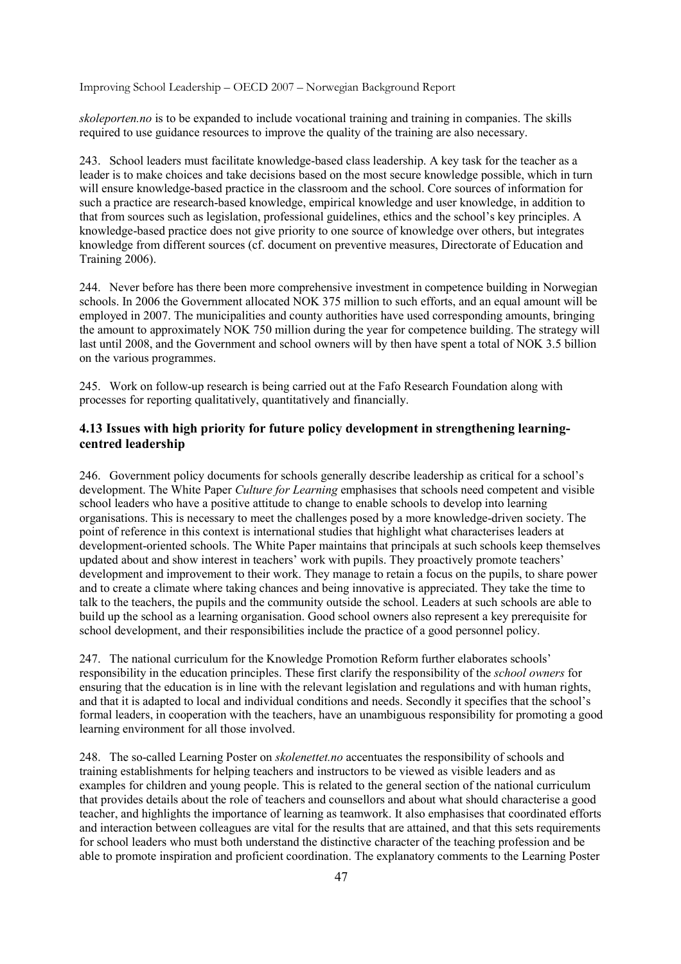*skoleporten.no* is to be expanded to include vocational training and training in companies. The skills required to use guidance resources to improve the quality of the training are also necessary.

243. School leaders must facilitate knowledge-based class leadership. A key task for the teacher as a leader is to make choices and take decisions based on the most secure knowledge possible, which in turn will ensure knowledge-based practice in the classroom and the school. Core sources of information for such a practice are research-based knowledge, empirical knowledge and user knowledge, in addition to that from sources such as legislation, professional guidelines, ethics and the school's key principles. A knowledge-based practice does not give priority to one source of knowledge over others, but integrates knowledge from different sources (cf. document on preventive measures, Directorate of Education and Training 2006).

244. Never before has there been more comprehensive investment in competence building in Norwegian schools. In 2006 the Government allocated NOK 375 million to such efforts, and an equal amount will be employed in 2007. The municipalities and county authorities have used corresponding amounts, bringing the amount to approximately NOK 750 million during the year for competence building. The strategy will last until 2008, and the Government and school owners will by then have spent a total of NOK 3.5 billion on the various programmes.

245. Work on follow-up research is being carried out at the Fafo Research Foundation along with processes for reporting qualitatively, quantitatively and financially.

### **4.13 Issues with high priority for future policy development in strengthening learningcentred leadership**

246. Government policy documents for schools generally describe leadership as critical for a school's development. The White Paper *Culture for Learning* emphasises that schools need competent and visible school leaders who have a positive attitude to change to enable schools to develop into learning organisations. This is necessary to meet the challenges posed by a more knowledge-driven society. The point of reference in this context is international studies that highlight what characterises leaders at development-oriented schools. The White Paper maintains that principals at such schools keep themselves updated about and show interest in teachers' work with pupils. They proactively promote teachers' development and improvement to their work. They manage to retain a focus on the pupils, to share power and to create a climate where taking chances and being innovative is appreciated. They take the time to talk to the teachers, the pupils and the community outside the school. Leaders at such schools are able to build up the school as a learning organisation. Good school owners also represent a key prerequisite for school development, and their responsibilities include the practice of a good personnel policy.

247. The national curriculum for the Knowledge Promotion Reform further elaborates schools' responsibility in the education principles. These first clarify the responsibility of the *school owners* for ensuring that the education is in line with the relevant legislation and regulations and with human rights, and that it is adapted to local and individual conditions and needs. Secondly it specifies that the school's formal leaders, in cooperation with the teachers, have an unambiguous responsibility for promoting a good learning environment for all those involved.

248. The so-called Learning Poster on *skolenettet.no* accentuates the responsibility of schools and training establishments for helping teachers and instructors to be viewed as visible leaders and as examples for children and young people. This is related to the general section of the national curriculum that provides details about the role of teachers and counsellors and about what should characterise a good teacher, and highlights the importance of learning as teamwork. It also emphasises that coordinated efforts and interaction between colleagues are vital for the results that are attained, and that this sets requirements for school leaders who must both understand the distinctive character of the teaching profession and be able to promote inspiration and proficient coordination. The explanatory comments to the Learning Poster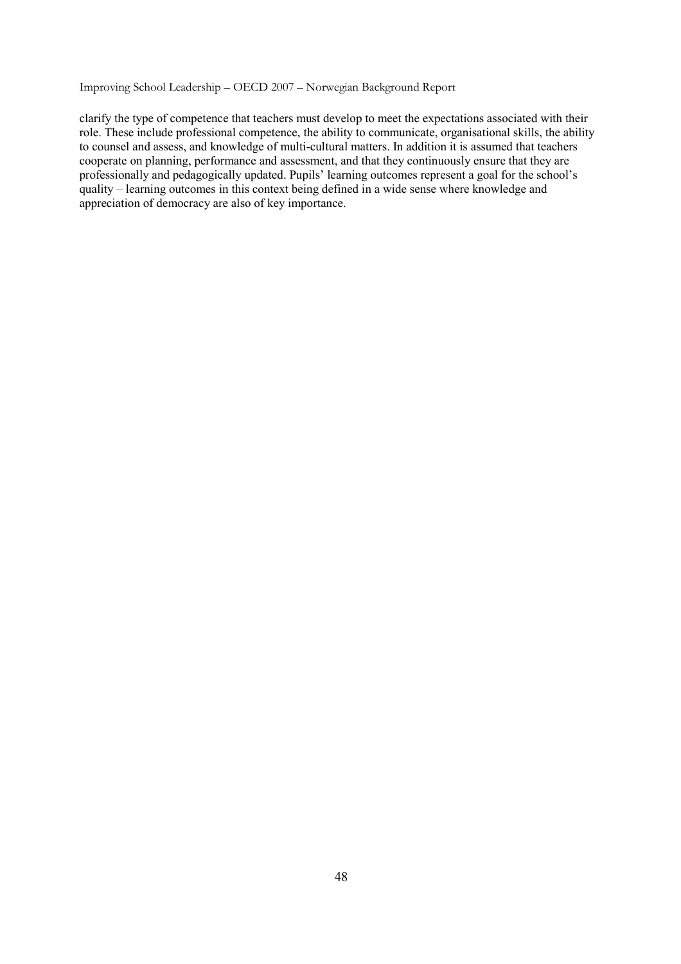clarify the type of competence that teachers must develop to meet the expectations associated with their role. These include professional competence, the ability to communicate, organisational skills, the ability to counsel and assess, and knowledge of multi-cultural matters. In addition it is assumed that teachers cooperate on planning, performance and assessment, and that they continuously ensure that they are professionally and pedagogically updated. Pupils' learning outcomes represent a goal for the school's quality – learning outcomes in this context being defined in a wide sense where knowledge and appreciation of democracy are also of key importance.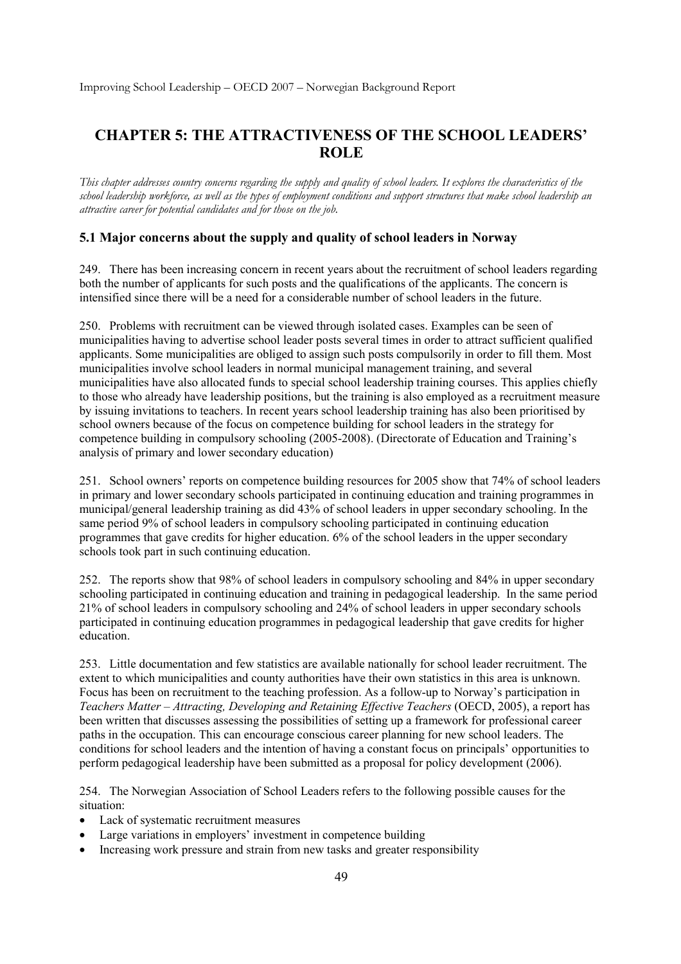# **CHAPTER 5: THE ATTRACTIVENESS OF THE SCHOOL LEADERS' ROLE**

*This chapter addresses country concerns regarding the supply and quality of school leaders. It explores the characteristics of the school leadership workforce, as well as the types of employment conditions and support structures that make school leadership an attractive career for potential candidates and for those on the job.* 

### **5.1 Major concerns about the supply and quality of school leaders in Norway**

249. There has been increasing concern in recent years about the recruitment of school leaders regarding both the number of applicants for such posts and the qualifications of the applicants. The concern is intensified since there will be a need for a considerable number of school leaders in the future.

250. Problems with recruitment can be viewed through isolated cases. Examples can be seen of municipalities having to advertise school leader posts several times in order to attract sufficient qualified applicants. Some municipalities are obliged to assign such posts compulsorily in order to fill them. Most municipalities involve school leaders in normal municipal management training, and several municipalities have also allocated funds to special school leadership training courses. This applies chiefly to those who already have leadership positions, but the training is also employed as a recruitment measure by issuing invitations to teachers. In recent years school leadership training has also been prioritised by school owners because of the focus on competence building for school leaders in the strategy for competence building in compulsory schooling (2005-2008). (Directorate of Education and Training's analysis of primary and lower secondary education)

251. School owners' reports on competence building resources for 2005 show that 74% of school leaders in primary and lower secondary schools participated in continuing education and training programmes in municipal/general leadership training as did 43% of school leaders in upper secondary schooling. In the same period 9% of school leaders in compulsory schooling participated in continuing education programmes that gave credits for higher education. 6% of the school leaders in the upper secondary schools took part in such continuing education.

252. The reports show that 98% of school leaders in compulsory schooling and 84% in upper secondary schooling participated in continuing education and training in pedagogical leadership. In the same period 21% of school leaders in compulsory schooling and 24% of school leaders in upper secondary schools participated in continuing education programmes in pedagogical leadership that gave credits for higher education.

253. Little documentation and few statistics are available nationally for school leader recruitment. The extent to which municipalities and county authorities have their own statistics in this area is unknown. Focus has been on recruitment to the teaching profession. As a follow-up to Norway's participation in *Teachers Matter – Attracting, Developing and Retaining Effective Teachers* (OECD, 2005), a report has been written that discusses assessing the possibilities of setting up a framework for professional career paths in the occupation. This can encourage conscious career planning for new school leaders. The conditions for school leaders and the intention of having a constant focus on principals' opportunities to perform pedagogical leadership have been submitted as a proposal for policy development (2006).

254. The Norwegian Association of School Leaders refers to the following possible causes for the situation:

- Lack of systematic recruitment measures
- Large variations in employers' investment in competence building
- Increasing work pressure and strain from new tasks and greater responsibility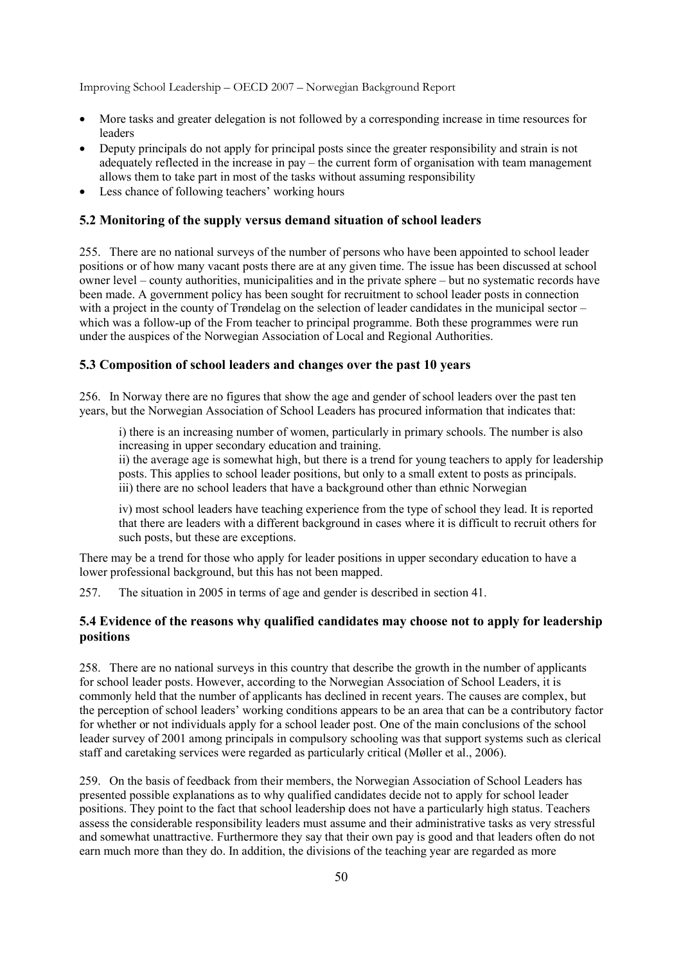- More tasks and greater delegation is not followed by a corresponding increase in time resources for leaders
- Deputy principals do not apply for principal posts since the greater responsibility and strain is not adequately reflected in the increase in pay – the current form of organisation with team management allows them to take part in most of the tasks without assuming responsibility
- Less chance of following teachers' working hours

#### **5.2 Monitoring of the supply versus demand situation of school leaders**

255. There are no national surveys of the number of persons who have been appointed to school leader positions or of how many vacant posts there are at any given time. The issue has been discussed at school owner level – county authorities, municipalities and in the private sphere – but no systematic records have been made. A government policy has been sought for recruitment to school leader posts in connection with a project in the county of Trøndelag on the selection of leader candidates in the municipal sector – which was a follow-up of the From teacher to principal programme. Both these programmes were run under the auspices of the Norwegian Association of Local and Regional Authorities.

#### **5.3 Composition of school leaders and changes over the past 10 years**

256. In Norway there are no figures that show the age and gender of school leaders over the past ten years, but the Norwegian Association of School Leaders has procured information that indicates that:

i) there is an increasing number of women, particularly in primary schools. The number is also increasing in upper secondary education and training.

ii) the average age is somewhat high, but there is a trend for young teachers to apply for leadership posts. This applies to school leader positions, but only to a small extent to posts as principals. iii) there are no school leaders that have a background other than ethnic Norwegian

iv) most school leaders have teaching experience from the type of school they lead. It is reported that there are leaders with a different background in cases where it is difficult to recruit others for such posts, but these are exceptions.

There may be a trend for those who apply for leader positions in upper secondary education to have a lower professional background, but this has not been mapped.

257. The situation in 2005 in terms of age and gender is described in section 41.

#### **5.4 Evidence of the reasons why qualified candidates may choose not to apply for leadership positions**

258. There are no national surveys in this country that describe the growth in the number of applicants for school leader posts. However, according to the Norwegian Association of School Leaders, it is commonly held that the number of applicants has declined in recent years. The causes are complex, but the perception of school leaders' working conditions appears to be an area that can be a contributory factor for whether or not individuals apply for a school leader post. One of the main conclusions of the school leader survey of 2001 among principals in compulsory schooling was that support systems such as clerical staff and caretaking services were regarded as particularly critical (Møller et al., 2006).

259. On the basis of feedback from their members, the Norwegian Association of School Leaders has presented possible explanations as to why qualified candidates decide not to apply for school leader positions. They point to the fact that school leadership does not have a particularly high status. Teachers assess the considerable responsibility leaders must assume and their administrative tasks as very stressful and somewhat unattractive. Furthermore they say that their own pay is good and that leaders often do not earn much more than they do. In addition, the divisions of the teaching year are regarded as more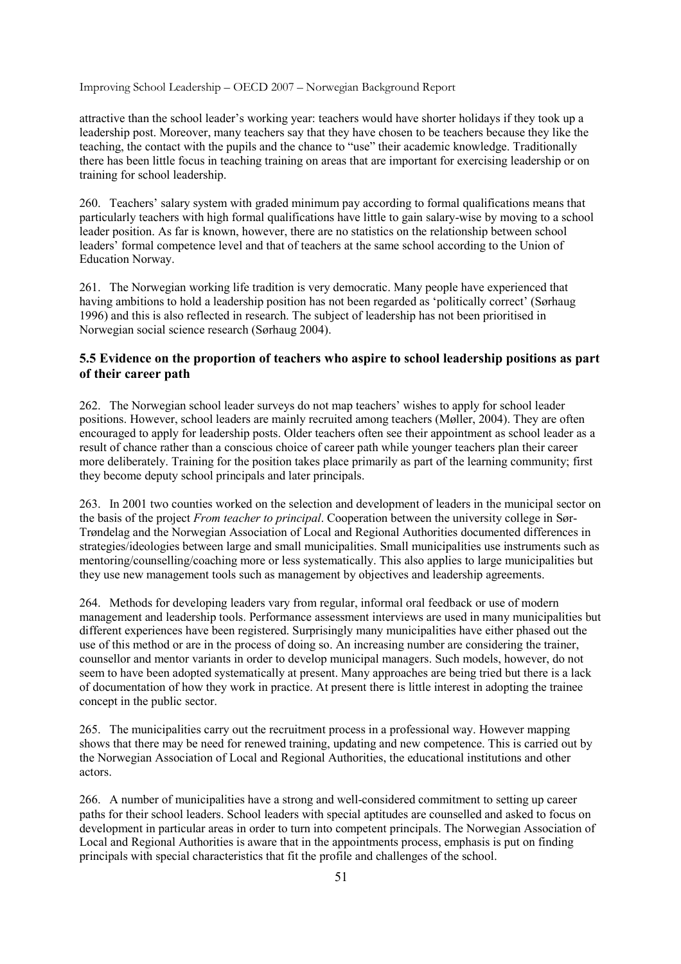attractive than the school leader's working year: teachers would have shorter holidays if they took up a leadership post. Moreover, many teachers say that they have chosen to be teachers because they like the teaching, the contact with the pupils and the chance to "use" their academic knowledge. Traditionally there has been little focus in teaching training on areas that are important for exercising leadership or on training for school leadership.

260. Teachers' salary system with graded minimum pay according to formal qualifications means that particularly teachers with high formal qualifications have little to gain salary-wise by moving to a school leader position. As far is known, however, there are no statistics on the relationship between school leaders' formal competence level and that of teachers at the same school according to the Union of Education Norway.

261. The Norwegian working life tradition is very democratic. Many people have experienced that having ambitions to hold a leadership position has not been regarded as 'politically correct' (Sørhaug 1996) and this is also reflected in research. The subject of leadership has not been prioritised in Norwegian social science research (Sørhaug 2004).

### **5.5 Evidence on the proportion of teachers who aspire to school leadership positions as part of their career path**

262. The Norwegian school leader surveys do not map teachers' wishes to apply for school leader positions. However, school leaders are mainly recruited among teachers (Møller, 2004). They are often encouraged to apply for leadership posts. Older teachers often see their appointment as school leader as a result of chance rather than a conscious choice of career path while younger teachers plan their career more deliberately. Training for the position takes place primarily as part of the learning community; first they become deputy school principals and later principals.

263. In 2001 two counties worked on the selection and development of leaders in the municipal sector on the basis of the project *From teacher to principal*. Cooperation between the university college in Sør-Trøndelag and the Norwegian Association of Local and Regional Authorities documented differences in strategies/ideologies between large and small municipalities. Small municipalities use instruments such as mentoring/counselling/coaching more or less systematically. This also applies to large municipalities but they use new management tools such as management by objectives and leadership agreements.

264. Methods for developing leaders vary from regular, informal oral feedback or use of modern management and leadership tools. Performance assessment interviews are used in many municipalities but different experiences have been registered. Surprisingly many municipalities have either phased out the use of this method or are in the process of doing so. An increasing number are considering the trainer, counsellor and mentor variants in order to develop municipal managers. Such models, however, do not seem to have been adopted systematically at present. Many approaches are being tried but there is a lack of documentation of how they work in practice. At present there is little interest in adopting the trainee concept in the public sector.

265. The municipalities carry out the recruitment process in a professional way. However mapping shows that there may be need for renewed training, updating and new competence. This is carried out by the Norwegian Association of Local and Regional Authorities, the educational institutions and other actors.

266. A number of municipalities have a strong and well-considered commitment to setting up career paths for their school leaders. School leaders with special aptitudes are counselled and asked to focus on development in particular areas in order to turn into competent principals. The Norwegian Association of Local and Regional Authorities is aware that in the appointments process, emphasis is put on finding principals with special characteristics that fit the profile and challenges of the school.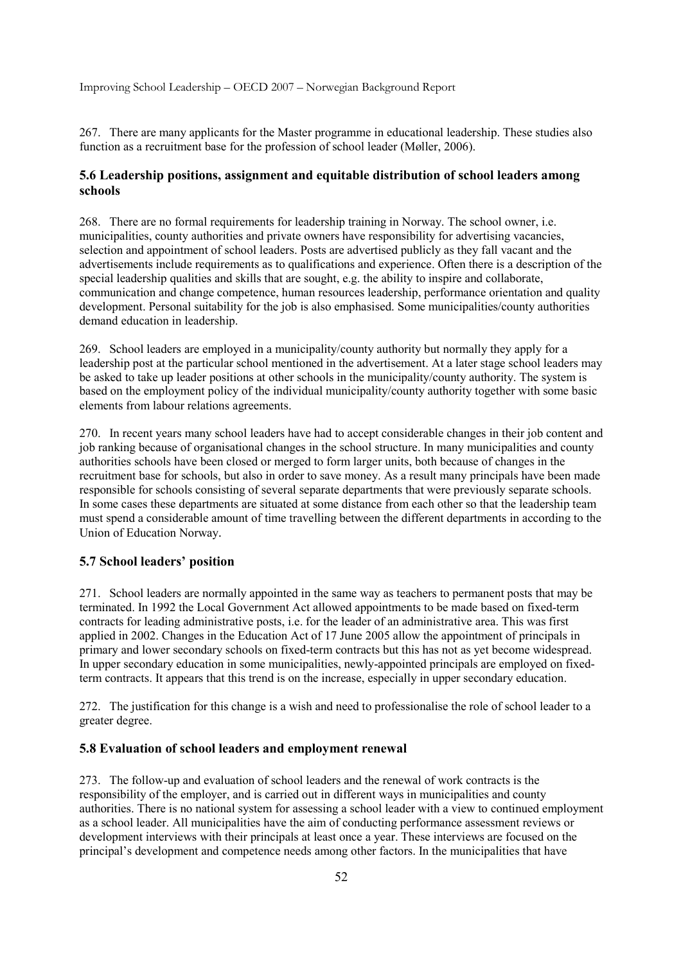267. There are many applicants for the Master programme in educational leadership. These studies also function as a recruitment base for the profession of school leader (Møller, 2006).

### **5.6 Leadership positions, assignment and equitable distribution of school leaders among schools**

268. There are no formal requirements for leadership training in Norway. The school owner, i.e. municipalities, county authorities and private owners have responsibility for advertising vacancies, selection and appointment of school leaders. Posts are advertised publicly as they fall vacant and the advertisements include requirements as to qualifications and experience. Often there is a description of the special leadership qualities and skills that are sought, e.g. the ability to inspire and collaborate, communication and change competence, human resources leadership, performance orientation and quality development. Personal suitability for the job is also emphasised. Some municipalities/county authorities demand education in leadership.

269. School leaders are employed in a municipality/county authority but normally they apply for a leadership post at the particular school mentioned in the advertisement. At a later stage school leaders may be asked to take up leader positions at other schools in the municipality/county authority. The system is based on the employment policy of the individual municipality/county authority together with some basic elements from labour relations agreements.

270. In recent years many school leaders have had to accept considerable changes in their job content and job ranking because of organisational changes in the school structure. In many municipalities and county authorities schools have been closed or merged to form larger units, both because of changes in the recruitment base for schools, but also in order to save money. As a result many principals have been made responsible for schools consisting of several separate departments that were previously separate schools. In some cases these departments are situated at some distance from each other so that the leadership team must spend a considerable amount of time travelling between the different departments in according to the Union of Education Norway.

### **5.7 School leaders' position**

271. School leaders are normally appointed in the same way as teachers to permanent posts that may be terminated. In 1992 the Local Government Act allowed appointments to be made based on fixed-term contracts for leading administrative posts, i.e. for the leader of an administrative area. This was first applied in 2002. Changes in the Education Act of 17 June 2005 allow the appointment of principals in primary and lower secondary schools on fixed-term contracts but this has not as yet become widespread. In upper secondary education in some municipalities, newly-appointed principals are employed on fixedterm contracts. It appears that this trend is on the increase, especially in upper secondary education.

272. The justification for this change is a wish and need to professionalise the role of school leader to a greater degree.

#### **5.8 Evaluation of school leaders and employment renewal**

273. The follow-up and evaluation of school leaders and the renewal of work contracts is the responsibility of the employer, and is carried out in different ways in municipalities and county authorities. There is no national system for assessing a school leader with a view to continued employment as a school leader. All municipalities have the aim of conducting performance assessment reviews or development interviews with their principals at least once a year. These interviews are focused on the principal's development and competence needs among other factors. In the municipalities that have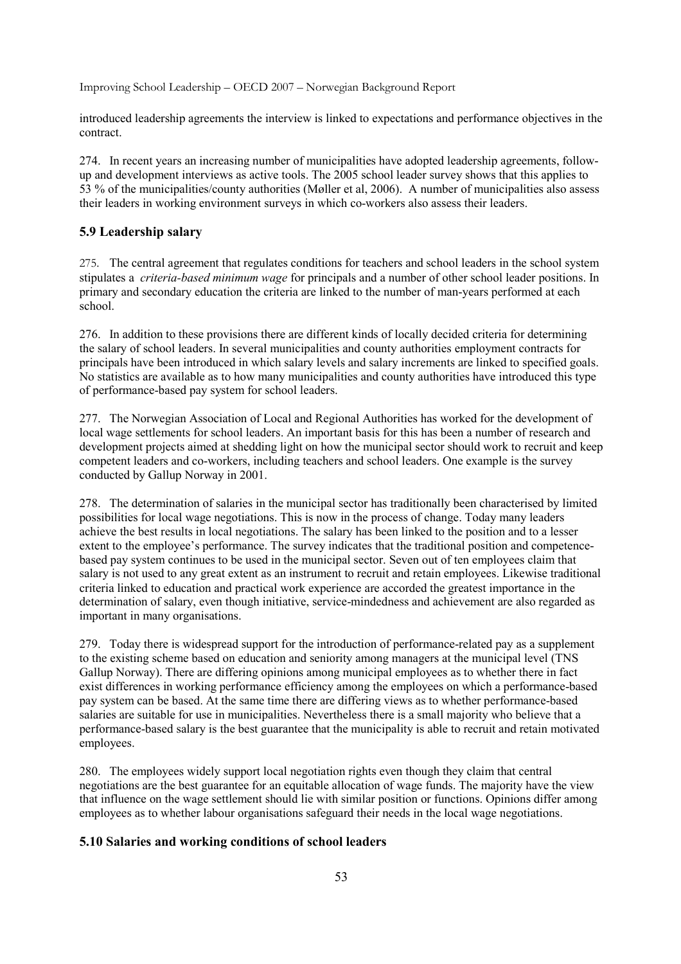introduced leadership agreements the interview is linked to expectations and performance objectives in the contract.

274. In recent years an increasing number of municipalities have adopted leadership agreements, followup and development interviews as active tools. The 2005 school leader survey shows that this applies to 53 % of the municipalities/county authorities (Møller et al, 2006). A number of municipalities also assess their leaders in working environment surveys in which co-workers also assess their leaders.

## **5.9 Leadership salary**

275. The central agreement that regulates conditions for teachers and school leaders in the school system stipulates a *criteria-based minimum wage* for principals and a number of other school leader positions. In primary and secondary education the criteria are linked to the number of man-years performed at each school.

276. In addition to these provisions there are different kinds of locally decided criteria for determining the salary of school leaders. In several municipalities and county authorities employment contracts for principals have been introduced in which salary levels and salary increments are linked to specified goals. No statistics are available as to how many municipalities and county authorities have introduced this type of performance-based pay system for school leaders.

277. The Norwegian Association of Local and Regional Authorities has worked for the development of local wage settlements for school leaders. An important basis for this has been a number of research and development projects aimed at shedding light on how the municipal sector should work to recruit and keep competent leaders and co-workers, including teachers and school leaders. One example is the survey conducted by Gallup Norway in 2001.

278. The determination of salaries in the municipal sector has traditionally been characterised by limited possibilities for local wage negotiations. This is now in the process of change. Today many leaders achieve the best results in local negotiations. The salary has been linked to the position and to a lesser extent to the employee's performance. The survey indicates that the traditional position and competencebased pay system continues to be used in the municipal sector. Seven out of ten employees claim that salary is not used to any great extent as an instrument to recruit and retain employees. Likewise traditional criteria linked to education and practical work experience are accorded the greatest importance in the determination of salary, even though initiative, service-mindedness and achievement are also regarded as important in many organisations.

279. Today there is widespread support for the introduction of performance-related pay as a supplement to the existing scheme based on education and seniority among managers at the municipal level (TNS Gallup Norway). There are differing opinions among municipal employees as to whether there in fact exist differences in working performance efficiency among the employees on which a performance-based pay system can be based. At the same time there are differing views as to whether performance-based salaries are suitable for use in municipalities. Nevertheless there is a small majority who believe that a performance-based salary is the best guarantee that the municipality is able to recruit and retain motivated employees.

280. The employees widely support local negotiation rights even though they claim that central negotiations are the best guarantee for an equitable allocation of wage funds. The majority have the view that influence on the wage settlement should lie with similar position or functions. Opinions differ among employees as to whether labour organisations safeguard their needs in the local wage negotiations.

### **5.10 Salaries and working conditions of school leaders**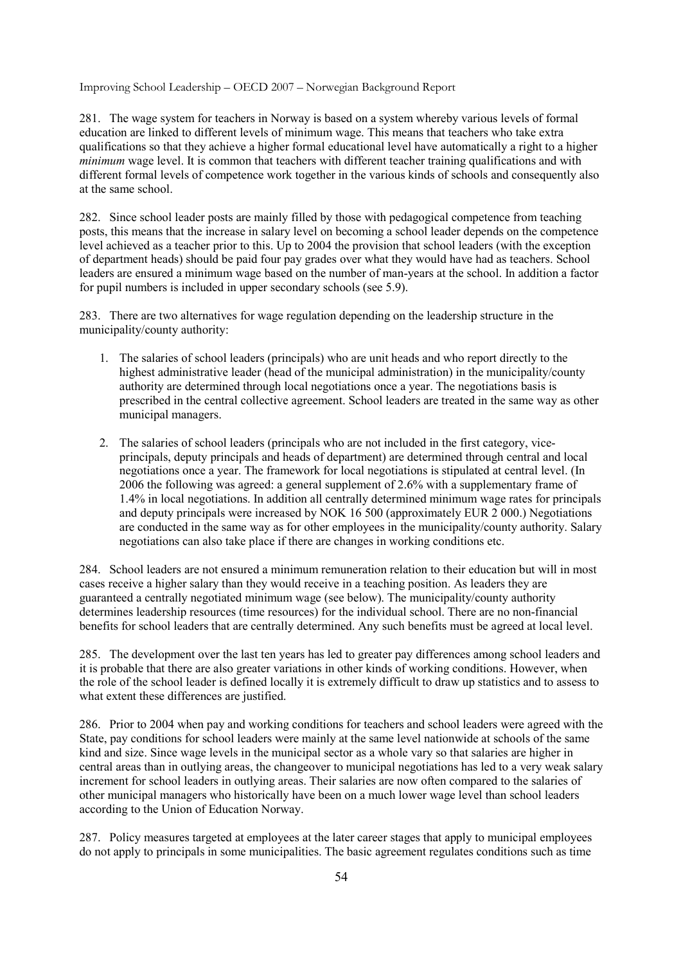281. The wage system for teachers in Norway is based on a system whereby various levels of formal education are linked to different levels of minimum wage. This means that teachers who take extra qualifications so that they achieve a higher formal educational level have automatically a right to a higher *minimum* wage level. It is common that teachers with different teacher training qualifications and with different formal levels of competence work together in the various kinds of schools and consequently also at the same school.

282. Since school leader posts are mainly filled by those with pedagogical competence from teaching posts, this means that the increase in salary level on becoming a school leader depends on the competence level achieved as a teacher prior to this. Up to 2004 the provision that school leaders (with the exception of department heads) should be paid four pay grades over what they would have had as teachers. School leaders are ensured a minimum wage based on the number of man-years at the school. In addition a factor for pupil numbers is included in upper secondary schools (see 5.9).

283. There are two alternatives for wage regulation depending on the leadership structure in the municipality/county authority:

- 1. The salaries of school leaders (principals) who are unit heads and who report directly to the highest administrative leader (head of the municipal administration) in the municipality/county authority are determined through local negotiations once a year. The negotiations basis is prescribed in the central collective agreement. School leaders are treated in the same way as other municipal managers.
- 2. The salaries of school leaders (principals who are not included in the first category, viceprincipals, deputy principals and heads of department) are determined through central and local negotiations once a year. The framework for local negotiations is stipulated at central level. (In 2006 the following was agreed: a general supplement of 2.6% with a supplementary frame of 1.4% in local negotiations. In addition all centrally determined minimum wage rates for principals and deputy principals were increased by NOK 16 500 (approximately EUR 2 000.) Negotiations are conducted in the same way as for other employees in the municipality/county authority. Salary negotiations can also take place if there are changes in working conditions etc.

284. School leaders are not ensured a minimum remuneration relation to their education but will in most cases receive a higher salary than they would receive in a teaching position. As leaders they are guaranteed a centrally negotiated minimum wage (see below). The municipality/county authority determines leadership resources (time resources) for the individual school. There are no non-financial benefits for school leaders that are centrally determined. Any such benefits must be agreed at local level.

285. The development over the last ten years has led to greater pay differences among school leaders and it is probable that there are also greater variations in other kinds of working conditions. However, when the role of the school leader is defined locally it is extremely difficult to draw up statistics and to assess to what extent these differences are justified.

286. Prior to 2004 when pay and working conditions for teachers and school leaders were agreed with the State, pay conditions for school leaders were mainly at the same level nationwide at schools of the same kind and size. Since wage levels in the municipal sector as a whole vary so that salaries are higher in central areas than in outlying areas, the changeover to municipal negotiations has led to a very weak salary increment for school leaders in outlying areas. Their salaries are now often compared to the salaries of other municipal managers who historically have been on a much lower wage level than school leaders according to the Union of Education Norway.

287. Policy measures targeted at employees at the later career stages that apply to municipal employees do not apply to principals in some municipalities. The basic agreement regulates conditions such as time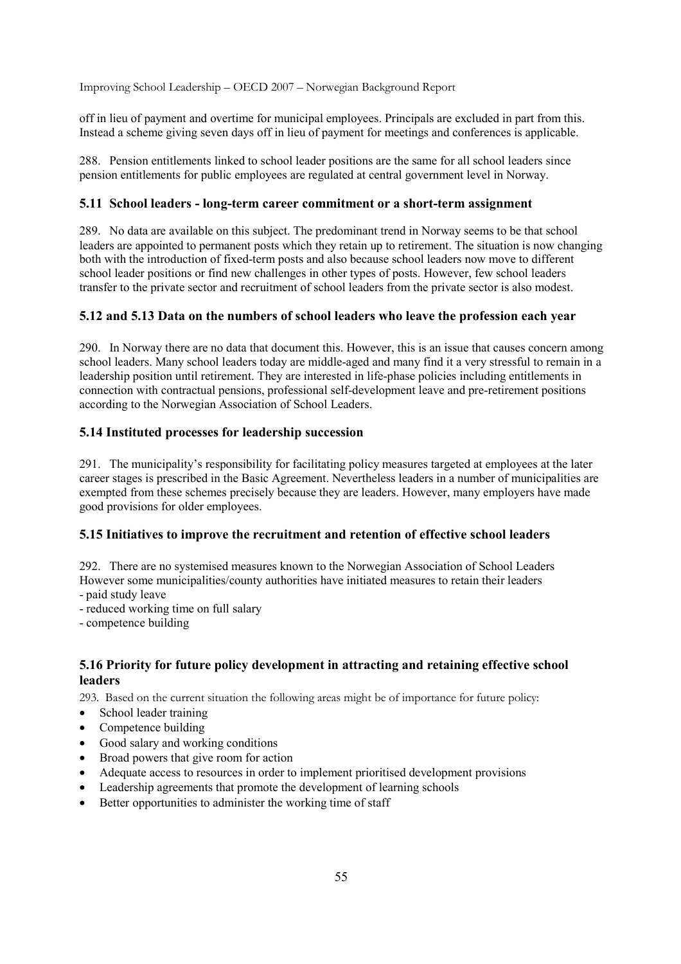off in lieu of payment and overtime for municipal employees. Principals are excluded in part from this. Instead a scheme giving seven days off in lieu of payment for meetings and conferences is applicable.

288. Pension entitlements linked to school leader positions are the same for all school leaders since pension entitlements for public employees are regulated at central government level in Norway.

### **5.11 School leaders - long-term career commitment or a short-term assignment**

289. No data are available on this subject. The predominant trend in Norway seems to be that school leaders are appointed to permanent posts which they retain up to retirement. The situation is now changing both with the introduction of fixed-term posts and also because school leaders now move to different school leader positions or find new challenges in other types of posts. However, few school leaders transfer to the private sector and recruitment of school leaders from the private sector is also modest.

### **5.12 and 5.13 Data on the numbers of school leaders who leave the profession each year**

290. In Norway there are no data that document this. However, this is an issue that causes concern among school leaders. Many school leaders today are middle-aged and many find it a very stressful to remain in a leadership position until retirement. They are interested in life-phase policies including entitlements in connection with contractual pensions, professional self-development leave and pre-retirement positions according to the Norwegian Association of School Leaders.

### **5.14 Instituted processes for leadership succession**

291. The municipality's responsibility for facilitating policy measures targeted at employees at the later career stages is prescribed in the Basic Agreement. Nevertheless leaders in a number of municipalities are exempted from these schemes precisely because they are leaders. However, many employers have made good provisions for older employees.

### **5.15 Initiatives to improve the recruitment and retention of effective school leaders**

292. There are no systemised measures known to the Norwegian Association of School Leaders However some municipalities/county authorities have initiated measures to retain their leaders - paid study leave

- reduced working time on full salary

- competence building

### **5.16 Priority for future policy development in attracting and retaining effective school leaders**

293. Based on the current situation the following areas might be of importance for future policy:

- School leader training
- Competence building
- Good salary and working conditions
- Broad powers that give room for action
- Adequate access to resources in order to implement prioritised development provisions
- Leadership agreements that promote the development of learning schools
- Better opportunities to administer the working time of staff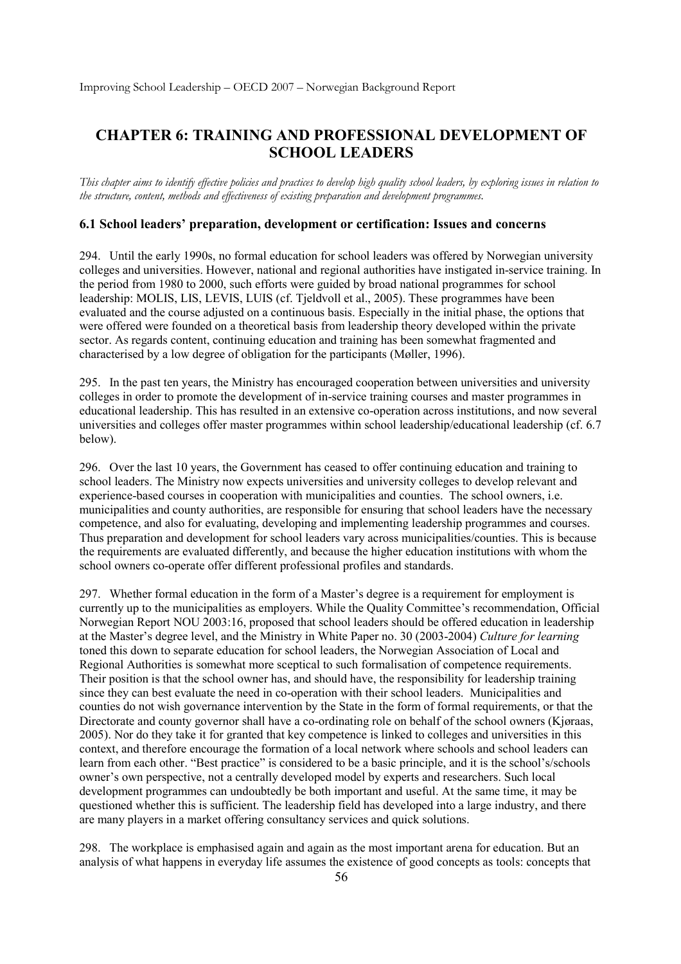# **CHAPTER 6: TRAINING AND PROFESSIONAL DEVELOPMENT OF SCHOOL LEADERS**

*This chapter aims to identify effective policies and practices to develop high quality school leaders, by exploring issues in relation to the structure, content, methods and effectiveness of existing preparation and development programmes.* 

### **6.1 School leaders' preparation, development or certification: Issues and concerns**

294. Until the early 1990s, no formal education for school leaders was offered by Norwegian university colleges and universities. However, national and regional authorities have instigated in-service training. In the period from 1980 to 2000, such efforts were guided by broad national programmes for school leadership: MOLIS, LIS, LEVIS, LUIS (cf. Tieldvoll et al., 2005). These programmes have been evaluated and the course adjusted on a continuous basis. Especially in the initial phase, the options that were offered were founded on a theoretical basis from leadership theory developed within the private sector. As regards content, continuing education and training has been somewhat fragmented and characterised by a low degree of obligation for the participants (Møller, 1996).

295. In the past ten years, the Ministry has encouraged cooperation between universities and university colleges in order to promote the development of in-service training courses and master programmes in educational leadership. This has resulted in an extensive co-operation across institutions, and now several universities and colleges offer master programmes within school leadership/educational leadership (cf. 6.7 below).

296. Over the last 10 years, the Government has ceased to offer continuing education and training to school leaders. The Ministry now expects universities and university colleges to develop relevant and experience-based courses in cooperation with municipalities and counties. The school owners, i.e. municipalities and county authorities, are responsible for ensuring that school leaders have the necessary competence, and also for evaluating, developing and implementing leadership programmes and courses. Thus preparation and development for school leaders vary across municipalities/counties. This is because the requirements are evaluated differently, and because the higher education institutions with whom the school owners co-operate offer different professional profiles and standards.

297. Whether formal education in the form of a Master's degree is a requirement for employment is currently up to the municipalities as employers. While the Quality Committee's recommendation, Official Norwegian Report NOU 2003:16, proposed that school leaders should be offered education in leadership at the Master's degree level, and the Ministry in White Paper no. 30 (2003-2004) *Culture for learning*  toned this down to separate education for school leaders, the Norwegian Association of Local and Regional Authorities is somewhat more sceptical to such formalisation of competence requirements. Their position is that the school owner has, and should have, the responsibility for leadership training since they can best evaluate the need in co-operation with their school leaders. Municipalities and counties do not wish governance intervention by the State in the form of formal requirements, or that the Directorate and county governor shall have a co-ordinating role on behalf of the school owners (Kjøraas, 2005). Nor do they take it for granted that key competence is linked to colleges and universities in this context, and therefore encourage the formation of a local network where schools and school leaders can learn from each other. "Best practice" is considered to be a basic principle, and it is the school's/schools owner's own perspective, not a centrally developed model by experts and researchers. Such local development programmes can undoubtedly be both important and useful. At the same time, it may be questioned whether this is sufficient. The leadership field has developed into a large industry, and there are many players in a market offering consultancy services and quick solutions.

298. The workplace is emphasised again and again as the most important arena for education. But an analysis of what happens in everyday life assumes the existence of good concepts as tools: concepts that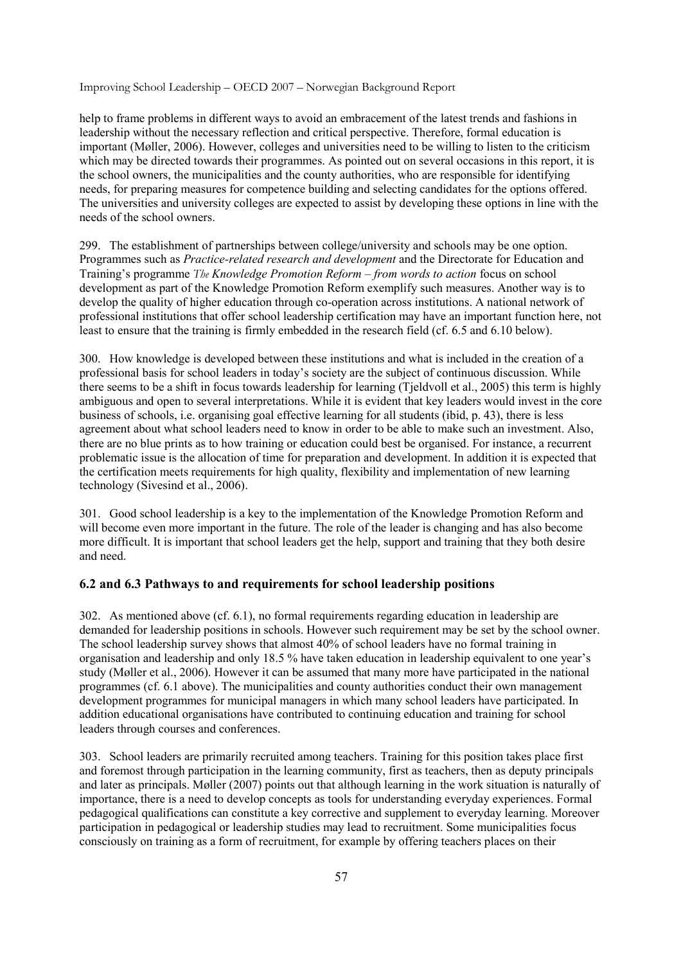help to frame problems in different ways to avoid an embracement of the latest trends and fashions in leadership without the necessary reflection and critical perspective. Therefore, formal education is important (Møller, 2006). However, colleges and universities need to be willing to listen to the criticism which may be directed towards their programmes. As pointed out on several occasions in this report, it is the school owners, the municipalities and the county authorities, who are responsible for identifying needs, for preparing measures for competence building and selecting candidates for the options offered. The universities and university colleges are expected to assist by developing these options in line with the needs of the school owners.

299. The establishment of partnerships between college/university and schools may be one option. Programmes such as *Practice-related research and development* and the Directorate for Education and Training's programme *The Knowledge Promotion Reform – from words to action* focus on school development as part of the Knowledge Promotion Reform exemplify such measures. Another way is to develop the quality of higher education through co-operation across institutions. A national network of professional institutions that offer school leadership certification may have an important function here, not least to ensure that the training is firmly embedded in the research field (cf. 6.5 and 6.10 below).

300. How knowledge is developed between these institutions and what is included in the creation of a professional basis for school leaders in today's society are the subject of continuous discussion. While there seems to be a shift in focus towards leadership for learning (Tjeldvoll et al., 2005) this term is highly ambiguous and open to several interpretations. While it is evident that key leaders would invest in the core business of schools, i.e. organising goal effective learning for all students (ibid, p. 43), there is less agreement about what school leaders need to know in order to be able to make such an investment. Also, there are no blue prints as to how training or education could best be organised. For instance, a recurrent problematic issue is the allocation of time for preparation and development. In addition it is expected that the certification meets requirements for high quality, flexibility and implementation of new learning technology (Sivesind et al., 2006).

301. Good school leadership is a key to the implementation of the Knowledge Promotion Reform and will become even more important in the future. The role of the leader is changing and has also become more difficult. It is important that school leaders get the help, support and training that they both desire and need.

### **6.2 and 6.3 Pathways to and requirements for school leadership positions**

302. As mentioned above (cf. 6.1), no formal requirements regarding education in leadership are demanded for leadership positions in schools. However such requirement may be set by the school owner. The school leadership survey shows that almost 40% of school leaders have no formal training in organisation and leadership and only 18.5 % have taken education in leadership equivalent to one year's study (Møller et al., 2006). However it can be assumed that many more have participated in the national programmes (cf. 6.1 above). The municipalities and county authorities conduct their own management development programmes for municipal managers in which many school leaders have participated. In addition educational organisations have contributed to continuing education and training for school leaders through courses and conferences.

303. School leaders are primarily recruited among teachers. Training for this position takes place first and foremost through participation in the learning community, first as teachers, then as deputy principals and later as principals. Møller (2007) points out that although learning in the work situation is naturally of importance, there is a need to develop concepts as tools for understanding everyday experiences. Formal pedagogical qualifications can constitute a key corrective and supplement to everyday learning. Moreover participation in pedagogical or leadership studies may lead to recruitment. Some municipalities focus consciously on training as a form of recruitment, for example by offering teachers places on their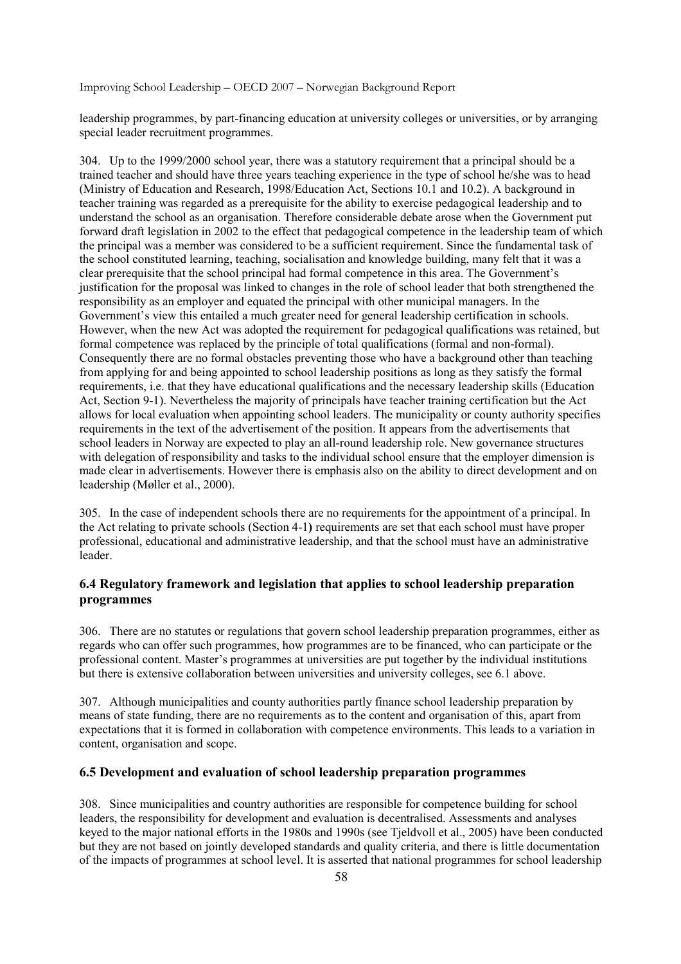leadership programmes, by part-financing education at university colleges or universities, or by arranging special leader recruitment programmes.

304. Up to the 1999/2000 school year, there was a statutory requirement that a principal should be a trained teacher and should have three years teaching experience in the type of school he/she was to head (Ministry of Education and Research, 1998/Education Act, Sections 10.1 and 10.2). A background in teacher training was regarded as a prerequisite for the ability to exercise pedagogical leadership and to understand the school as an organisation. Therefore considerable debate arose when the Government put forward draft legislation in 2002 to the effect that pedagogical competence in the leadership team of which the principal was a member was considered to be a sufficient requirement. Since the fundamental task of the school constituted learning, teaching, socialisation and knowledge building, many felt that it was a clear prerequisite that the school principal had formal competence in this area. The Government's justification for the proposal was linked to changes in the role of school leader that both strengthened the responsibility as an employer and equated the principal with other municipal managers. In the Government's view this entailed a much greater need for general leadership certification in schools. However, when the new Act was adopted the requirement for pedagogical qualifications was retained, but formal competence was replaced by the principle of total qualifications (formal and non-formal). Consequently there are no formal obstacles preventing those who have a background other than teaching from applying for and being appointed to school leadership positions as long as they satisfy the formal requirements, i.e. that they have educational qualifications and the necessary leadership skills (Education Act, Section 9-1). Nevertheless the majority of principals have teacher training certification but the Act allows for local evaluation when appointing school leaders. The municipality or county authority specifies requirements in the text of the advertisement of the position. It appears from the advertisements that school leaders in Norway are expected to play an all-round leadership role. New governance structures with delegation of responsibility and tasks to the individual school ensure that the employer dimension is made clear in advertisements. However there is emphasis also on the ability to direct development and on leadership (Møller et al., 2000).

305. In the case of independent schools there are no requirements for the appointment of a principal. In the Act relating to private schools (Section 4-1**)** requirements are set that each school must have proper professional, educational and administrative leadership, and that the school must have an administrative leader.

### **6.4 Regulatory framework and legislation that applies to school leadership preparation programmes**

306. There are no statutes or regulations that govern school leadership preparation programmes, either as regards who can offer such programmes, how programmes are to be financed, who can participate or the professional content. Master's programmes at universities are put together by the individual institutions but there is extensive collaboration between universities and university colleges, see 6.1 above.

307. Although municipalities and county authorities partly finance school leadership preparation by means of state funding, there are no requirements as to the content and organisation of this, apart from expectations that it is formed in collaboration with competence environments. This leads to a variation in content, organisation and scope.

### **6.5 Development and evaluation of school leadership preparation programmes**

308. Since municipalities and country authorities are responsible for competence building for school leaders, the responsibility for development and evaluation is decentralised. Assessments and analyses keyed to the major national efforts in the 1980s and 1990s (see Tjeldvoll et al., 2005) have been conducted but they are not based on jointly developed standards and quality criteria, and there is little documentation of the impacts of programmes at school level. It is asserted that national programmes for school leadership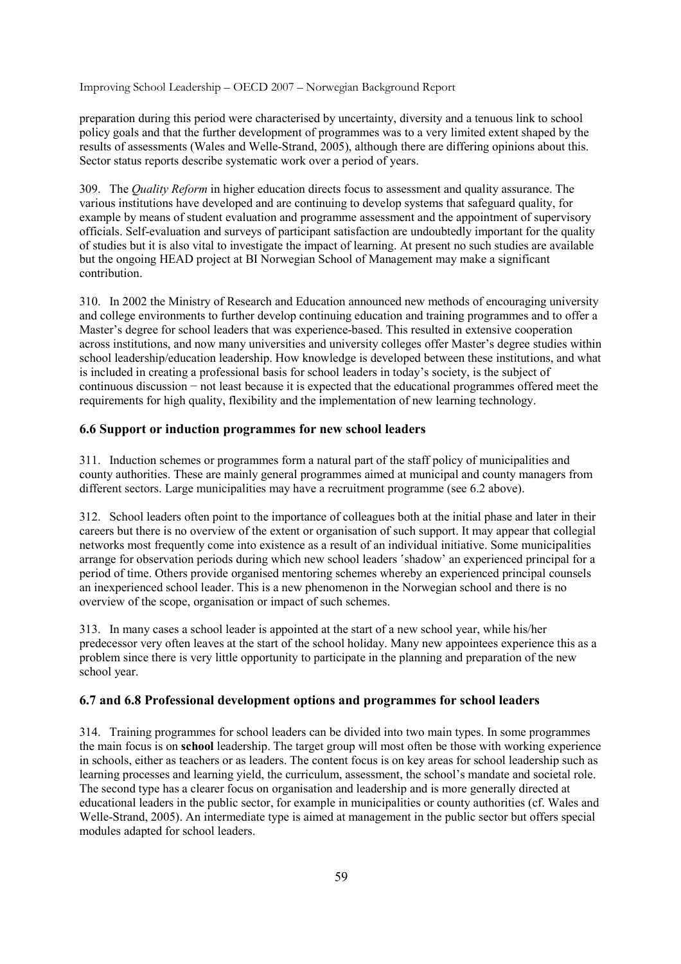preparation during this period were characterised by uncertainty, diversity and a tenuous link to school policy goals and that the further development of programmes was to a very limited extent shaped by the results of assessments (Wales and Welle-Strand, 2005), although there are differing opinions about this. Sector status reports describe systematic work over a period of years.

309. The *Quality Reform* in higher education directs focus to assessment and quality assurance. The various institutions have developed and are continuing to develop systems that safeguard quality, for example by means of student evaluation and programme assessment and the appointment of supervisory officials. Self-evaluation and surveys of participant satisfaction are undoubtedly important for the quality of studies but it is also vital to investigate the impact of learning. At present no such studies are available but the ongoing HEAD project at BI Norwegian School of Management may make a significant contribution.

310. In 2002 the Ministry of Research and Education announced new methods of encouraging university and college environments to further develop continuing education and training programmes and to offer a Master's degree for school leaders that was experience-based. This resulted in extensive cooperation across institutions, and now many universities and university colleges offer Master's degree studies within school leadership/education leadership. How knowledge is developed between these institutions, and what is included in creating a professional basis for school leaders in today's society, is the subject of continuous discussion − not least because it is expected that the educational programmes offered meet the requirements for high quality, flexibility and the implementation of new learning technology.

### **6.6 Support or induction programmes for new school leaders**

311. Induction schemes or programmes form a natural part of the staff policy of municipalities and county authorities. These are mainly general programmes aimed at municipal and county managers from different sectors. Large municipalities may have a recruitment programme (see 6.2 above).

312. School leaders often point to the importance of colleagues both at the initial phase and later in their careers but there is no overview of the extent or organisation of such support. It may appear that collegial networks most frequently come into existence as a result of an individual initiative. Some municipalities arrange for observation periods during which new school leaders 'shadow' an experienced principal for a period of time. Others provide organised mentoring schemes whereby an experienced principal counsels an inexperienced school leader. This is a new phenomenon in the Norwegian school and there is no overview of the scope, organisation or impact of such schemes.

313. In many cases a school leader is appointed at the start of a new school year, while his/her predecessor very often leaves at the start of the school holiday. Many new appointees experience this as a problem since there is very little opportunity to participate in the planning and preparation of the new school year.

### **6.7 and 6.8 Professional development options and programmes for school leaders**

314. Training programmes for school leaders can be divided into two main types. In some programmes the main focus is on **school** leadership. The target group will most often be those with working experience in schools, either as teachers or as leaders. The content focus is on key areas for school leadership such as learning processes and learning yield, the curriculum, assessment, the school's mandate and societal role. The second type has a clearer focus on organisation and leadership and is more generally directed at educational leaders in the public sector, for example in municipalities or county authorities (cf. Wales and Welle-Strand, 2005). An intermediate type is aimed at management in the public sector but offers special modules adapted for school leaders.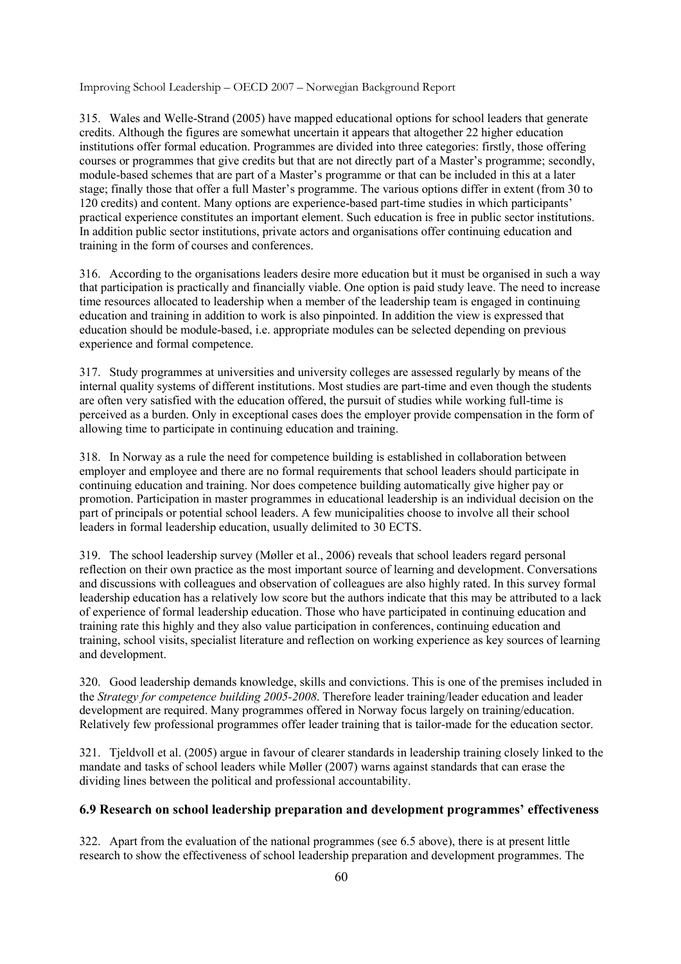315. Wales and Welle-Strand (2005) have mapped educational options for school leaders that generate credits. Although the figures are somewhat uncertain it appears that altogether 22 higher education institutions offer formal education. Programmes are divided into three categories: firstly, those offering courses or programmes that give credits but that are not directly part of a Master's programme; secondly, module-based schemes that are part of a Master's programme or that can be included in this at a later stage; finally those that offer a full Master's programme. The various options differ in extent (from 30 to 120 credits) and content. Many options are experience-based part-time studies in which participants' practical experience constitutes an important element. Such education is free in public sector institutions. In addition public sector institutions, private actors and organisations offer continuing education and training in the form of courses and conferences.

316. According to the organisations leaders desire more education but it must be organised in such a way that participation is practically and financially viable. One option is paid study leave. The need to increase time resources allocated to leadership when a member of the leadership team is engaged in continuing education and training in addition to work is also pinpointed. In addition the view is expressed that education should be module-based, i.e. appropriate modules can be selected depending on previous experience and formal competence.

317. Study programmes at universities and university colleges are assessed regularly by means of the internal quality systems of different institutions. Most studies are part-time and even though the students are often very satisfied with the education offered, the pursuit of studies while working full-time is perceived as a burden. Only in exceptional cases does the employer provide compensation in the form of allowing time to participate in continuing education and training.

318. In Norway as a rule the need for competence building is established in collaboration between employer and employee and there are no formal requirements that school leaders should participate in continuing education and training. Nor does competence building automatically give higher pay or promotion. Participation in master programmes in educational leadership is an individual decision on the part of principals or potential school leaders. A few municipalities choose to involve all their school leaders in formal leadership education, usually delimited to 30 ECTS.

319. The school leadership survey (Møller et al., 2006) reveals that school leaders regard personal reflection on their own practice as the most important source of learning and development. Conversations and discussions with colleagues and observation of colleagues are also highly rated. In this survey formal leadership education has a relatively low score but the authors indicate that this may be attributed to a lack of experience of formal leadership education. Those who have participated in continuing education and training rate this highly and they also value participation in conferences, continuing education and training, school visits, specialist literature and reflection on working experience as key sources of learning and development.

320. Good leadership demands knowledge, skills and convictions. This is one of the premises included in the *Strategy for competence building 2005-2008*. Therefore leader training/leader education and leader development are required. Many programmes offered in Norway focus largely on training/education. Relatively few professional programmes offer leader training that is tailor-made for the education sector.

321. Tjeldvoll et al. (2005) argue in favour of clearer standards in leadership training closely linked to the mandate and tasks of school leaders while Møller (2007) warns against standards that can erase the dividing lines between the political and professional accountability.

### **6.9 Research on school leadership preparation and development programmes' effectiveness**

322. Apart from the evaluation of the national programmes (see 6.5 above), there is at present little research to show the effectiveness of school leadership preparation and development programmes. The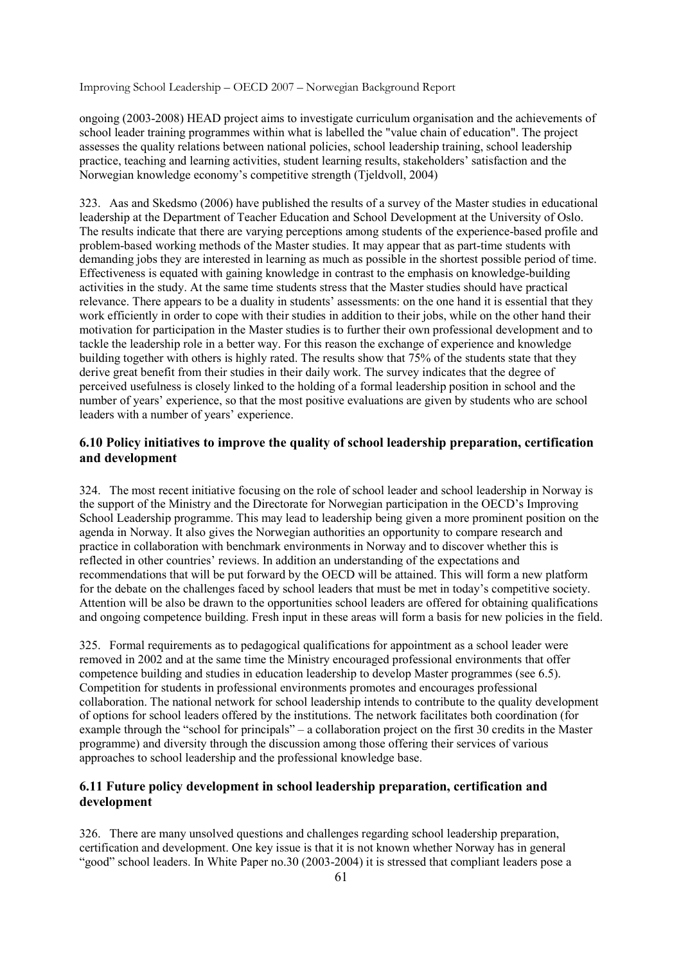ongoing (2003-2008) HEAD project aims to investigate curriculum organisation and the achievements of school leader training programmes within what is labelled the "value chain of education". The project assesses the quality relations between national policies, school leadership training, school leadership practice, teaching and learning activities, student learning results, stakeholders' satisfaction and the Norwegian knowledge economy's competitive strength (Tjeldvoll, 2004)

323. Aas and Skedsmo (2006) have published the results of a survey of the Master studies in educational leadership at the Department of Teacher Education and School Development at the University of Oslo. The results indicate that there are varying perceptions among students of the experience-based profile and problem-based working methods of the Master studies. It may appear that as part-time students with demanding jobs they are interested in learning as much as possible in the shortest possible period of time. Effectiveness is equated with gaining knowledge in contrast to the emphasis on knowledge-building activities in the study. At the same time students stress that the Master studies should have practical relevance. There appears to be a duality in students' assessments: on the one hand it is essential that they work efficiently in order to cope with their studies in addition to their jobs, while on the other hand their motivation for participation in the Master studies is to further their own professional development and to tackle the leadership role in a better way. For this reason the exchange of experience and knowledge building together with others is highly rated. The results show that 75% of the students state that they derive great benefit from their studies in their daily work. The survey indicates that the degree of perceived usefulness is closely linked to the holding of a formal leadership position in school and the number of years' experience, so that the most positive evaluations are given by students who are school leaders with a number of years' experience.

### **6.10 Policy initiatives to improve the quality of school leadership preparation, certification and development**

324. The most recent initiative focusing on the role of school leader and school leadership in Norway is the support of the Ministry and the Directorate for Norwegian participation in the OECD's Improving School Leadership programme. This may lead to leadership being given a more prominent position on the agenda in Norway. It also gives the Norwegian authorities an opportunity to compare research and practice in collaboration with benchmark environments in Norway and to discover whether this is reflected in other countries' reviews. In addition an understanding of the expectations and recommendations that will be put forward by the OECD will be attained. This will form a new platform for the debate on the challenges faced by school leaders that must be met in today's competitive society. Attention will be also be drawn to the opportunities school leaders are offered for obtaining qualifications and ongoing competence building. Fresh input in these areas will form a basis for new policies in the field.

325. Formal requirements as to pedagogical qualifications for appointment as a school leader were removed in 2002 and at the same time the Ministry encouraged professional environments that offer competence building and studies in education leadership to develop Master programmes (see 6.5). Competition for students in professional environments promotes and encourages professional collaboration. The national network for school leadership intends to contribute to the quality development of options for school leaders offered by the institutions. The network facilitates both coordination (for example through the "school for principals" – a collaboration project on the first 30 credits in the Master programme) and diversity through the discussion among those offering their services of various approaches to school leadership and the professional knowledge base.

### **6.11 Future policy development in school leadership preparation, certification and development**

326. There are many unsolved questions and challenges regarding school leadership preparation, certification and development. One key issue is that it is not known whether Norway has in general "good" school leaders. In White Paper no.30 (2003-2004) it is stressed that compliant leaders pose a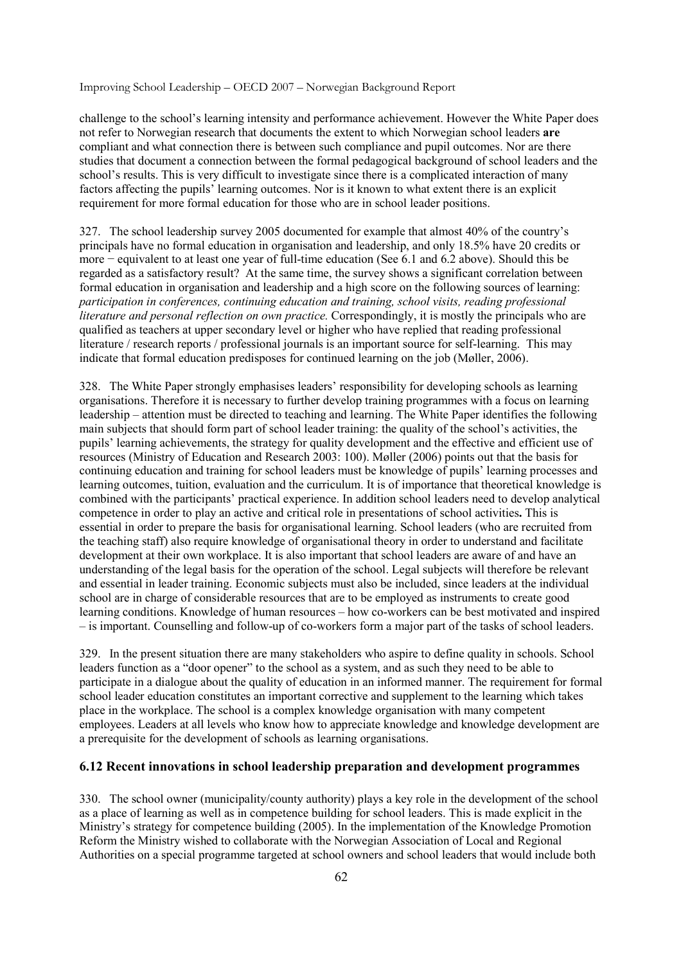challenge to the school's learning intensity and performance achievement. However the White Paper does not refer to Norwegian research that documents the extent to which Norwegian school leaders **are** compliant and what connection there is between such compliance and pupil outcomes. Nor are there studies that document a connection between the formal pedagogical background of school leaders and the school's results. This is very difficult to investigate since there is a complicated interaction of many factors affecting the pupils' learning outcomes. Nor is it known to what extent there is an explicit requirement for more formal education for those who are in school leader positions.

327. The school leadership survey 2005 documented for example that almost 40% of the country's principals have no formal education in organisation and leadership, and only 18.5% have 20 credits or more − equivalent to at least one year of full-time education (See 6.1 and 6.2 above). Should this be regarded as a satisfactory result? At the same time, the survey shows a significant correlation between formal education in organisation and leadership and a high score on the following sources of learning: *participation in conferences, continuing education and training, school visits, reading professional literature and personal reflection on own practice.* Correspondingly, it is mostly the principals who are qualified as teachers at upper secondary level or higher who have replied that reading professional literature / research reports / professional journals is an important source for self-learning. This may indicate that formal education predisposes for continued learning on the job (Møller, 2006).

328. The White Paper strongly emphasises leaders' responsibility for developing schools as learning organisations. Therefore it is necessary to further develop training programmes with a focus on learning leadership – attention must be directed to teaching and learning. The White Paper identifies the following main subjects that should form part of school leader training: the quality of the school's activities, the pupils' learning achievements, the strategy for quality development and the effective and efficient use of resources (Ministry of Education and Research 2003: 100). Møller (2006) points out that the basis for continuing education and training for school leaders must be knowledge of pupils' learning processes and learning outcomes, tuition, evaluation and the curriculum. It is of importance that theoretical knowledge is combined with the participants' practical experience. In addition school leaders need to develop analytical competence in order to play an active and critical role in presentations of school activities**.** This is essential in order to prepare the basis for organisational learning. School leaders (who are recruited from the teaching staff) also require knowledge of organisational theory in order to understand and facilitate development at their own workplace. It is also important that school leaders are aware of and have an understanding of the legal basis for the operation of the school. Legal subjects will therefore be relevant and essential in leader training. Economic subjects must also be included, since leaders at the individual school are in charge of considerable resources that are to be employed as instruments to create good learning conditions. Knowledge of human resources – how co-workers can be best motivated and inspired – is important. Counselling and follow-up of co-workers form a major part of the tasks of school leaders.

329. In the present situation there are many stakeholders who aspire to define quality in schools. School leaders function as a "door opener" to the school as a system, and as such they need to be able to participate in a dialogue about the quality of education in an informed manner. The requirement for formal school leader education constitutes an important corrective and supplement to the learning which takes place in the workplace. The school is a complex knowledge organisation with many competent employees. Leaders at all levels who know how to appreciate knowledge and knowledge development are a prerequisite for the development of schools as learning organisations.

### **6.12 Recent innovations in school leadership preparation and development programmes**

330. The school owner (municipality/county authority) plays a key role in the development of the school as a place of learning as well as in competence building for school leaders. This is made explicit in the Ministry's strategy for competence building (2005). In the implementation of the Knowledge Promotion Reform the Ministry wished to collaborate with the Norwegian Association of Local and Regional Authorities on a special programme targeted at school owners and school leaders that would include both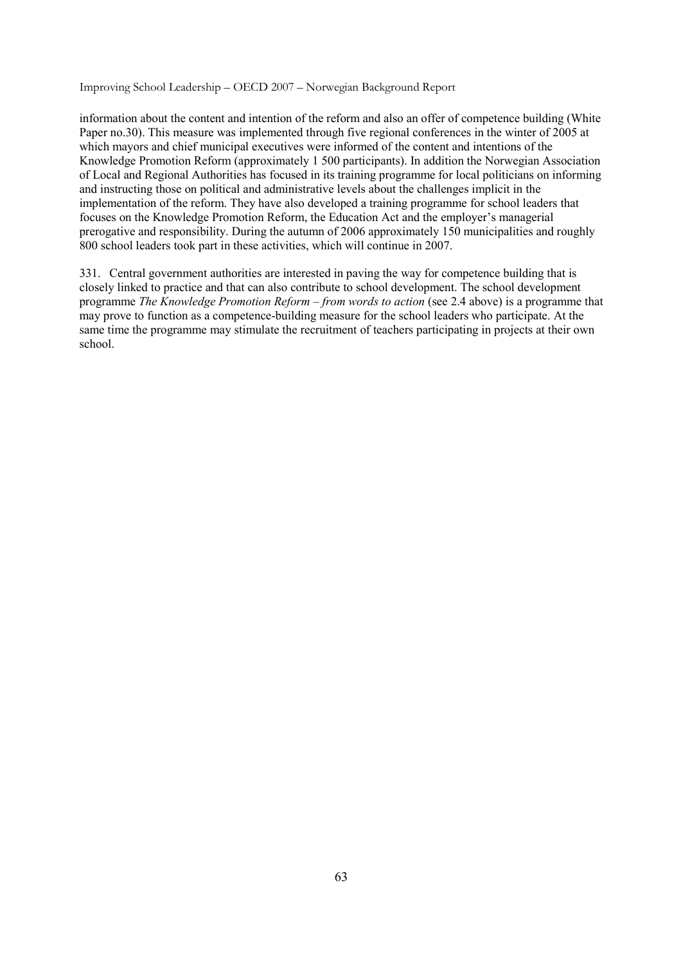information about the content and intention of the reform and also an offer of competence building (White Paper no.30). This measure was implemented through five regional conferences in the winter of 2005 at which mayors and chief municipal executives were informed of the content and intentions of the Knowledge Promotion Reform (approximately 1 500 participants). In addition the Norwegian Association of Local and Regional Authorities has focused in its training programme for local politicians on informing and instructing those on political and administrative levels about the challenges implicit in the implementation of the reform. They have also developed a training programme for school leaders that focuses on the Knowledge Promotion Reform, the Education Act and the employer's managerial prerogative and responsibility. During the autumn of 2006 approximately 150 municipalities and roughly 800 school leaders took part in these activities, which will continue in 2007.

331. Central government authorities are interested in paving the way for competence building that is closely linked to practice and that can also contribute to school development. The school development programme *The Knowledge Promotion Reform – from words to action* (see 2.4 above) is a programme that may prove to function as a competence-building measure for the school leaders who participate. At the same time the programme may stimulate the recruitment of teachers participating in projects at their own school.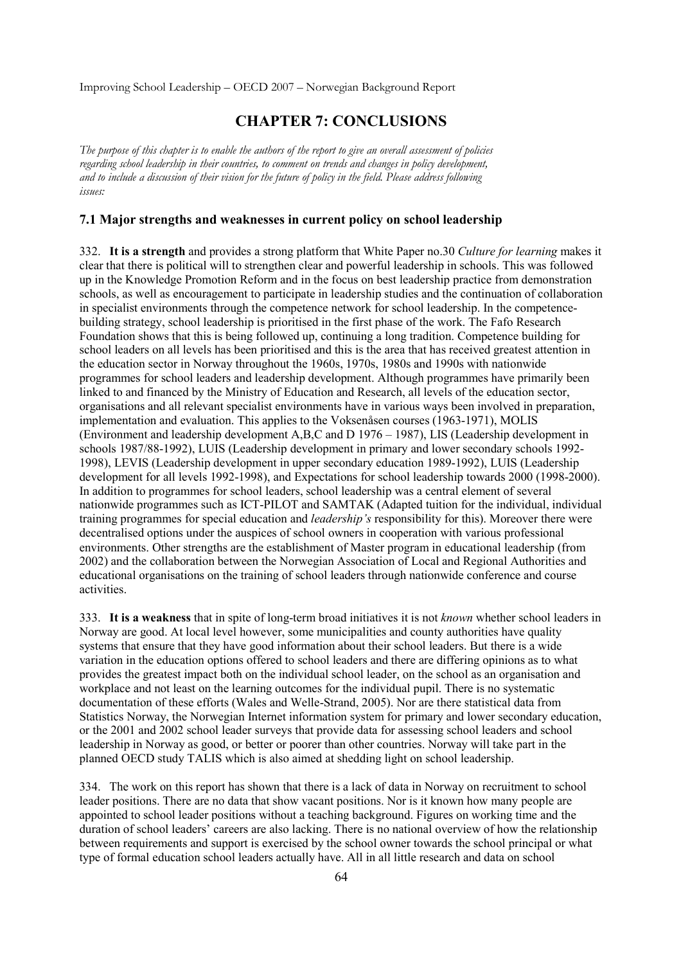## **CHAPTER 7: CONCLUSIONS**

*The purpose of this chapter is to enable the authors of the report to give an overall assessment of policies regarding school leadership in their countries, to comment on trends and changes in policy development, and to include a discussion of their vision for the future of policy in the field. Please address following issues:* 

### **7.1 Major strengths and weaknesses in current policy on school leadership**

332. **It is a strength** and provides a strong platform that White Paper no.30 *Culture for learning* makes it clear that there is political will to strengthen clear and powerful leadership in schools. This was followed up in the Knowledge Promotion Reform and in the focus on best leadership practice from demonstration schools, as well as encouragement to participate in leadership studies and the continuation of collaboration in specialist environments through the competence network for school leadership. In the competencebuilding strategy, school leadership is prioritised in the first phase of the work. The Fafo Research Foundation shows that this is being followed up, continuing a long tradition. Competence building for school leaders on all levels has been prioritised and this is the area that has received greatest attention in the education sector in Norway throughout the 1960s, 1970s, 1980s and 1990s with nationwide programmes for school leaders and leadership development. Although programmes have primarily been linked to and financed by the Ministry of Education and Research, all levels of the education sector, organisations and all relevant specialist environments have in various ways been involved in preparation, implementation and evaluation. This applies to the Voksenåsen courses (1963-1971), MOLIS (Environment and leadership development A,B,C and D 1976 – 1987), LIS (Leadership development in schools 1987/88-1992), LUIS (Leadership development in primary and lower secondary schools 1992- 1998), LEVIS (Leadership development in upper secondary education 1989-1992), LUIS (Leadership development for all levels 1992-1998), and Expectations for school leadership towards 2000 (1998-2000). In addition to programmes for school leaders, school leadership was a central element of several nationwide programmes such as ICT-PILOT and SAMTAK (Adapted tuition for the individual, individual training programmes for special education and *leadership's* responsibility for this). Moreover there were decentralised options under the auspices of school owners in cooperation with various professional environments. Other strengths are the establishment of Master program in educational leadership (from 2002) and the collaboration between the Norwegian Association of Local and Regional Authorities and educational organisations on the training of school leaders through nationwide conference and course activities.

333. **It is a weakness** that in spite of long-term broad initiatives it is not *known* whether school leaders in Norway are good. At local level however, some municipalities and county authorities have quality systems that ensure that they have good information about their school leaders. But there is a wide variation in the education options offered to school leaders and there are differing opinions as to what provides the greatest impact both on the individual school leader, on the school as an organisation and workplace and not least on the learning outcomes for the individual pupil. There is no systematic documentation of these efforts (Wales and Welle-Strand, 2005). Nor are there statistical data from Statistics Norway, the Norwegian Internet information system for primary and lower secondary education, or the 2001 and 2002 school leader surveys that provide data for assessing school leaders and school leadership in Norway as good, or better or poorer than other countries. Norway will take part in the planned OECD study TALIS which is also aimed at shedding light on school leadership.

334. The work on this report has shown that there is a lack of data in Norway on recruitment to school leader positions. There are no data that show vacant positions. Nor is it known how many people are appointed to school leader positions without a teaching background. Figures on working time and the duration of school leaders' careers are also lacking. There is no national overview of how the relationship between requirements and support is exercised by the school owner towards the school principal or what type of formal education school leaders actually have. All in all little research and data on school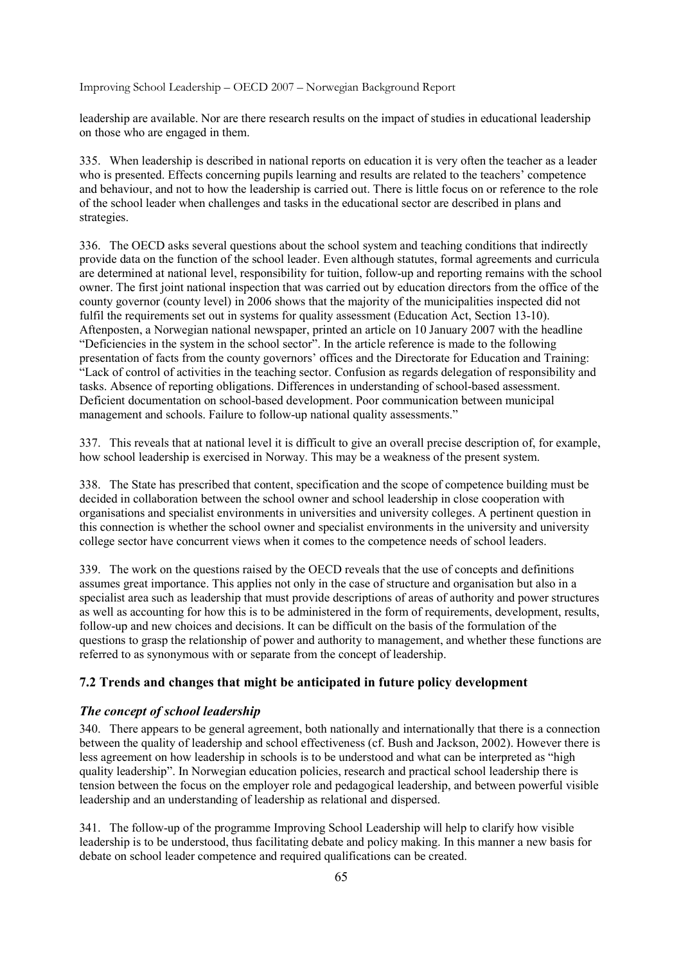leadership are available. Nor are there research results on the impact of studies in educational leadership on those who are engaged in them.

335. When leadership is described in national reports on education it is very often the teacher as a leader who is presented. Effects concerning pupils learning and results are related to the teachers' competence and behaviour, and not to how the leadership is carried out. There is little focus on or reference to the role of the school leader when challenges and tasks in the educational sector are described in plans and strategies.

336. The OECD asks several questions about the school system and teaching conditions that indirectly provide data on the function of the school leader. Even although statutes, formal agreements and curricula are determined at national level, responsibility for tuition, follow-up and reporting remains with the school owner. The first joint national inspection that was carried out by education directors from the office of the county governor (county level) in 2006 shows that the majority of the municipalities inspected did not fulfil the requirements set out in systems for quality assessment (Education Act, Section 13-10). Aftenposten, a Norwegian national newspaper, printed an article on 10 January 2007 with the headline "Deficiencies in the system in the school sector". In the article reference is made to the following presentation of facts from the county governors' offices and the Directorate for Education and Training: "Lack of control of activities in the teaching sector. Confusion as regards delegation of responsibility and tasks. Absence of reporting obligations. Differences in understanding of school-based assessment. Deficient documentation on school-based development. Poor communication between municipal management and schools. Failure to follow-up national quality assessments."

337. This reveals that at national level it is difficult to give an overall precise description of, for example, how school leadership is exercised in Norway. This may be a weakness of the present system.

338. The State has prescribed that content, specification and the scope of competence building must be decided in collaboration between the school owner and school leadership in close cooperation with organisations and specialist environments in universities and university colleges. A pertinent question in this connection is whether the school owner and specialist environments in the university and university college sector have concurrent views when it comes to the competence needs of school leaders.

339. The work on the questions raised by the OECD reveals that the use of concepts and definitions assumes great importance. This applies not only in the case of structure and organisation but also in a specialist area such as leadership that must provide descriptions of areas of authority and power structures as well as accounting for how this is to be administered in the form of requirements, development, results, follow-up and new choices and decisions. It can be difficult on the basis of the formulation of the questions to grasp the relationship of power and authority to management, and whether these functions are referred to as synonymous with or separate from the concept of leadership.

## **7.2 Trends and changes that might be anticipated in future policy development**

### *The concept of school leadership*

340. There appears to be general agreement, both nationally and internationally that there is a connection between the quality of leadership and school effectiveness (cf. Bush and Jackson, 2002). However there is less agreement on how leadership in schools is to be understood and what can be interpreted as "high quality leadership". In Norwegian education policies, research and practical school leadership there is tension between the focus on the employer role and pedagogical leadership, and between powerful visible leadership and an understanding of leadership as relational and dispersed.

341. The follow-up of the programme Improving School Leadership will help to clarify how visible leadership is to be understood, thus facilitating debate and policy making. In this manner a new basis for debate on school leader competence and required qualifications can be created.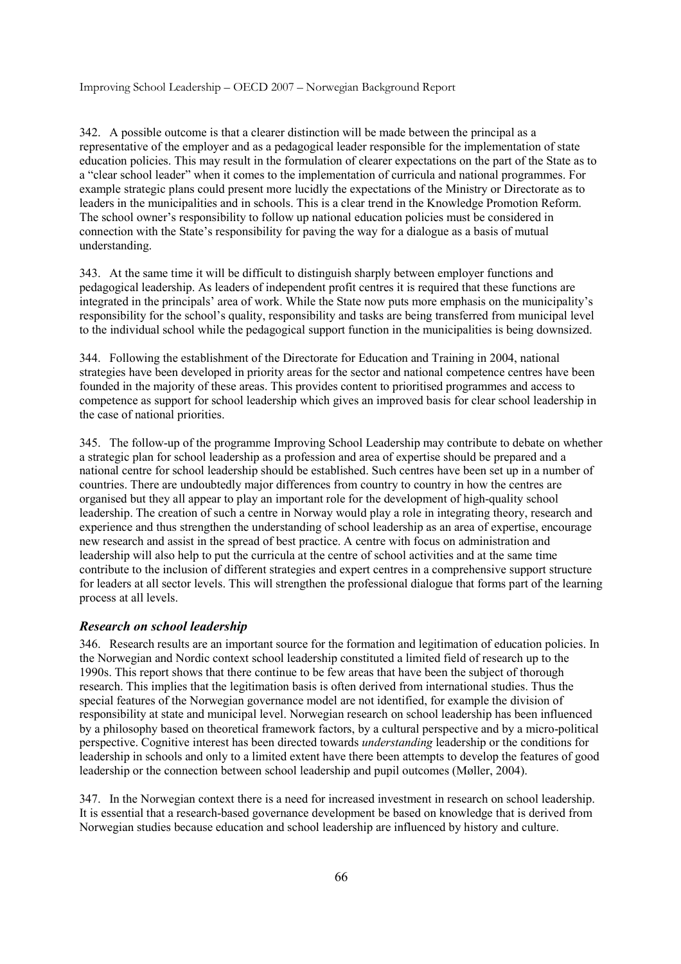342. A possible outcome is that a clearer distinction will be made between the principal as a representative of the employer and as a pedagogical leader responsible for the implementation of state education policies. This may result in the formulation of clearer expectations on the part of the State as to a "clear school leader" when it comes to the implementation of curricula and national programmes. For example strategic plans could present more lucidly the expectations of the Ministry or Directorate as to leaders in the municipalities and in schools. This is a clear trend in the Knowledge Promotion Reform. The school owner's responsibility to follow up national education policies must be considered in connection with the State's responsibility for paving the way for a dialogue as a basis of mutual understanding.

343. At the same time it will be difficult to distinguish sharply between employer functions and pedagogical leadership. As leaders of independent profit centres it is required that these functions are integrated in the principals' area of work. While the State now puts more emphasis on the municipality's responsibility for the school's quality, responsibility and tasks are being transferred from municipal level to the individual school while the pedagogical support function in the municipalities is being downsized.

344. Following the establishment of the Directorate for Education and Training in 2004, national strategies have been developed in priority areas for the sector and national competence centres have been founded in the majority of these areas. This provides content to prioritised programmes and access to competence as support for school leadership which gives an improved basis for clear school leadership in the case of national priorities.

345. The follow-up of the programme Improving School Leadership may contribute to debate on whether a strategic plan for school leadership as a profession and area of expertise should be prepared and a national centre for school leadership should be established. Such centres have been set up in a number of countries. There are undoubtedly major differences from country to country in how the centres are organised but they all appear to play an important role for the development of high-quality school leadership. The creation of such a centre in Norway would play a role in integrating theory, research and experience and thus strengthen the understanding of school leadership as an area of expertise, encourage new research and assist in the spread of best practice. A centre with focus on administration and leadership will also help to put the curricula at the centre of school activities and at the same time contribute to the inclusion of different strategies and expert centres in a comprehensive support structure for leaders at all sector levels. This will strengthen the professional dialogue that forms part of the learning process at all levels.

### *Research on school leadership*

346. Research results are an important source for the formation and legitimation of education policies. In the Norwegian and Nordic context school leadership constituted a limited field of research up to the 1990s. This report shows that there continue to be few areas that have been the subject of thorough research. This implies that the legitimation basis is often derived from international studies. Thus the special features of the Norwegian governance model are not identified, for example the division of responsibility at state and municipal level. Norwegian research on school leadership has been influenced by a philosophy based on theoretical framework factors, by a cultural perspective and by a micro-political perspective. Cognitive interest has been directed towards *understanding* leadership or the conditions for leadership in schools and only to a limited extent have there been attempts to develop the features of good leadership or the connection between school leadership and pupil outcomes (Møller, 2004).

347. In the Norwegian context there is a need for increased investment in research on school leadership. It is essential that a research-based governance development be based on knowledge that is derived from Norwegian studies because education and school leadership are influenced by history and culture.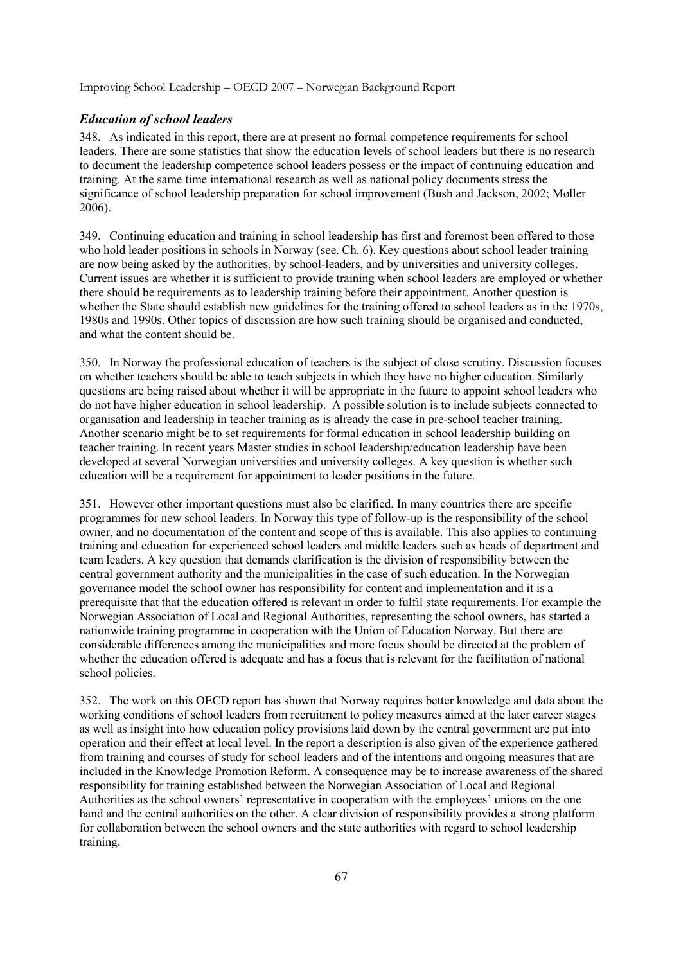#### *Education of school leaders*

348. As indicated in this report, there are at present no formal competence requirements for school leaders. There are some statistics that show the education levels of school leaders but there is no research to document the leadership competence school leaders possess or the impact of continuing education and training. At the same time international research as well as national policy documents stress the significance of school leadership preparation for school improvement (Bush and Jackson, 2002; Møller 2006).

349. Continuing education and training in school leadership has first and foremost been offered to those who hold leader positions in schools in Norway (see. Ch. 6). Key questions about school leader training are now being asked by the authorities, by school-leaders, and by universities and university colleges. Current issues are whether it is sufficient to provide training when school leaders are employed or whether there should be requirements as to leadership training before their appointment. Another question is whether the State should establish new guidelines for the training offered to school leaders as in the 1970s, 1980s and 1990s. Other topics of discussion are how such training should be organised and conducted, and what the content should be.

350. In Norway the professional education of teachers is the subject of close scrutiny. Discussion focuses on whether teachers should be able to teach subjects in which they have no higher education. Similarly questions are being raised about whether it will be appropriate in the future to appoint school leaders who do not have higher education in school leadership. A possible solution is to include subjects connected to organisation and leadership in teacher training as is already the case in pre-school teacher training. Another scenario might be to set requirements for formal education in school leadership building on teacher training. In recent years Master studies in school leadership/education leadership have been developed at several Norwegian universities and university colleges. A key question is whether such education will be a requirement for appointment to leader positions in the future.

351. However other important questions must also be clarified. In many countries there are specific programmes for new school leaders. In Norway this type of follow-up is the responsibility of the school owner, and no documentation of the content and scope of this is available. This also applies to continuing training and education for experienced school leaders and middle leaders such as heads of department and team leaders. A key question that demands clarification is the division of responsibility between the central government authority and the municipalities in the case of such education. In the Norwegian governance model the school owner has responsibility for content and implementation and it is a prerequisite that that the education offered is relevant in order to fulfil state requirements. For example the Norwegian Association of Local and Regional Authorities, representing the school owners, has started a nationwide training programme in cooperation with the Union of Education Norway. But there are considerable differences among the municipalities and more focus should be directed at the problem of whether the education offered is adequate and has a focus that is relevant for the facilitation of national school policies.

352. The work on this OECD report has shown that Norway requires better knowledge and data about the working conditions of school leaders from recruitment to policy measures aimed at the later career stages as well as insight into how education policy provisions laid down by the central government are put into operation and their effect at local level. In the report a description is also given of the experience gathered from training and courses of study for school leaders and of the intentions and ongoing measures that are included in the Knowledge Promotion Reform. A consequence may be to increase awareness of the shared responsibility for training established between the Norwegian Association of Local and Regional Authorities as the school owners' representative in cooperation with the employees' unions on the one hand and the central authorities on the other. A clear division of responsibility provides a strong platform for collaboration between the school owners and the state authorities with regard to school leadership training.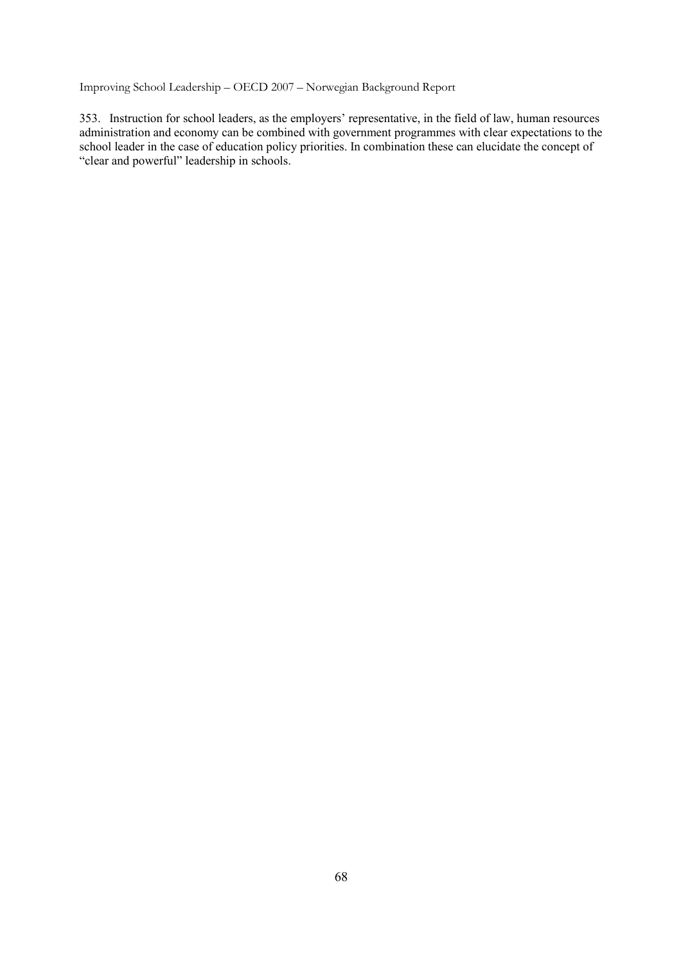353. Instruction for school leaders, as the employers' representative, in the field of law, human resources administration and economy can be combined with government programmes with clear expectations to the school leader in the case of education policy priorities. In combination these can elucidate the concept of "clear and powerful" leadership in schools.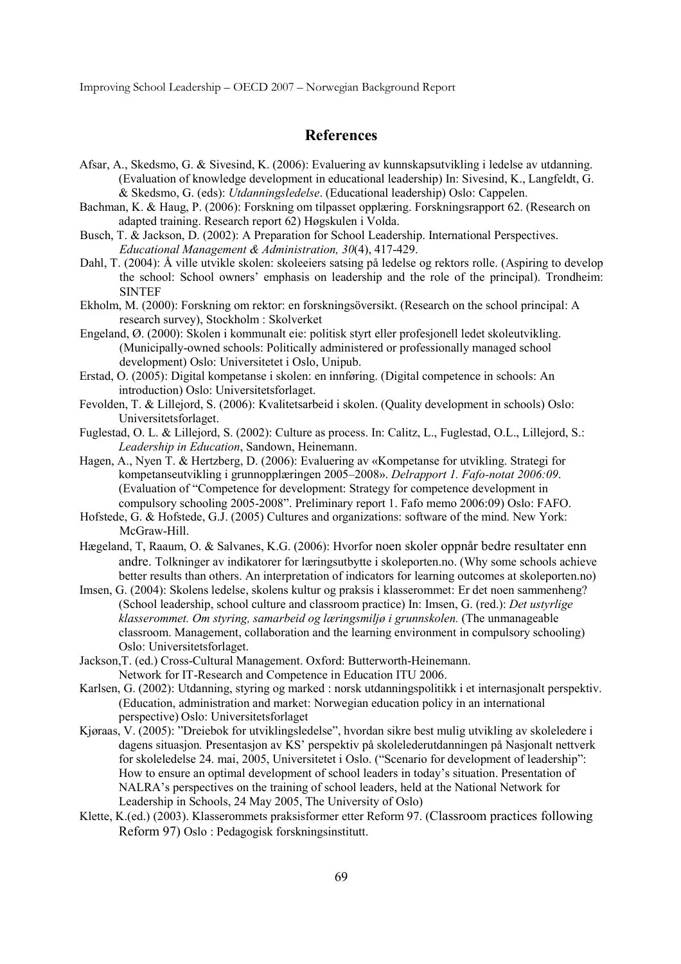## **References**

- Afsar, A., Skedsmo, G. & Sivesind, K. (2006): Evaluering av kunnskapsutvikling i ledelse av utdanning. (Evaluation of knowledge development in educational leadership) In: Sivesind, K., Langfeldt, G. & Skedsmo, G. (eds): *Utdanningsledelse*. (Educational leadership) Oslo: Cappelen.
- Bachman, K. & Haug, P. (2006): Forskning om tilpasset opplæring. Forskningsrapport 62. (Research on adapted training. Research report 62) Høgskulen i Volda.
- Busch, T. & Jackson, D. (2002): A Preparation for School Leadership. International Perspectives. *Educational Management & Administration, 30*(4), 417-429.
- Dahl, T. (2004): Å ville utvikle skolen: skoleeiers satsing på ledelse og rektors rolle. (Aspiring to develop the school: School owners' emphasis on leadership and the role of the principal). Trondheim: SINTEF
- Ekholm, M. (2000): Forskning om rektor: en forskningsöversikt. (Research on the school principal: A research survey), Stockholm : Skolverket
- Engeland, Ø. (2000): Skolen i kommunalt eie: politisk styrt eller profesjonell ledet skoleutvikling. (Municipally-owned schools: Politically administered or professionally managed school development) Oslo: Universitetet i Oslo, Unipub.
- Erstad, O. (2005): Digital kompetanse i skolen: en innføring. (Digital competence in schools: An introduction) Oslo: Universitetsforlaget.
- Fevolden, T. & Lillejord, S. (2006): Kvalitetsarbeid i skolen. (Quality development in schools) Oslo: Universitetsforlaget.
- Fuglestad, O. L. & Lillejord, S. (2002): Culture as process. In: Calitz, L., Fuglestad, O.L., Lillejord, S.: *Leadership in Education*, Sandown, Heinemann.
- Hagen, A., Nyen T. & Hertzberg, D. (2006): Evaluering av «Kompetanse for utvikling. Strategi for kompetanseutvikling i grunnopplæringen 2005–2008». *Delrapport 1. Fafo-notat 2006:09*. (Evaluation of "Competence for development: Strategy for competence development in compulsory schooling 2005-2008". Preliminary report 1. Fafo memo 2006:09) Oslo: FAFO.
- Hofstede, G. & Hofstede, G.J. (2005) Cultures and organizations: software of the mind. New York: McGraw-Hill.
- Hægeland, T, Raaum, O. & Salvanes, K.G. (2006): Hvorfor noen skoler oppnår bedre resultater enn andre. Tolkninger av indikatorer for læringsutbytte i skoleporten.no. (Why some schools achieve better results than others. An interpretation of indicators for learning outcomes at skoleporten.no)
- Imsen, G. (2004): Skolens ledelse, skolens kultur og praksis i klasserommet: Er det noen sammenheng? (School leadership, school culture and classroom practice) In: Imsen, G. (red.): *Det ustyrlige klasserommet. Om styring, samarbeid og læringsmiljø i grunnskolen.* (The unmanageable classroom. Management, collaboration and the learning environment in compulsory schooling) Oslo: Universitetsforlaget.
- Jackson,T. (ed.) Cross-Cultural Management. Oxford: Butterworth-Heinemann. Network for IT-Research and Competence in Education ITU 2006.
- Karlsen, G. (2002): Utdanning, styring og marked : norsk utdanningspolitikk i et internasjonalt perspektiv. (Education, administration and market: Norwegian education policy in an international perspective) Oslo: Universitetsforlaget
- Kjøraas, V. (2005): "Dreiebok for utviklingsledelse", hvordan sikre best mulig utvikling av skoleledere i dagens situasjon*.* Presentasjon av KS' perspektiv på skolelederutdanningen på Nasjonalt nettverk for skoleledelse 24. mai, 2005, Universitetet i Oslo. ("Scenario for development of leadership": How to ensure an optimal development of school leaders in today's situation. Presentation of NALRA's perspectives on the training of school leaders, held at the National Network for Leadership in Schools, 24 May 2005, The University of Oslo)
- Klette, K.(ed.) (2003). Klasserommets praksisformer etter Reform 97. (Classroom practices following Reform 97) Oslo : Pedagogisk forskningsinstitutt.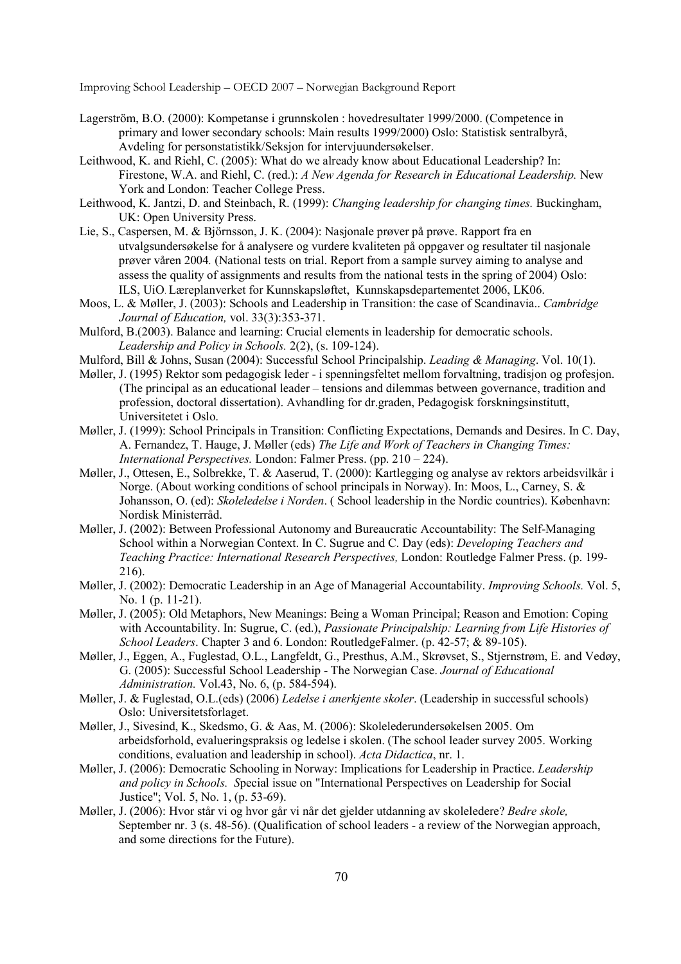- Lagerström, B.O. (2000): Kompetanse i grunnskolen : hovedresultater 1999/2000. (Competence in primary and lower secondary schools: Main results 1999/2000) Oslo: Statistisk sentralbyrå, Avdeling for personstatistikk/Seksjon for intervjuundersøkelser.
- Leithwood, K. and Riehl, C. (2005): What do we already know about Educational Leadership? In: Firestone, W.A. and Riehl, C. (red.): *A New Agenda for Research in Educational Leadership.* New York and London: Teacher College Press.
- Leithwood, K. Jantzi, D. and Steinbach, R. (1999): *Changing leadership for changing times.* Buckingham, UK: Open University Press.
- Lie, S., Caspersen, M. & Björnsson, J. K. (2004): Nasjonale prøver på prøve. Rapport fra en utvalgsundersøkelse for å analysere og vurdere kvaliteten på oppgaver og resultater til nasjonale prøver våren 2004*.* (National tests on trial. Report from a sample survey aiming to analyse and assess the quality of assignments and results from the national tests in the spring of 2004) Oslo: ILS, UiO. Læreplanverket for Kunnskapsløftet, Kunnskapsdepartementet 2006, LK06.
- Moos, L. & Møller, J. (2003): Schools and Leadership in Transition: the case of Scandinavia.. *Cambridge Journal of Education,* vol. 33(3):353-371.
- Mulford, B.(2003). Balance and learning: Crucial elements in leadership for democratic schools. *Leadership and Policy in Schools.* 2(2), (s. 109-124).
- Mulford, Bill & Johns, Susan (2004): Successful School Principalship. *Leading & Managing*. Vol. 10(1).
- Møller, J. (1995) Rektor som pedagogisk leder i spenningsfeltet mellom forvaltning, tradisjon og profesjon. (The principal as an educational leader – tensions and dilemmas between governance, tradition and profession, doctoral dissertation). Avhandling for dr.graden, Pedagogisk forskningsinstitutt, Universitetet i Oslo.
- Møller, J. (1999): School Principals in Transition: Conflicting Expectations, Demands and Desires. In C. Day, A. Fernandez, T. Hauge, J. Møller (eds) *The Life and Work of Teachers in Changing Times: International Perspectives.* London: Falmer Press. (pp. 210 – 224).
- Møller, J., Ottesen, E., Solbrekke, T. & Aaserud, T. (2000): Kartlegging og analyse av rektors arbeidsvilkår i Norge. (About working conditions of school principals in Norway). In: Moos, L., Carney, S. & Johansson, O. (ed): *Skoleledelse i Norden*. ( School leadership in the Nordic countries). København: Nordisk Ministerråd.
- Møller, J. (2002): Between Professional Autonomy and Bureaucratic Accountability: The Self-Managing School within a Norwegian Context. In C. Sugrue and C. Day (eds): *Developing Teachers and Teaching Practice: International Research Perspectives,* London: Routledge Falmer Press. (p. 199- 216).
- Møller, J. (2002): Democratic Leadership in an Age of Managerial Accountability. *Improving Schools.* Vol. 5, No. 1 (p. 11-21).
- Møller, J. (2005): Old Metaphors, New Meanings: Being a Woman Principal; Reason and Emotion: Coping with Accountability. In: Sugrue, C. (ed.), *Passionate Principalship: Learning from Life Histories of School Leaders*. Chapter 3 and 6. London: RoutledgeFalmer. (p. 42-57; & 89-105).
- Møller, J., Eggen, A., Fuglestad, O.L., Langfeldt, G., Presthus, A.M., Skrøvset, S., Stjernstrøm, E. and Vedøy, G. (2005): Successful School Leadership - The Norwegian Case. *Journal of Educational Administration.* Vol.43, No. 6, (p. 584-594).
- Møller, J. & Fuglestad, O.L.(eds) (2006) *Ledelse i anerkjente skoler*. (Leadership in successful schools) Oslo: Universitetsforlaget.
- Møller, J., Sivesind, K., Skedsmo, G. & Aas, M. (2006): Skolelederundersøkelsen 2005. Om arbeidsforhold, evalueringspraksis og ledelse i skolen. (The school leader survey 2005. Working conditions, evaluation and leadership in school). *Acta Didactica*, nr. 1.
- Møller, J. (2006): Democratic Schooling in Norway: Implications for Leadership in Practice. *Leadership and policy in Schools. S*pecial issue on "International Perspectives on Leadership for Social Justice"; Vol. 5, No. 1, (p. 53-69).
- Møller, J. (2006): Hvor står vi og hvor går vi når det gjelder utdanning av skoleledere? *Bedre skole,* September nr. 3 (s. 48-56). (Qualification of school leaders - a review of the Norwegian approach, and some directions for the Future).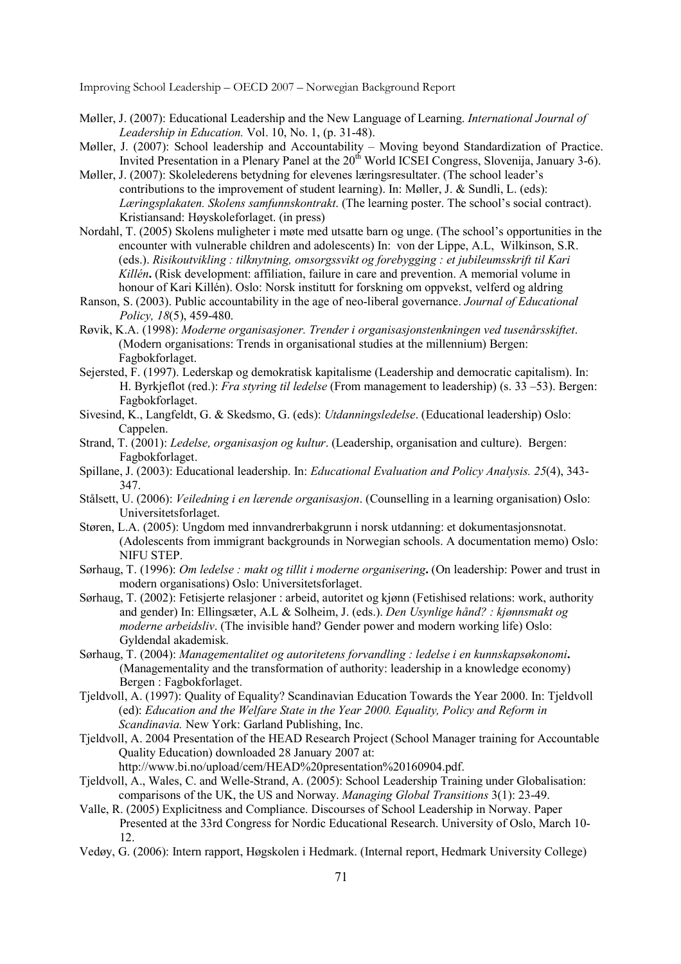- Møller, J. (2007): Educational Leadership and the New Language of Learning. *International Journal of Leadership in Education.* Vol. 10, No. 1, (p. 31-48).
- Møller, J. (2007): School leadership and Accountability Moving beyond Standardization of Practice. Invited Presentation in a Plenary Panel at the 20<sup>th</sup> World ICSEI Congress, Slovenija, January 3-6).
- Møller, J. (2007): Skolelederens betydning for elevenes læringsresultater. (The school leader's contributions to the improvement of student learning). In: Møller, J. & Sundli, L. (eds): *Læringsplakaten. Skolens samfunnskontrakt*. (The learning poster. The school's social contract). Kristiansand: Høyskoleforlaget. (in press)
- Nordahl, T. (2005) Skolens muligheter i møte med utsatte barn og unge. (The school's opportunities in the encounter with vulnerable children and adolescents) In: von der Lippe, A.L, Wilkinson, S.R. (eds.). *Risikoutvikling : tilknytning, omsorgssvikt og forebygging : et jubileumsskrift til Kari Killén***.** (Risk development: affiliation, failure in care and prevention. A memorial volume in honour of Kari Killén). Oslo: Norsk institutt for forskning om oppvekst, velferd og aldring
- Ranson, S. (2003). Public accountability in the age of neo-liberal governance. *Journal of Educational Policy, 18*(5), 459-480.
- Røvik, K.A. (1998): *Moderne organisasjoner. Trender i organisasjonstenkningen ved tusenårsskiftet*. (Modern organisations: Trends in organisational studies at the millennium) Bergen: Fagbokforlaget.
- Sejersted, F. (1997). Lederskap og demokratisk kapitalisme (Leadership and democratic capitalism). In: H. Byrkjeflot (red.): *Fra styring til ledelse* (From management to leadership) (s. 33 –53). Bergen: Fagbokforlaget.
- Sivesind, K., Langfeldt, G. & Skedsmo, G. (eds): *Utdanningsledelse*. (Educational leadership) Oslo: Cappelen.
- Strand, T. (2001): *Ledelse, organisasjon og kultur*. (Leadership, organisation and culture). Bergen: Fagbokforlaget.
- Spillane, J. (2003): Educational leadership. In: *Educational Evaluation and Policy Analysis. 25*(4), 343- 347.
- Stålsett, U. (2006): *Veiledning i en lærende organisasjon*. (Counselling in a learning organisation) Oslo: Universitetsforlaget.
- Støren, L.A. (2005): Ungdom med innvandrerbakgrunn i norsk utdanning: et dokumentasjonsnotat. (Adolescents from immigrant backgrounds in Norwegian schools. A documentation memo) Oslo: NIFU STEP.
- Sørhaug, T. (1996): *Om ledelse : makt og tillit i moderne organisering***.** (On leadership: Power and trust in modern organisations) Oslo: Universitetsforlaget.
- Sørhaug, T. (2002): Fetisjerte relasjoner : arbeid, autoritet og kjønn (Fetishised relations: work, authority and gender) In: Ellingsæter, A.L & Solheim, J. (eds.). *Den Usynlige hånd? : kjønnsmakt og moderne arbeidsliv*. (The invisible hand? Gender power and modern working life) Oslo: Gyldendal akademisk.
- Sørhaug, T. (2004): *Managementalitet og autoritetens forvandling : ledelse i en kunnskapsøkonomi***.**  (Managementality and the transformation of authority: leadership in a knowledge economy) Bergen : Fagbokforlaget.
- Tjeldvoll, A. (1997): Quality of Equality? Scandinavian Education Towards the Year 2000. In: Tjeldvoll (ed): *Education and the Welfare State in the Year 2000. Equality, Policy and Reform in Scandinavia.* New York: Garland Publishing, Inc.
- Tjeldvoll, A. 2004 Presentation of the HEAD Research Project (School Manager training for Accountable Quality Education) downloaded 28 January 2007 at:

http://www.bi.no/upload/cem/HEAD%20presentation%20160904.pdf.

- Tjeldvoll, A., Wales, C. and Welle-Strand, A. (2005): School Leadership Training under Globalisation: comparisons of the UK, the US and Norway. *Managing Global Transitions* 3(1): 23-49.
- Valle, R. (2005) Explicitness and Compliance. Discourses of School Leadership in Norway. Paper Presented at the 33rd Congress for Nordic Educational Research. University of Oslo, March 10- 12.
- Vedøy, G. (2006): Intern rapport, Høgskolen i Hedmark. (Internal report, Hedmark University College)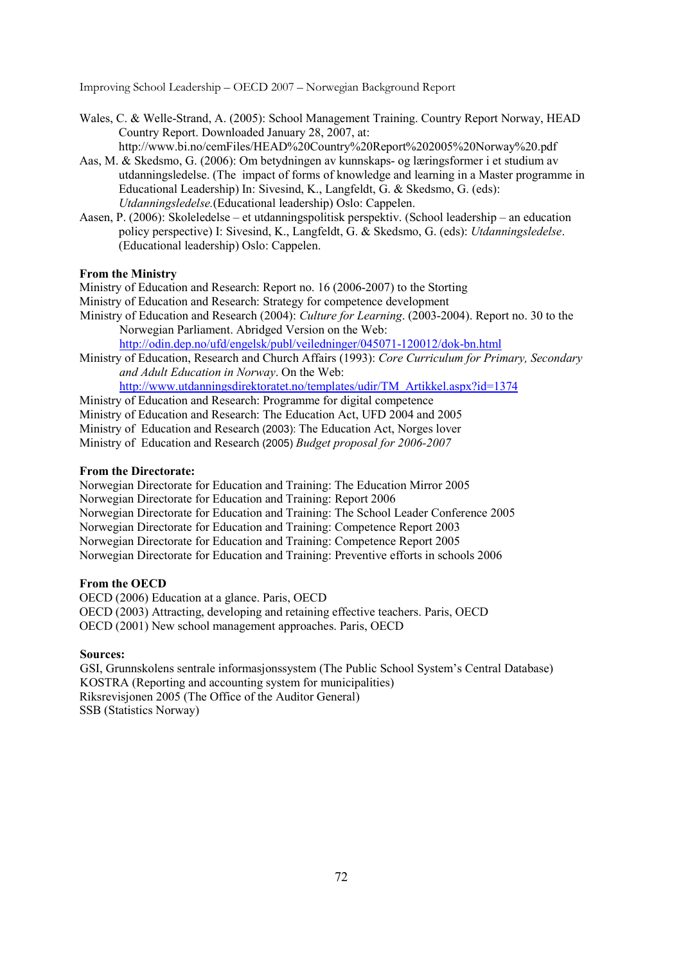- Wales, C. & Welle-Strand, A. (2005): School Management Training. Country Report Norway, HEAD Country Report. Downloaded January 28, 2007, at: http://www.bi.no/cemFiles/HEAD%20Country%20Report%202005%20Norway%20.pdf
- Aas, M. & Skedsmo, G. (2006): Om betydningen av kunnskaps- og læringsformer i et studium av utdanningsledelse. (The impact of forms of knowledge and learning in a Master programme in Educational Leadership) In: Sivesind, K., Langfeldt, G. & Skedsmo, G. (eds): *Utdanningsledelse.*(Educational leadership) Oslo: Cappelen.
- Aasen, P. (2006): Skoleledelse et utdanningspolitisk perspektiv. (School leadership an education policy perspective) I: Sivesind, K., Langfeldt, G. & Skedsmo, G. (eds): *Utdanningsledelse*. (Educational leadership) Oslo: Cappelen.

### **From the Ministry**

Ministry of Education and Research: Report no. 16 (2006-2007) to the Storting

- Ministry of Education and Research: Strategy for competence development
- Ministry of Education and Research (2004): *Culture for Learning*. (2003-2004). Report no. 30 to the Norwegian Parliament. Abridged Version on the Web:

http://odin.dep.no/ufd/engelsk/publ/veiledninger/045071-120012/dok-bn.html

Ministry of Education, Research and Church Affairs (1993): *Core Curriculum for Primary, Secondary and Adult Education in Norway*. On the Web:

http://www.utdanningsdirektoratet.no/templates/udir/TM\_Artikkel.aspx?id=1374

Ministry of Education and Research: Programme for digital competence

Ministry of Education and Research: The Education Act, UFD 2004 and 2005

Ministry of Education and Research (2003): The Education Act, Norges lover

Ministry of Education and Research (2005) *Budget proposal for 2006-2007*

#### **From the Directorate:**

Norwegian Directorate for Education and Training: The Education Mirror 2005 Norwegian Directorate for Education and Training: Report 2006 Norwegian Directorate for Education and Training: The School Leader Conference 2005 Norwegian Directorate for Education and Training: Competence Report 2003 Norwegian Directorate for Education and Training: Competence Report 2005 Norwegian Directorate for Education and Training: Preventive efforts in schools 2006

### **From the OECD**

OECD (2006) Education at a glance. Paris, OECD OECD (2003) Attracting, developing and retaining effective teachers. Paris, OECD OECD (2001) New school management approaches. Paris, OECD

#### **Sources:**

GSI, Grunnskolens sentrale informasjonssystem (The Public School System's Central Database) KOSTRA (Reporting and accounting system for municipalities) Riksrevisjonen 2005 (The Office of the Auditor General) SSB (Statistics Norway)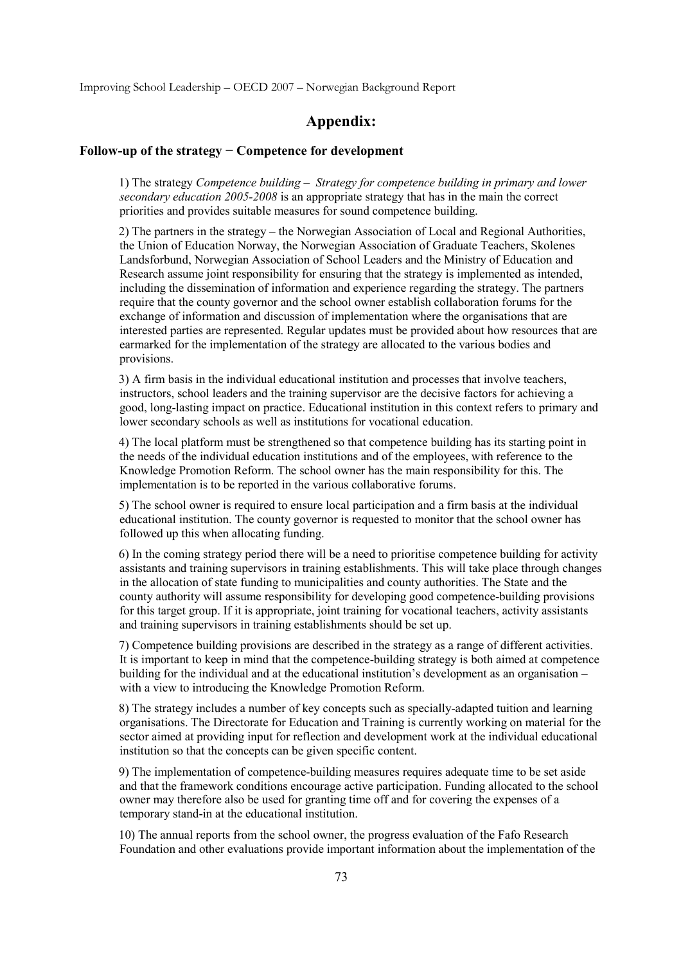Improving School Leadership – OECD 2007 – Norwegian Background Report

## **Appendix:**

## **Follow-up of the strategy − Competence for development**

1) The strategy *Competence building – Strategy for competence building in primary and lower secondary education 2005-2008* is an appropriate strategy that has in the main the correct priorities and provides suitable measures for sound competence building.

2) The partners in the strategy – the Norwegian Association of Local and Regional Authorities, the Union of Education Norway, the Norwegian Association of Graduate Teachers, Skolenes Landsforbund, Norwegian Association of School Leaders and the Ministry of Education and Research assume joint responsibility for ensuring that the strategy is implemented as intended, including the dissemination of information and experience regarding the strategy. The partners require that the county governor and the school owner establish collaboration forums for the exchange of information and discussion of implementation where the organisations that are interested parties are represented. Regular updates must be provided about how resources that are earmarked for the implementation of the strategy are allocated to the various bodies and provisions.

3) A firm basis in the individual educational institution and processes that involve teachers, instructors, school leaders and the training supervisor are the decisive factors for achieving a good, long-lasting impact on practice. Educational institution in this context refers to primary and lower secondary schools as well as institutions for vocational education.

4) The local platform must be strengthened so that competence building has its starting point in the needs of the individual education institutions and of the employees, with reference to the Knowledge Promotion Reform. The school owner has the main responsibility for this. The implementation is to be reported in the various collaborative forums.

5) The school owner is required to ensure local participation and a firm basis at the individual educational institution. The county governor is requested to monitor that the school owner has followed up this when allocating funding.

6) In the coming strategy period there will be a need to prioritise competence building for activity assistants and training supervisors in training establishments. This will take place through changes in the allocation of state funding to municipalities and county authorities. The State and the county authority will assume responsibility for developing good competence-building provisions for this target group. If it is appropriate, joint training for vocational teachers, activity assistants and training supervisors in training establishments should be set up.

7) Competence building provisions are described in the strategy as a range of different activities. It is important to keep in mind that the competence-building strategy is both aimed at competence building for the individual and at the educational institution's development as an organisation – with a view to introducing the Knowledge Promotion Reform.

8) The strategy includes a number of key concepts such as specially-adapted tuition and learning organisations. The Directorate for Education and Training is currently working on material for the sector aimed at providing input for reflection and development work at the individual educational institution so that the concepts can be given specific content.

9) The implementation of competence-building measures requires adequate time to be set aside and that the framework conditions encourage active participation. Funding allocated to the school owner may therefore also be used for granting time off and for covering the expenses of a temporary stand-in at the educational institution.

10) The annual reports from the school owner, the progress evaluation of the Fafo Research Foundation and other evaluations provide important information about the implementation of the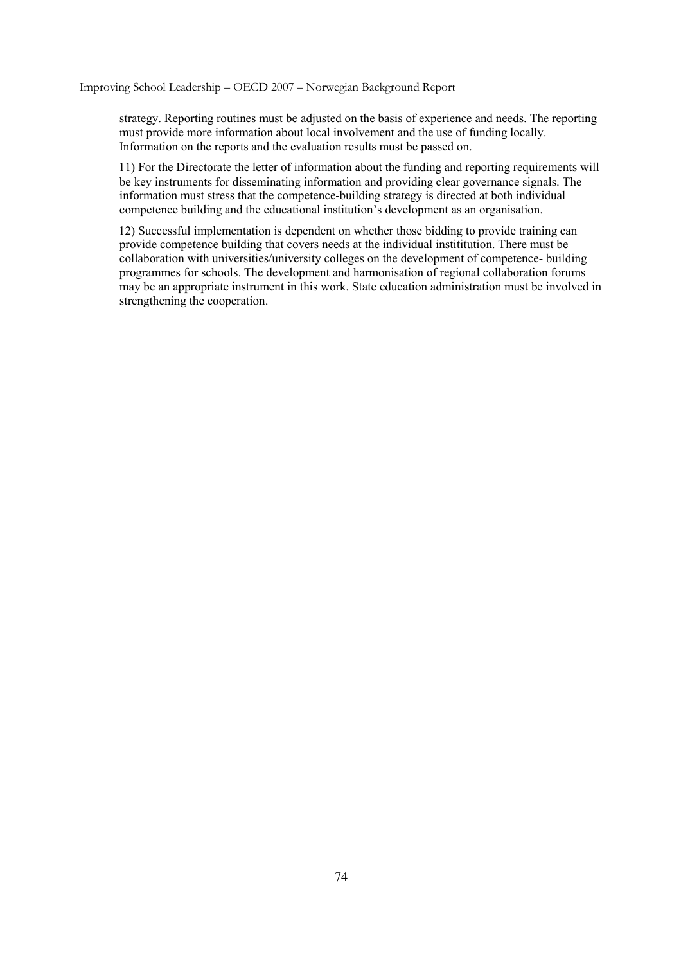Improving School Leadership – OECD 2007 – Norwegian Background Report

strategy. Reporting routines must be adjusted on the basis of experience and needs. The reporting must provide more information about local involvement and the use of funding locally. Information on the reports and the evaluation results must be passed on.

11) For the Directorate the letter of information about the funding and reporting requirements will be key instruments for disseminating information and providing clear governance signals. The information must stress that the competence-building strategy is directed at both individual competence building and the educational institution's development as an organisation.

12) Successful implementation is dependent on whether those bidding to provide training can provide competence building that covers needs at the individual instititution. There must be collaboration with universities/university colleges on the development of competence- building programmes for schools. The development and harmonisation of regional collaboration forums may be an appropriate instrument in this work. State education administration must be involved in strengthening the cooperation.